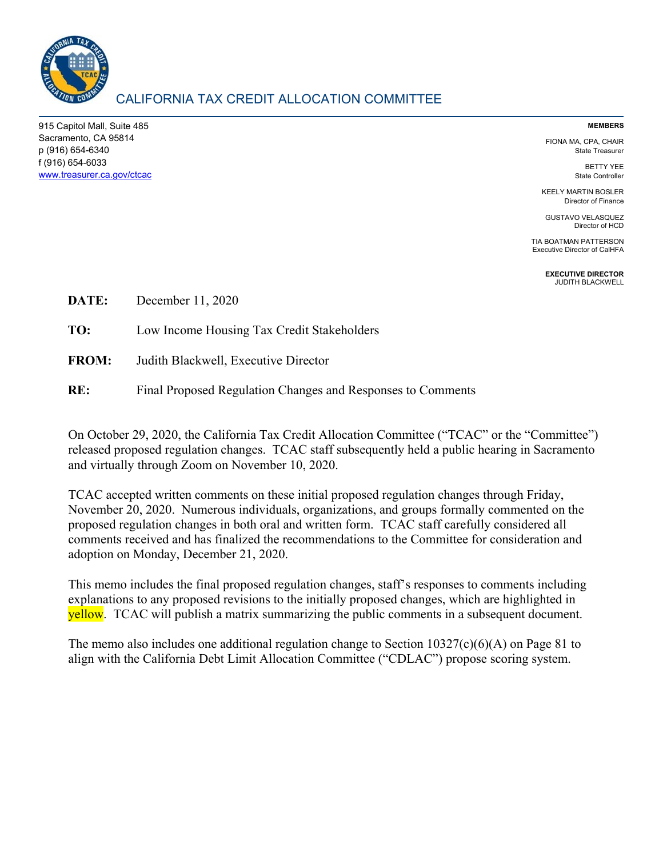

# CALIFORNIA TAX CREDIT ALLOCATION COMMITTEE

915 Capitol Mall, Suite 485 Sacramento, CA 95814 p (916) 654-6340 f (916) 654-6033 www.treasurer.ca.gov/ctcac

#### **MEMBERS**

FIONA MA, CPA, CHAIR State Treasurer

> BETTY YEE State Controller

KEELY MARTIN BOSLER Director of Finance

GUSTAVO VELASQUEZ Director of HCD

TIA BOATMAN PATTERSON Executive Director of CalHFA

> **EXECUTIVE DIRECTOR**  JUDITH BLACKWELL

**DATE:** December 11, 2020

**TO:** Low Income Housing Tax Credit Stakeholders

- **FROM:** Judith Blackwell, Executive Director
- **RE:** Final Proposed Regulation Changes and Responses to Comments

On October 29, 2020, the California Tax Credit Allocation Committee ("TCAC" or the "Committee") released proposed regulation changes. TCAC staff subsequently held a public hearing in Sacramento and virtually through Zoom on November 10, 2020.

TCAC accepted written comments on these initial proposed regulation changes through Friday, November 20, 2020. Numerous individuals, organizations, and groups formally commented on the proposed regulation changes in both oral and written form. TCAC staff carefully considered all comments received and has finalized the recommendations to the Committee for consideration and adoption on Monday, December 21, 2020.

This memo includes the final proposed regulation changes, staff's responses to comments including explanations to any proposed revisions to the initially proposed changes, which are highlighted in **yellow.** TCAC will publish a matrix summarizing the public comments in a subsequent document.

The memo also includes one additional regulation change to Section  $10327(c)(6)(A)$  on Page 81 to align with the California Debt Limit Allocation Committee ("CDLAC") propose scoring system.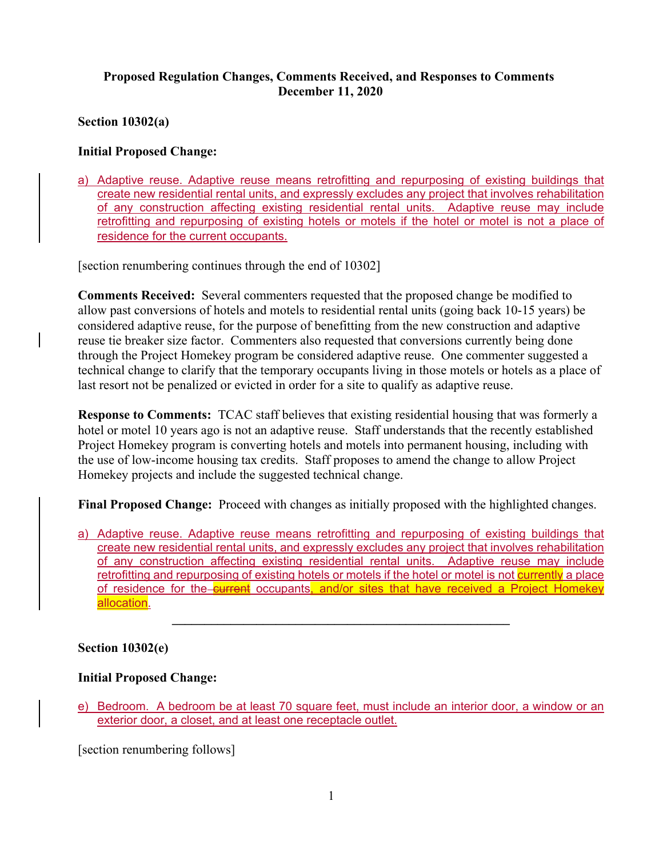# **Proposed Regulation Changes, Comments Received, and Responses to Comments December 11, 2020**

**Section 10302(a)** 

# **Initial Proposed Change:**

a) Adaptive reuse. Adaptive reuse means retrofitting and repurposing of existing buildings that create new residential rental units, and expressly excludes any project that involves rehabilitation of any construction affecting existing residential rental units. Adaptive reuse may include retrofitting and repurposing of existing hotels or motels if the hotel or motel is not a place of residence for the current occupants.

[section renumbering continues through the end of 10302]

**Comments Received:** Several commenters requested that the proposed change be modified to allow past conversions of hotels and motels to residential rental units (going back 10-15 years) be considered adaptive reuse, for the purpose of benefitting from the new construction and adaptive reuse tie breaker size factor. Commenters also requested that conversions currently being done through the Project Homekey program be considered adaptive reuse. One commenter suggested a technical change to clarify that the temporary occupants living in those motels or hotels as a place of last resort not be penalized or evicted in order for a site to qualify as adaptive reuse.

**Response to Comments:** TCAC staff believes that existing residential housing that was formerly a hotel or motel 10 years ago is not an adaptive reuse. Staff understands that the recently established Project Homekey program is converting hotels and motels into permanent housing, including with the use of low-income housing tax credits. Staff proposes to amend the change to allow Project Homekey projects and include the suggested technical change.

**Final Proposed Change:** Proceed with changes as initially proposed with the highlighted changes.

a) Adaptive reuse. Adaptive reuse means retrofitting and repurposing of existing buildings that create new residential rental units, and expressly excludes any project that involves rehabilitation of any construction affecting existing residential rental units. Adaptive reuse may include retrofitting and repurposing of existing hotels or motels if the hotel or motel is not currently a place of residence for the current occupants, and/or sites that have received a Project Homekey allocation.

**\_\_\_\_\_\_\_\_\_\_\_\_\_\_\_\_\_\_\_\_\_\_\_\_\_\_\_\_\_\_\_\_\_\_\_\_\_\_\_\_\_\_\_\_\_\_\_\_\_\_\_\_** 

### **Section 10302(e)**

# **Initial Proposed Change:**

e) Bedroom. A bedroom be at least 70 square feet, must include an interior door, a window or an exterior door, a closet, and at least one receptacle outlet.

[section renumbering follows]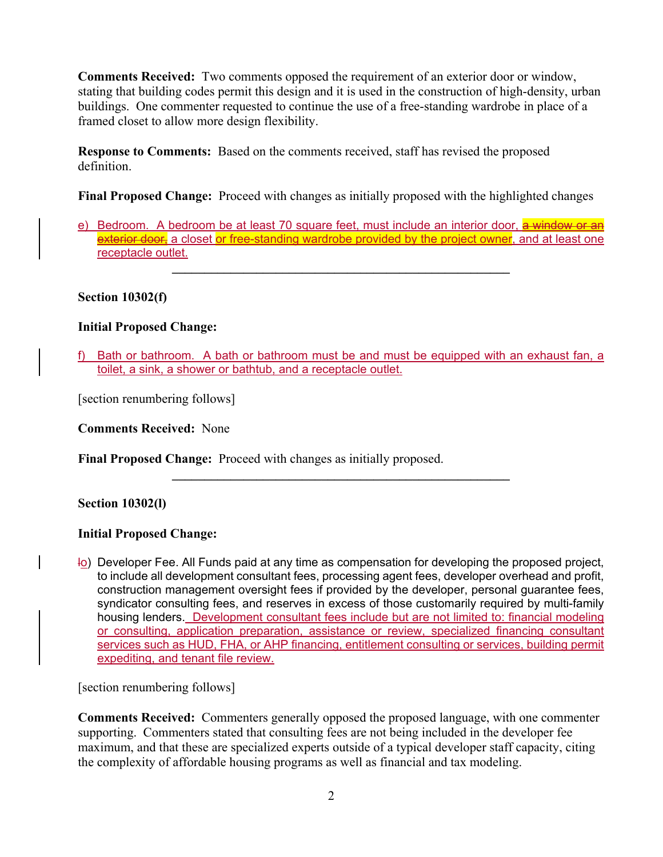**Comments Received:** Two comments opposed the requirement of an exterior door or window, stating that building codes permit this design and it is used in the construction of high-density, urban buildings. One commenter requested to continue the use of a free-standing wardrobe in place of a framed closet to allow more design flexibility.

**Response to Comments:** Based on the comments received, staff has revised the proposed definition.

**Final Proposed Change:** Proceed with changes as initially proposed with the highlighted changes

e) Bedroom. A bedroom be at least 70 square feet, must include an interior door, a window or an exterior door, a closet or free-standing wardrobe provided by the project owner, and at least one receptacle outlet.

 $\mathcal{L}_\mathcal{L} = \{ \mathcal{L}_\mathcal{L} = \{ \mathcal{L}_\mathcal{L} \}$ 

## **Section 10302(f)**

## **Initial Proposed Change:**

f) Bath or bathroom. A bath or bathroom must be and must be equipped with an exhaust fan, a toilet, a sink, a shower or bathtub, and a receptacle outlet.

**\_\_\_\_\_\_\_\_\_\_\_\_\_\_\_\_\_\_\_\_\_\_\_\_\_\_\_\_\_\_\_\_\_\_\_\_\_\_\_\_\_\_\_\_\_\_\_\_\_\_\_\_** 

[section renumbering follows]

**Comments Received:** None

**Final Proposed Change:** Proceed with changes as initially proposed.

### **Section 10302(l)**

### **Initial Proposed Change:**

lo) Developer Fee. All Funds paid at any time as compensation for developing the proposed project, to include all development consultant fees, processing agent fees, developer overhead and profit, construction management oversight fees if provided by the developer, personal guarantee fees, syndicator consulting fees, and reserves in excess of those customarily required by multi-family housing lenders. Development consultant fees include but are not limited to: financial modeling or consulting, application preparation, assistance or review, specialized financing consultant services such as HUD, FHA, or AHP financing, entitlement consulting or services, building permit expediting, and tenant file review.

[section renumbering follows]

**Comments Received:** Commenters generally opposed the proposed language, with one commenter supporting. Commenters stated that consulting fees are not being included in the developer fee maximum, and that these are specialized experts outside of a typical developer staff capacity, citing the complexity of affordable housing programs as well as financial and tax modeling.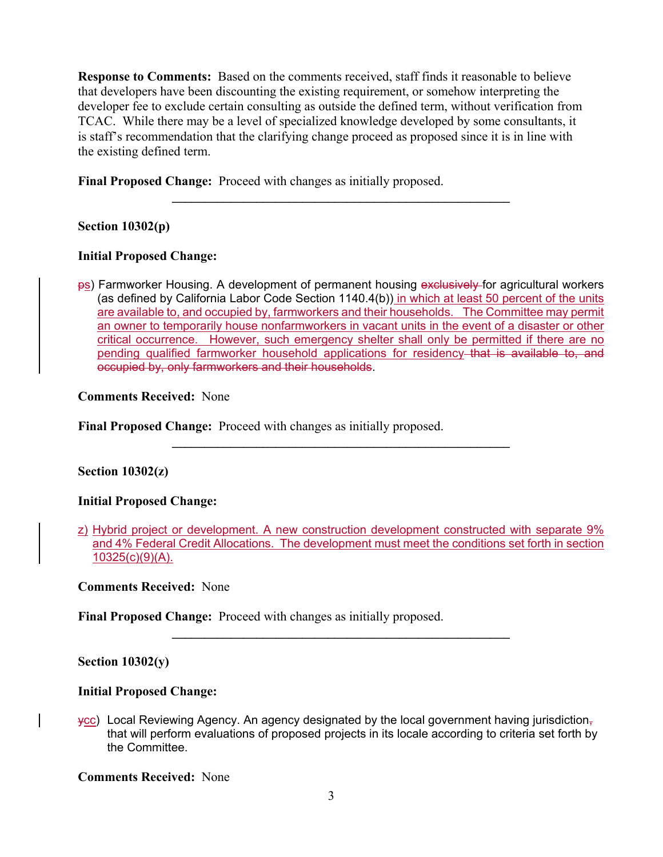**Response to Comments:** Based on the comments received, staff finds it reasonable to believe that developers have been discounting the existing requirement, or somehow interpreting the developer fee to exclude certain consulting as outside the defined term, without verification from TCAC. While there may be a level of specialized knowledge developed by some consultants, it is staff's recommendation that the clarifying change proceed as proposed since it is in line with the existing defined term.

**Final Proposed Change:** Proceed with changes as initially proposed.

# **Section 10302(p)**

### **Initial Proposed Change:**

ps) Farmworker Housing. A development of permanent housing exclusively for agricultural workers (as defined by California Labor Code Section 1140.4(b)) in which at least 50 percent of the units are available to, and occupied by, farmworkers and their households. The Committee may permit an owner to temporarily house nonfarmworkers in vacant units in the event of a disaster or other critical occurrence. However, such emergency shelter shall only be permitted if there are no pending qualified farmworker household applications for residency that is available to, and occupied by, only farmworkers and their households.

**\_\_\_\_\_\_\_\_\_\_\_\_\_\_\_\_\_\_\_\_\_\_\_\_\_\_\_\_\_\_\_\_\_\_\_\_\_\_\_\_\_\_\_\_\_\_\_\_\_\_\_\_** 

### **Comments Received:** None

**Final Proposed Change:** Proceed with changes as initially proposed.

### **Section 10302(z)**

### **Initial Proposed Change:**

**\_\_\_\_\_\_\_\_\_\_\_\_\_\_\_\_\_\_\_\_\_\_\_\_\_\_\_\_\_\_\_\_\_\_\_\_\_\_\_\_\_\_\_\_\_\_\_\_\_\_\_\_** 

**\_\_\_\_\_\_\_\_\_\_\_\_\_\_\_\_\_\_\_\_\_\_\_\_\_\_\_\_\_\_\_\_\_\_\_\_\_\_\_\_\_\_\_\_\_\_\_\_\_\_\_\_** 

### **Comments Received:** None

**Final Proposed Change:** Proceed with changes as initially proposed.

### **Section 10302(y)**

### **Initial Proposed Change:**

 $\chi$ cc) Local Reviewing Agency. An agency designated by the local government having jurisdiction, that will perform evaluations of proposed projects in its locale according to criteria set forth by the Committee.

**Comments Received:** None

z) Hybrid project or development. A new construction development constructed with separate 9% and 4% Federal Credit Allocations. The development must meet the conditions set forth in section 10325(c)(9)(A).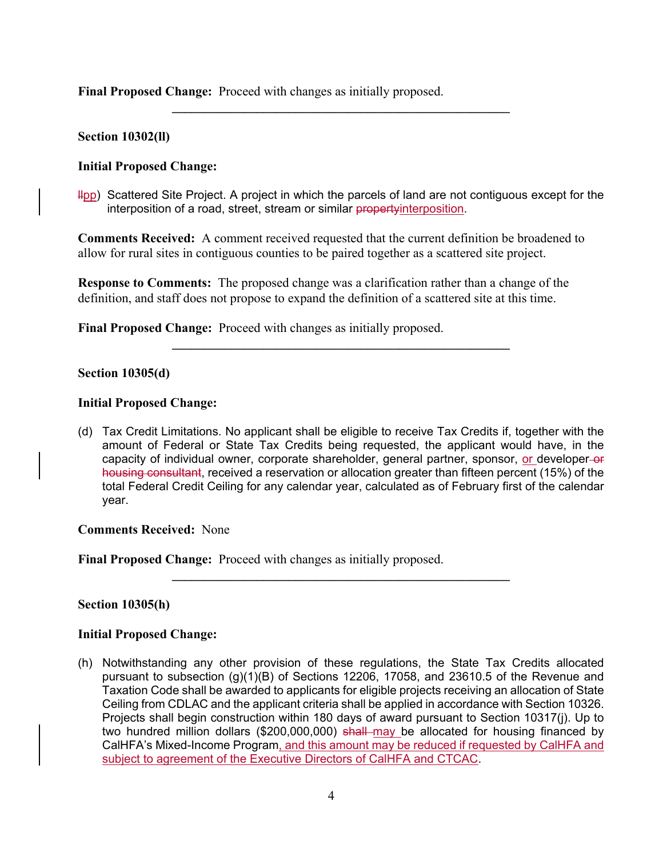**Final Proposed Change:** Proceed with changes as initially proposed.

#### **Section 10302(ll)**

#### **Initial Proposed Change:**

Hop) Scattered Site Project. A project in which the parcels of land are not contiguous except for the interposition of a road, street, stream or similar propertyinterposition.

**\_\_\_\_\_\_\_\_\_\_\_\_\_\_\_\_\_\_\_\_\_\_\_\_\_\_\_\_\_\_\_\_\_\_\_\_\_\_\_\_\_\_\_\_\_\_\_\_\_\_\_\_** 

**Comments Received:** A comment received requested that the current definition be broadened to allow for rural sites in contiguous counties to be paired together as a scattered site project.

**Response to Comments:** The proposed change was a clarification rather than a change of the definition, and staff does not propose to expand the definition of a scattered site at this time.

**Final Proposed Change:** Proceed with changes as initially proposed.

#### **Section 10305(d)**

#### **Initial Proposed Change:**

(d) Tax Credit Limitations. No applicant shall be eligible to receive Tax Credits if, together with the amount of Federal or State Tax Credits being requested, the applicant would have, in the capacity of individual owner, corporate shareholder, general partner, sponsor, or developer-or housing consultant, received a reservation or allocation greater than fifteen percent (15%) of the total Federal Credit Ceiling for any calendar year, calculated as of February first of the calendar year.

**\_\_\_\_\_\_\_\_\_\_\_\_\_\_\_\_\_\_\_\_\_\_\_\_\_\_\_\_\_\_\_\_\_\_\_\_\_\_\_\_\_\_\_\_\_\_\_\_\_\_\_\_** 

 $\mathcal{L}_\mathcal{L} = \{ \mathcal{L}_\mathcal{L} = \{ \mathcal{L}_\mathcal{L} \}$ 

**Comments Received:** None

**Final Proposed Change:** Proceed with changes as initially proposed.

#### **Section 10305(h)**

#### **Initial Proposed Change:**

(h) Notwithstanding any other provision of these regulations, the State Tax Credits allocated pursuant to subsection  $(q)(1)(B)$  of Sections 12206, 17058, and 23610.5 of the Revenue and Taxation Code shall be awarded to applicants for eligible projects receiving an allocation of State Ceiling from CDLAC and the applicant criteria shall be applied in accordance with Section 10326. Projects shall begin construction within 180 days of award pursuant to Section 10317(j). Up to two hundred million dollars (\$200,000,000) shall may be allocated for housing financed by CalHFA's Mixed-Income Program, and this amount may be reduced if requested by CalHFA and subject to agreement of the Executive Directors of CalHFA and CTCAC.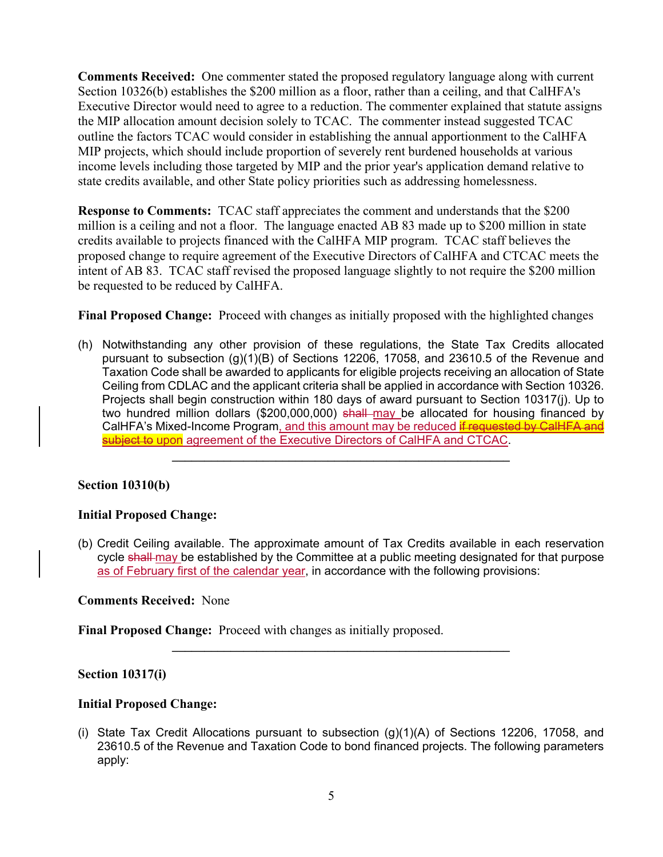**Comments Received:** One commenter stated the proposed regulatory language along with current Section 10326(b) establishes the \$200 million as a floor, rather than a ceiling, and that CalHFA's Executive Director would need to agree to a reduction. The commenter explained that statute assigns the MIP allocation amount decision solely to TCAC. The commenter instead suggested TCAC outline the factors TCAC would consider in establishing the annual apportionment to the CalHFA MIP projects, which should include proportion of severely rent burdened households at various income levels including those targeted by MIP and the prior year's application demand relative to state credits available, and other State policy priorities such as addressing homelessness.

**Response to Comments:** TCAC staff appreciates the comment and understands that the \$200 million is a ceiling and not a floor. The language enacted AB 83 made up to \$200 million in state credits available to projects financed with the CalHFA MIP program. TCAC staff believes the proposed change to require agreement of the Executive Directors of CalHFA and CTCAC meets the intent of AB 83. TCAC staff revised the proposed language slightly to not require the \$200 million be requested to be reduced by CalHFA.

**Final Proposed Change:** Proceed with changes as initially proposed with the highlighted changes

(h) Notwithstanding any other provision of these regulations, the State Tax Credits allocated pursuant to subsection (g)(1)(B) of Sections 12206, 17058, and 23610.5 of the Revenue and Taxation Code shall be awarded to applicants for eligible projects receiving an allocation of State Ceiling from CDLAC and the applicant criteria shall be applied in accordance with Section 10326. Projects shall begin construction within 180 days of award pursuant to Section 10317(j). Up to two hundred million dollars (\$200,000,000) shall may be allocated for housing financed by CalHFA's Mixed-Income Program, and this amount may be reduced if requested by CalHFA and subject to upon agreement of the Executive Directors of CalHFA and CTCAC.

 $\mathcal{L}_\mathcal{L} = \{ \mathcal{L}_\mathcal{L} = \{ \mathcal{L}_\mathcal{L} \}$ 

# **Section 10310(b)**

### **Initial Proposed Change:**

(b) Credit Ceiling available. The approximate amount of Tax Credits available in each reservation cycle shall-may be established by the Committee at a public meeting designated for that purpose as of February first of the calendar year, in accordance with the following provisions:

**\_\_\_\_\_\_\_\_\_\_\_\_\_\_\_\_\_\_\_\_\_\_\_\_\_\_\_\_\_\_\_\_\_\_\_\_\_\_\_\_\_\_\_\_\_\_\_\_\_\_\_\_** 

### **Comments Received:** None

**Final Proposed Change:** Proceed with changes as initially proposed.

### **Section 10317(i)**

### **Initial Proposed Change:**

(i) State Tax Credit Allocations pursuant to subsection  $(q)(1)(A)$  of Sections 12206, 17058, and 23610.5 of the Revenue and Taxation Code to bond financed projects. The following parameters apply: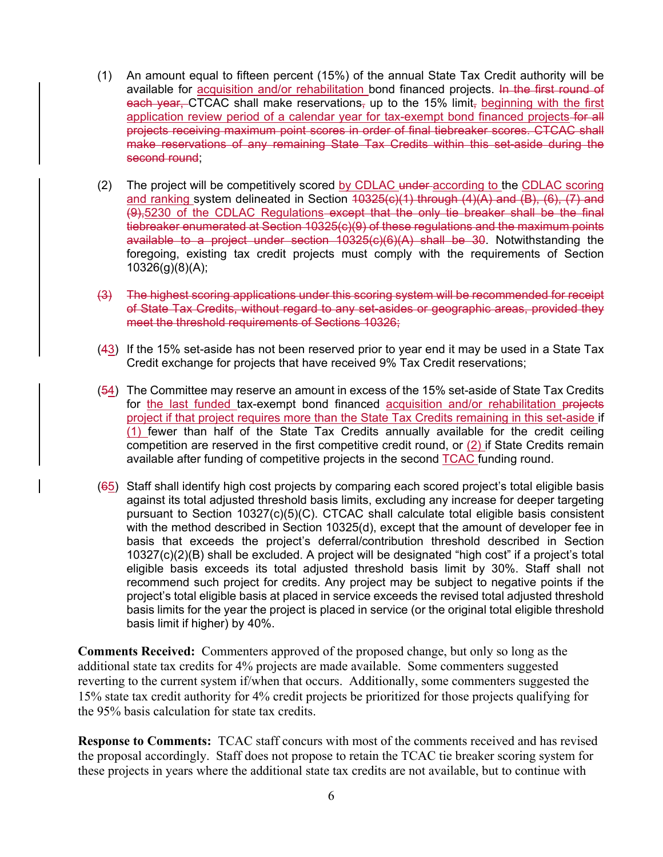- (1) An amount equal to fifteen percent (15%) of the annual State Tax Credit authority will be available for **acquisition and/or rehabilitation** bond financed projects. In the first round of each year, CTCAC shall make reservations, up to the 15% limit, beginning with the first application review period of a calendar year for tax-exempt bond financed projects-for all projects receiving maximum point scores in order of final tiebreaker scores. CTCAC shall make reservations of any remaining State Tax Credits within this set-aside during the second round;
- (2) The project will be competitively scored by CDLAC under according to the CDLAC scoring and ranking system delineated in Section  $40325(c)(1)$  through  $(4)(A)$  and  $(B)$ ,  $(6)$ ,  $(7)$  and (9),5230 of the CDLAC Regulations except that the only tie breaker shall be the final tiebreaker enumerated at Section 10325(c)(9) of these regulations and the maximum points available to a project under section 10325(c)(6)(A) shall be 30. Notwithstanding the foregoing, existing tax credit projects must comply with the requirements of Section 10326(g)(8)(A);
- (3) The highest scoring applications under this scoring system will be recommended for receipt of State Tax Credits, without regard to any set-asides or geographic areas, provided they meet the threshold requirements of Sections 10326;
- (43) If the 15% set-aside has not been reserved prior to year end it may be used in a State Tax Credit exchange for projects that have received 9% Tax Credit reservations;
- (54) The Committee may reserve an amount in excess of the 15% set-aside of State Tax Credits for the last funded tax-exempt bond financed acquisition and/or rehabilitation projects project if that project requires more than the State Tax Credits remaining in this set-aside if (1) fewer than half of the State Tax Credits annually available for the credit ceiling competition are reserved in the first competitive credit round, or  $(2)$  if State Credits remain available after funding of competitive projects in the second TCAC funding round.
- $(65)$  Staff shall identify high cost projects by comparing each scored project's total eligible basis against its total adjusted threshold basis limits, excluding any increase for deeper targeting pursuant to Section 10327(c)(5)(C). CTCAC shall calculate total eligible basis consistent with the method described in Section 10325(d), except that the amount of developer fee in basis that exceeds the project's deferral/contribution threshold described in Section 10327(c)(2)(B) shall be excluded. A project will be designated "high cost" if a project's total eligible basis exceeds its total adjusted threshold basis limit by 30%. Staff shall not recommend such project for credits. Any project may be subject to negative points if the project's total eligible basis at placed in service exceeds the revised total adjusted threshold basis limits for the year the project is placed in service (or the original total eligible threshold basis limit if higher) by 40%.

**Comments Received:** Commenters approved of the proposed change, but only so long as the additional state tax credits for 4% projects are made available. Some commenters suggested reverting to the current system if/when that occurs. Additionally, some commenters suggested the 15% state tax credit authority for 4% credit projects be prioritized for those projects qualifying for the 95% basis calculation for state tax credits.

**Response to Comments:** TCAC staff concurs with most of the comments received and has revised the proposal accordingly. Staff does not propose to retain the TCAC tie breaker scoring system for these projects in years where the additional state tax credits are not available, but to continue with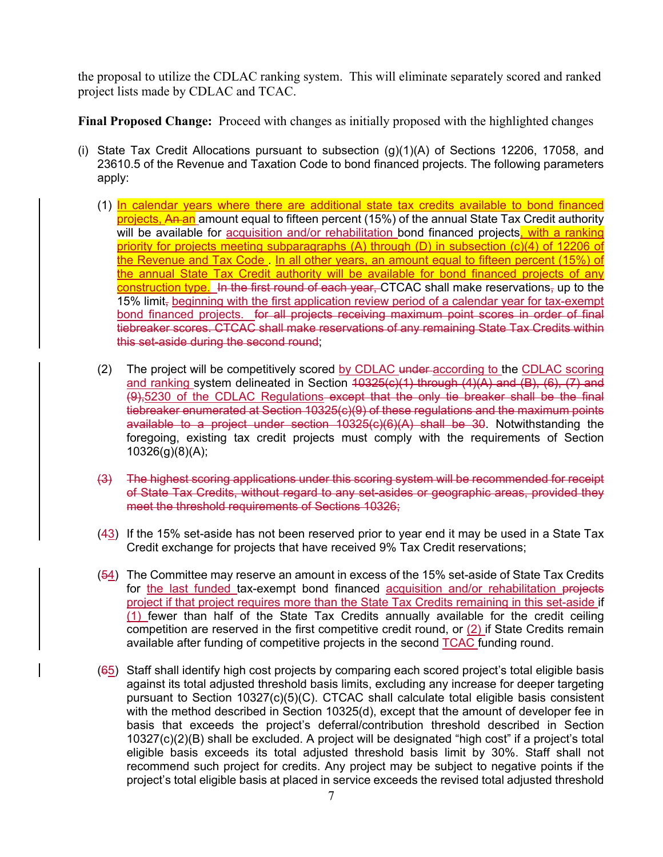the proposal to utilize the CDLAC ranking system. This will eliminate separately scored and ranked project lists made by CDLAC and TCAC.

**Final Proposed Change:** Proceed with changes as initially proposed with the highlighted changes

- (i) State Tax Credit Allocations pursuant to subsection  $(q)(1)(A)$  of Sections 12206, 17058, and 23610.5 of the Revenue and Taxation Code to bond financed projects. The following parameters apply:
	- (1) In calendar years where there are additional state tax credits available to bond financed projects, An an amount equal to fifteen percent (15%) of the annual State Tax Credit authority will be available for acquisition and/or rehabilitation bond financed projects, with a ranking priority for projects meeting subparagraphs (A) through (D) in subsection (c)(4) of 12206 of the Revenue and Tax Code . In all other years, an amount equal to fifteen percent (15%) of the annual State Tax Credit authority will be available for bond financed projects of any construction type. In the first round of each year, CTCAC shall make reservations, up to the 15% limit<sub>r</sub> beginning with the first application review period of a calendar year for tax-exempt bond financed projects. for all projects receiving maximum point scores in order of final tiebreaker scores. CTCAC shall make reservations of any remaining State Tax Credits within this set-aside during the second round;
	- (2) The project will be competitively scored by CDLAC under according to the CDLAC scoring and ranking system delineated in Section  $\overline{10325(c)}(1)$  through  $\overline{(4)}(\overline{A})$  and  $\overline{(B)}$ ,  $\overline{(6)}$ ,  $\overline{(7)}$  and (9),5230 of the CDLAC Regulations except that the only tie breaker shall be the final tiebreaker enumerated at Section 10325(c)(9) of these regulations and the maximum points available to a project under section 10325(c)(6)(A) shall be 30. Notwithstanding the foregoing, existing tax credit projects must comply with the requirements of Section 10326(g)(8)(A);
	- (3) The highest scoring applications under this scoring system will be recommended for receipt of State Tax Credits, without regard to any set-asides or geographic areas, provided they meet the threshold requirements of Sections 10326;
	- $(43)$  If the 15% set-aside has not been reserved prior to year end it may be used in a State Tax Credit exchange for projects that have received 9% Tax Credit reservations;
	- (54) The Committee may reserve an amount in excess of the 15% set-aside of State Tax Credits for the last funded tax-exempt bond financed acquisition and/or rehabilitation projects project if that project requires more than the State Tax Credits remaining in this set-aside if (1) fewer than half of the State Tax Credits annually available for the credit ceiling competition are reserved in the first competitive credit round, or  $(2)$  if State Credits remain available after funding of competitive projects in the second TCAC funding round.
	- (65) Staff shall identify high cost projects by comparing each scored project's total eligible basis against its total adjusted threshold basis limits, excluding any increase for deeper targeting pursuant to Section 10327(c)(5)(C). CTCAC shall calculate total eligible basis consistent with the method described in Section 10325(d), except that the amount of developer fee in basis that exceeds the project's deferral/contribution threshold described in Section 10327(c)(2)(B) shall be excluded. A project will be designated "high cost" if a project's total eligible basis exceeds its total adjusted threshold basis limit by 30%. Staff shall not recommend such project for credits. Any project may be subject to negative points if the project's total eligible basis at placed in service exceeds the revised total adjusted threshold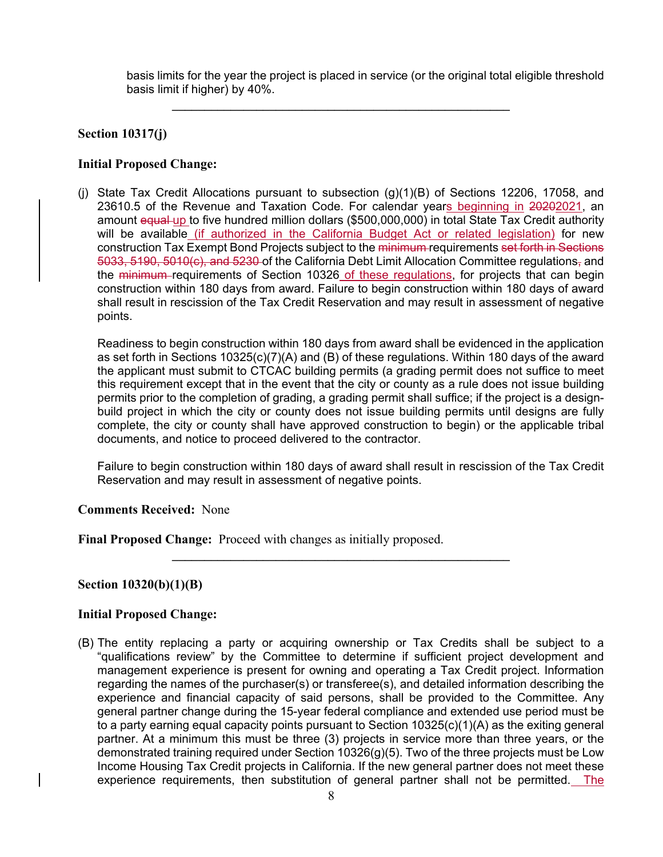basis limits for the year the project is placed in service (or the original total eligible threshold basis limit if higher) by 40%.

**\_\_\_\_\_\_\_\_\_\_\_\_\_\_\_\_\_\_\_\_\_\_\_\_\_\_\_\_\_\_\_\_\_\_\_\_\_\_\_\_\_\_\_\_\_\_\_\_\_\_\_\_** 

### **Section 10317(j)**

### **Initial Proposed Change:**

(j) State Tax Credit Allocations pursuant to subsection (g)(1)(B) of Sections 12206, 17058, and 23610.5 of the Revenue and Taxation Code. For calendar years beginning in 20202021, an amount equal up to five hundred million dollars (\$500,000,000) in total State Tax Credit authority will be available (if authorized in the California Budget Act or related legislation) for new construction Tax Exempt Bond Projects subject to the minimum requirements set forth in Sections 5033, 5190, 5010(c), and 5230 of the California Debt Limit Allocation Committee regulations, and the minimum requirements of Section 10326 of these regulations, for projects that can begin construction within 180 days from award. Failure to begin construction within 180 days of award shall result in rescission of the Tax Credit Reservation and may result in assessment of negative points.

Readiness to begin construction within 180 days from award shall be evidenced in the application as set forth in Sections 10325(c)(7)(A) and (B) of these regulations. Within 180 days of the award the applicant must submit to CTCAC building permits (a grading permit does not suffice to meet this requirement except that in the event that the city or county as a rule does not issue building permits prior to the completion of grading, a grading permit shall suffice; if the project is a designbuild project in which the city or county does not issue building permits until designs are fully complete, the city or county shall have approved construction to begin) or the applicable tribal documents, and notice to proceed delivered to the contractor.

Failure to begin construction within 180 days of award shall result in rescission of the Tax Credit Reservation and may result in assessment of negative points.

**\_\_\_\_\_\_\_\_\_\_\_\_\_\_\_\_\_\_\_\_\_\_\_\_\_\_\_\_\_\_\_\_\_\_\_\_\_\_\_\_\_\_\_\_\_\_\_\_\_\_\_\_** 

### **Comments Received:** None

**Final Proposed Change:** Proceed with changes as initially proposed.

### **Section 10320(b)(1)(B)**

### **Initial Proposed Change:**

(B) The entity replacing a party or acquiring ownership or Tax Credits shall be subject to a "qualifications review" by the Committee to determine if sufficient project development and management experience is present for owning and operating a Tax Credit project. Information regarding the names of the purchaser(s) or transferee(s), and detailed information describing the experience and financial capacity of said persons, shall be provided to the Committee. Any general partner change during the 15-year federal compliance and extended use period must be to a party earning equal capacity points pursuant to Section 10325(c)(1)(A) as the exiting general partner. At a minimum this must be three (3) projects in service more than three years, or the demonstrated training required under Section 10326(g)(5). Two of the three projects must be Low Income Housing Tax Credit projects in California. If the new general partner does not meet these experience requirements, then substitution of general partner shall not be permitted. The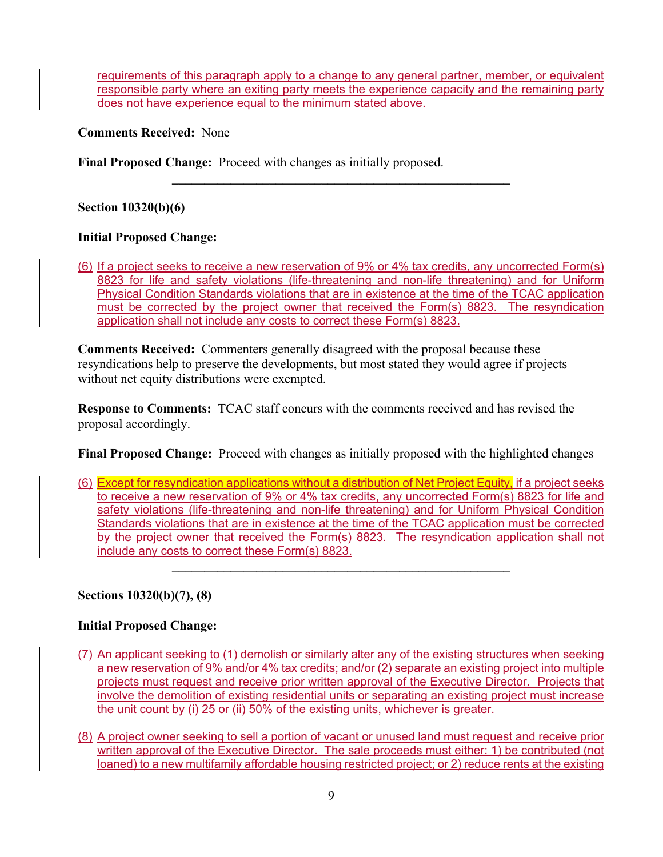requirements of this paragraph apply to a change to any general partner, member, or equivalent responsible party where an exiting party meets the experience capacity and the remaining party does not have experience equal to the minimum stated above.

**Comments Received:** None

**Final Proposed Change:** Proceed with changes as initially proposed.

**Section 10320(b)(6)** 

# **Initial Proposed Change:**

(6) If a project seeks to receive a new reservation of 9% or 4% tax credits, any uncorrected Form(s) 8823 for life and safety violations (life-threatening and non-life threatening) and for Uniform Physical Condition Standards violations that are in existence at the time of the TCAC application must be corrected by the project owner that received the Form(s) 8823. The resyndication application shall not include any costs to correct these Form(s) 8823.

**\_\_\_\_\_\_\_\_\_\_\_\_\_\_\_\_\_\_\_\_\_\_\_\_\_\_\_\_\_\_\_\_\_\_\_\_\_\_\_\_\_\_\_\_\_\_\_\_\_\_\_\_** 

**Comments Received:** Commenters generally disagreed with the proposal because these resyndications help to preserve the developments, but most stated they would agree if projects without net equity distributions were exempted.

**Response to Comments:** TCAC staff concurs with the comments received and has revised the proposal accordingly.

**Final Proposed Change:** Proceed with changes as initially proposed with the highlighted changes

(6) Except for resyndication applications without a distribution of Net Project Equity, if a project seeks to receive a new reservation of 9% or 4% tax credits, any uncorrected Form(s) 8823 for life and safety violations (life-threatening and non-life threatening) and for Uniform Physical Condition Standards violations that are in existence at the time of the TCAC application must be corrected by the project owner that received the Form(s) 8823. The resyndication application shall not include any costs to correct these Form(s) 8823.

 $\mathcal{L}_\mathcal{L} = \{ \mathcal{L}_\mathcal{L} = \{ \mathcal{L}_\mathcal{L} \}$ 

**Sections 10320(b)(7), (8)** 

# **Initial Proposed Change:**

- (7) An applicant seeking to (1) demolish or similarly alter any of the existing structures when seeking a new reservation of 9% and/or 4% tax credits; and/or (2) separate an existing project into multiple projects must request and receive prior written approval of the Executive Director. Projects that involve the demolition of existing residential units or separating an existing project must increase the unit count by (i) 25 or (ii) 50% of the existing units, whichever is greater.
- (8) A project owner seeking to sell a portion of vacant or unused land must request and receive prior written approval of the Executive Director. The sale proceeds must either: 1) be contributed (not loaned) to a new multifamily affordable housing restricted project; or 2) reduce rents at the existing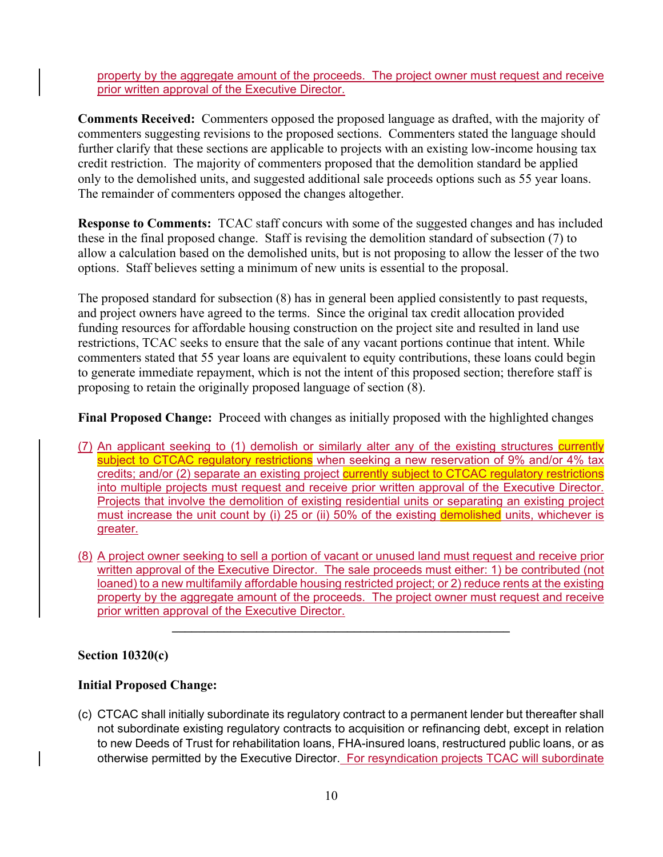property by the aggregate amount of the proceeds. The project owner must request and receive prior written approval of the Executive Director.

**Comments Received:** Commenters opposed the proposed language as drafted, with the majority of commenters suggesting revisions to the proposed sections. Commenters stated the language should further clarify that these sections are applicable to projects with an existing low-income housing tax credit restriction. The majority of commenters proposed that the demolition standard be applied only to the demolished units, and suggested additional sale proceeds options such as 55 year loans. The remainder of commenters opposed the changes altogether.

**Response to Comments:** TCAC staff concurs with some of the suggested changes and has included these in the final proposed change. Staff is revising the demolition standard of subsection (7) to allow a calculation based on the demolished units, but is not proposing to allow the lesser of the two options. Staff believes setting a minimum of new units is essential to the proposal.

The proposed standard for subsection (8) has in general been applied consistently to past requests, and project owners have agreed to the terms. Since the original tax credit allocation provided funding resources for affordable housing construction on the project site and resulted in land use restrictions, TCAC seeks to ensure that the sale of any vacant portions continue that intent. While commenters stated that 55 year loans are equivalent to equity contributions, these loans could begin to generate immediate repayment, which is not the intent of this proposed section; therefore staff is proposing to retain the originally proposed language of section (8).

**Final Proposed Change:** Proceed with changes as initially proposed with the highlighted changes

- (7) An applicant seeking to (1) demolish or similarly alter any of the existing structures currently subject to CTCAC regulatory restrictions when seeking a new reservation of 9% and/or 4% tax credits; and/or (2) separate an existing project currently subject to CTCAC regulatory restrictions into multiple projects must request and receive prior written approval of the Executive Director. Projects that involve the demolition of existing residential units or separating an existing project must increase the unit count by (i) 25 or (ii) 50% of the existing demolished units, whichever is greater.
- (8) A project owner seeking to sell a portion of vacant or unused land must request and receive prior written approval of the Executive Director. The sale proceeds must either: 1) be contributed (not loaned) to a new multifamily affordable housing restricted project; or 2) reduce rents at the existing property by the aggregate amount of the proceeds. The project owner must request and receive prior written approval of the Executive Director.

**\_\_\_\_\_\_\_\_\_\_\_\_\_\_\_\_\_\_\_\_\_\_\_\_\_\_\_\_\_\_\_\_\_\_\_\_\_\_\_\_\_\_\_\_\_\_\_\_\_\_\_\_** 

# **Section 10320(c)**

# **Initial Proposed Change:**

(c) CTCAC shall initially subordinate its regulatory contract to a permanent lender but thereafter shall not subordinate existing regulatory contracts to acquisition or refinancing debt, except in relation to new Deeds of Trust for rehabilitation loans, FHA-insured loans, restructured public loans, or as otherwise permitted by the Executive Director. For resyndication projects TCAC will subordinate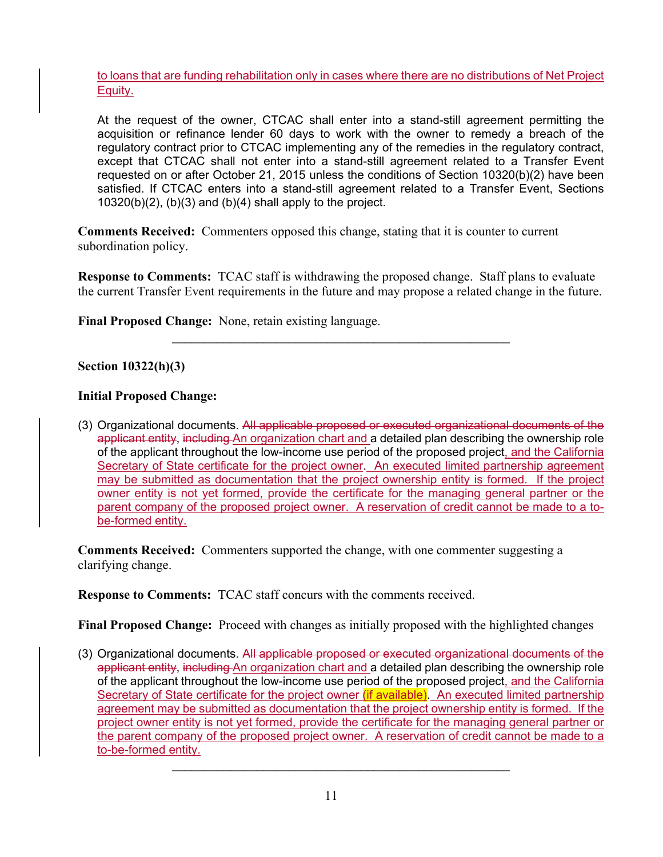to loans that are funding rehabilitation only in cases where there are no distributions of Net Project Equity.

At the request of the owner, CTCAC shall enter into a stand-still agreement permitting the acquisition or refinance lender 60 days to work with the owner to remedy a breach of the regulatory contract prior to CTCAC implementing any of the remedies in the regulatory contract, except that CTCAC shall not enter into a stand-still agreement related to a Transfer Event requested on or after October 21, 2015 unless the conditions of Section 10320(b)(2) have been satisfied. If CTCAC enters into a stand-still agreement related to a Transfer Event, Sections  $10320(b)(2)$ ,  $(b)(3)$  and  $(b)(4)$  shall apply to the project.

**Comments Received:** Commenters opposed this change, stating that it is counter to current subordination policy.

**Response to Comments:** TCAC staff is withdrawing the proposed change. Staff plans to evaluate the current Transfer Event requirements in the future and may propose a related change in the future.

**\_\_\_\_\_\_\_\_\_\_\_\_\_\_\_\_\_\_\_\_\_\_\_\_\_\_\_\_\_\_\_\_\_\_\_\_\_\_\_\_\_\_\_\_\_\_\_\_\_\_\_\_** 

**Final Proposed Change:** None, retain existing language.

### **Section 10322(h)(3)**

### **Initial Proposed Change:**

(3) Organizational documents. All applicable proposed or executed organizational documents of the applicant entity, including An organization chart and a detailed plan describing the ownership role of the applicant throughout the low-income use period of the proposed project, and the California Secretary of State certificate for the project owner. An executed limited partnership agreement may be submitted as documentation that the project ownership entity is formed. If the project owner entity is not yet formed, provide the certificate for the managing general partner or the parent company of the proposed project owner. A reservation of credit cannot be made to a tobe-formed entity.

**Comments Received:** Commenters supported the change, with one commenter suggesting a clarifying change.

**Response to Comments:** TCAC staff concurs with the comments received.

**Final Proposed Change:** Proceed with changes as initially proposed with the highlighted changes

(3) Organizational documents. All applicable proposed or executed organizational documents of the applicant entity, including An organization chart and a detailed plan describing the ownership role of the applicant throughout the low-income use period of the proposed project, and the California Secretary of State certificate for the project owner (if available). An executed limited partnership agreement may be submitted as documentation that the project ownership entity is formed. If the project owner entity is not yet formed, provide the certificate for the managing general partner or the parent company of the proposed project owner. A reservation of credit cannot be made to a to-be-formed entity.

**\_\_\_\_\_\_\_\_\_\_\_\_\_\_\_\_\_\_\_\_\_\_\_\_\_\_\_\_\_\_\_\_\_\_\_\_\_\_\_\_\_\_\_\_\_\_\_\_\_\_\_\_**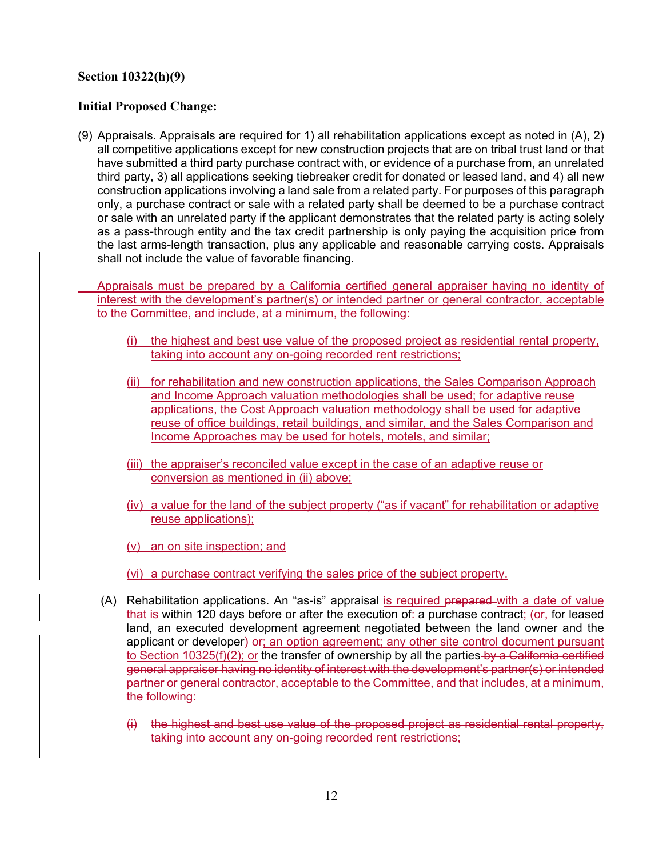## **Section 10322(h)(9)**

### **Initial Proposed Change:**

(9) Appraisals. Appraisals are required for 1) all rehabilitation applications except as noted in (A), 2) all competitive applications except for new construction projects that are on tribal trust land or that have submitted a third party purchase contract with, or evidence of a purchase from, an unrelated third party, 3) all applications seeking tiebreaker credit for donated or leased land, and 4) all new construction applications involving a land sale from a related party. For purposes of this paragraph only, a purchase contract or sale with a related party shall be deemed to be a purchase contract or sale with an unrelated party if the applicant demonstrates that the related party is acting solely as a pass-through entity and the tax credit partnership is only paying the acquisition price from the last arms-length transaction, plus any applicable and reasonable carrying costs. Appraisals shall not include the value of favorable financing.

 Appraisals must be prepared by a California certified general appraiser having no identity of interest with the development's partner(s) or intended partner or general contractor, acceptable to the Committee, and include, at a minimum, the following:

- (i) the highest and best use value of the proposed project as residential rental property, taking into account any on-going recorded rent restrictions;
- (ii) for rehabilitation and new construction applications, the Sales Comparison Approach and Income Approach valuation methodologies shall be used; for adaptive reuse applications, the Cost Approach valuation methodology shall be used for adaptive reuse of office buildings, retail buildings, and similar, and the Sales Comparison and Income Approaches may be used for hotels, motels, and similar;
- (iii) the appraiser's reconciled value except in the case of an adaptive reuse or conversion as mentioned in (ii) above;
- (iv) a value for the land of the subject property ("as if vacant" for rehabilitation or adaptive reuse applications);
- (v) an on site inspection; and
- (vi) a purchase contract verifying the sales price of the subject property.
- (A) Rehabilitation applications. An "as-is" appraisal is required prepared with a date of value that is within 120 days before or after the execution of: a purchase contract; (or, for leased land, an executed development agreement negotiated between the land owner and the applicant or developer) or; an option agreement; any other site control document pursuant to Section 10325(f)(2); or the transfer of ownership by all the parties by a California certified general appraiser having no identity of interest with the development's partner(s) or intended partner or general contractor, acceptable to the Committee, and that includes, at a minimum, the following:
	- (i) the highest and best use value of the proposed project as residential rental property, taking into account any on-going recorded rent restrictions;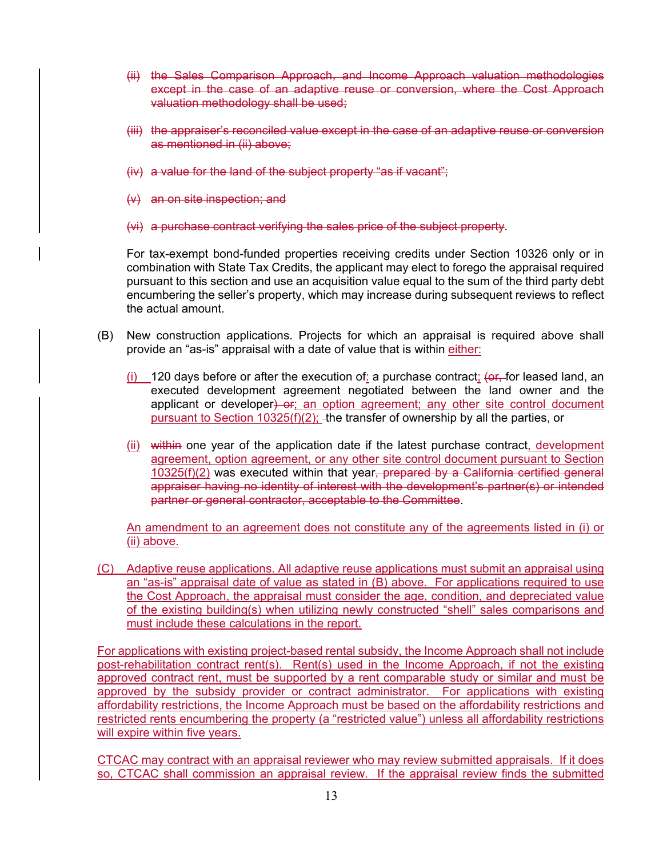- (ii) the Sales Comparison Approach, and Income Approach valuation methodologies except in the case of an adaptive reuse or conversion, where the Cost Approach valuation methodology shall be used;
- (iii) the appraiser's reconciled value except in the case of an adaptive reuse or conversion as mentioned in (ii) above;
- $(iv)$  a value for the land of the subject property "as if vacant":
- (v) an on site inspection; and
- (vi) a purchase contract verifying the sales price of the subject property.

For tax-exempt bond-funded properties receiving credits under Section 10326 only or in combination with State Tax Credits, the applicant may elect to forego the appraisal required pursuant to this section and use an acquisition value equal to the sum of the third party debt encumbering the seller's property, which may increase during subsequent reviews to reflect the actual amount.

- (B) New construction applications. Projects for which an appraisal is required above shall provide an "as-is" appraisal with a date of value that is within either:
	- (i) 120 days before or after the execution of: a purchase contract;  $\left( \Theta_r \right)$  for leased land, an executed development agreement negotiated between the land owner and the applicant or developer) or; an option agreement; any other site control document pursuant to Section 10325(f)(2); -the transfer of ownership by all the parties, or
	- (ii) within one year of the application date if the latest purchase contract, development agreement, option agreement, or any other site control document pursuant to Section 10325(f)(2) was executed within that year, prepared by a California certified general appraiser having no identity of interest with the development's partner(s) or intended partner or general contractor, acceptable to the Committee.

An amendment to an agreement does not constitute any of the agreements listed in (i) or (ii) above.

(C) Adaptive reuse applications. All adaptive reuse applications must submit an appraisal using an "as-is" appraisal date of value as stated in (B) above. For applications required to use the Cost Approach, the appraisal must consider the age, condition, and depreciated value of the existing building(s) when utilizing newly constructed "shell" sales comparisons and must include these calculations in the report.

For applications with existing project-based rental subsidy, the Income Approach shall not include post-rehabilitation contract rent(s). Rent(s) used in the Income Approach, if not the existing approved contract rent, must be supported by a rent comparable study or similar and must be approved by the subsidy provider or contract administrator. For applications with existing affordability restrictions, the Income Approach must be based on the affordability restrictions and restricted rents encumbering the property (a "restricted value") unless all affordability restrictions will expire within five years.

CTCAC may contract with an appraisal reviewer who may review submitted appraisals. If it does so, CTCAC shall commission an appraisal review. If the appraisal review finds the submitted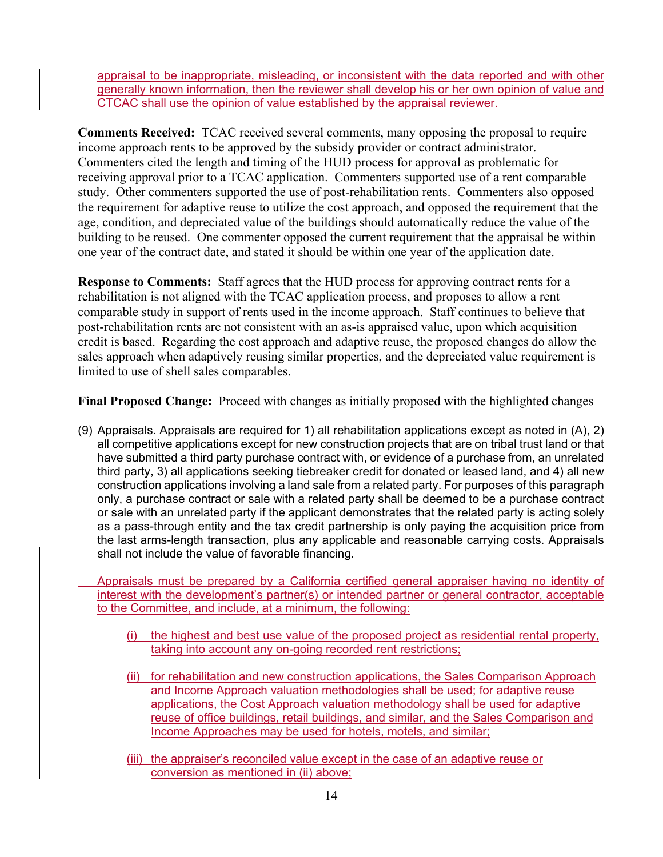appraisal to be inappropriate, misleading, or inconsistent with the data reported and with other generally known information, then the reviewer shall develop his or her own opinion of value and CTCAC shall use the opinion of value established by the appraisal reviewer.

**Comments Received:** TCAC received several comments, many opposing the proposal to require income approach rents to be approved by the subsidy provider or contract administrator. Commenters cited the length and timing of the HUD process for approval as problematic for receiving approval prior to a TCAC application. Commenters supported use of a rent comparable study. Other commenters supported the use of post-rehabilitation rents. Commenters also opposed the requirement for adaptive reuse to utilize the cost approach, and opposed the requirement that the age, condition, and depreciated value of the buildings should automatically reduce the value of the building to be reused. One commenter opposed the current requirement that the appraisal be within one year of the contract date, and stated it should be within one year of the application date.

**Response to Comments:** Staff agrees that the HUD process for approving contract rents for a rehabilitation is not aligned with the TCAC application process, and proposes to allow a rent comparable study in support of rents used in the income approach. Staff continues to believe that post-rehabilitation rents are not consistent with an as-is appraised value, upon which acquisition credit is based. Regarding the cost approach and adaptive reuse, the proposed changes do allow the sales approach when adaptively reusing similar properties, and the depreciated value requirement is limited to use of shell sales comparables.

**Final Proposed Change:** Proceed with changes as initially proposed with the highlighted changes

(9) Appraisals. Appraisals are required for 1) all rehabilitation applications except as noted in (A), 2) all competitive applications except for new construction projects that are on tribal trust land or that have submitted a third party purchase contract with, or evidence of a purchase from, an unrelated third party, 3) all applications seeking tiebreaker credit for donated or leased land, and 4) all new construction applications involving a land sale from a related party. For purposes of this paragraph only, a purchase contract or sale with a related party shall be deemed to be a purchase contract or sale with an unrelated party if the applicant demonstrates that the related party is acting solely as a pass-through entity and the tax credit partnership is only paying the acquisition price from the last arms-length transaction, plus any applicable and reasonable carrying costs. Appraisals shall not include the value of favorable financing.

Appraisals must be prepared by a California certified general appraiser having no identity of interest with the development's partner(s) or intended partner or general contractor, acceptable to the Committee, and include, at a minimum, the following:

- (i) the highest and best use value of the proposed project as residential rental property, taking into account any on-going recorded rent restrictions;
- (ii) for rehabilitation and new construction applications, the Sales Comparison Approach and Income Approach valuation methodologies shall be used; for adaptive reuse applications, the Cost Approach valuation methodology shall be used for adaptive reuse of office buildings, retail buildings, and similar, and the Sales Comparison and Income Approaches may be used for hotels, motels, and similar;
- (iii) the appraiser's reconciled value except in the case of an adaptive reuse or conversion as mentioned in (ii) above;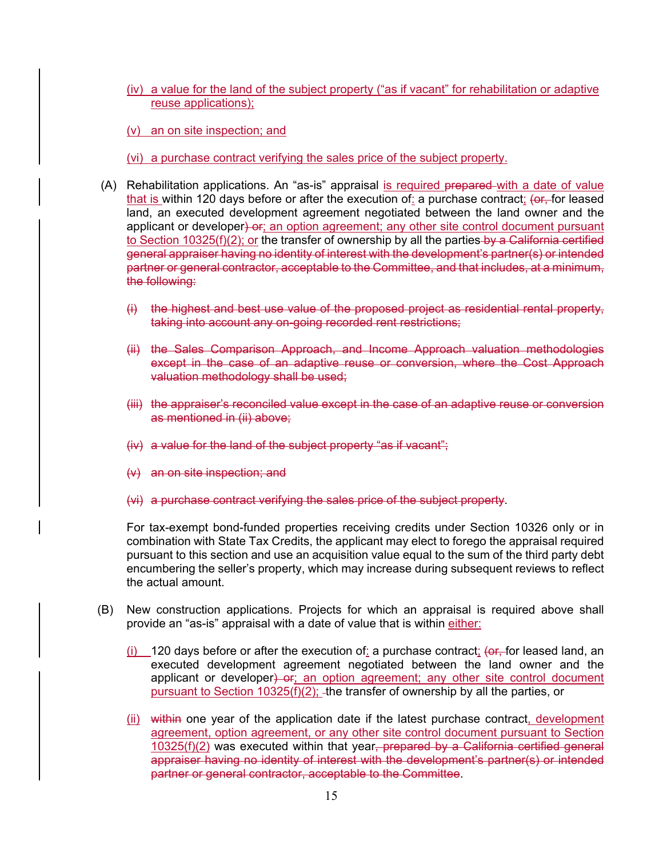- (iv) a value for the land of the subject property ("as if vacant" for rehabilitation or adaptive reuse applications);
- (v) an on site inspection; and

(vi) a purchase contract verifying the sales price of the subject property.

- (A) Rehabilitation applications. An "as-is" appraisal is required prepared with a date of value that is within 120 days before or after the execution of: a purchase contract; (or, for leased land, an executed development agreement negotiated between the land owner and the applicant or developer) or; an option agreement; any other site control document pursuant to Section 10325(f)(2); or the transfer of ownership by all the parties by a California certified general appraiser having no identity of interest with the development's partner(s) or intended partner or general contractor, acceptable to the Committee, and that includes, at a minimum, the following:
	- (i) the highest and best use value of the proposed project as residential rental property, taking into account any on-going recorded rent restrictions;
	- (ii) the Sales Comparison Approach, and Income Approach valuation methodologies except in the case of an adaptive reuse or conversion, where the Cost Approach valuation methodology shall be used;
	- (iii) the appraiser's reconciled value except in the case of an adaptive reuse or conversion as mentioned in (ii) above;
	- (iv) a value for the land of the subject property "as if vacant";
	- (v) an on site inspection; and
	- (vi) a purchase contract verifying the sales price of the subject property.

For tax-exempt bond-funded properties receiving credits under Section 10326 only or in combination with State Tax Credits, the applicant may elect to forego the appraisal required pursuant to this section and use an acquisition value equal to the sum of the third party debt encumbering the seller's property, which may increase during subsequent reviews to reflect the actual amount.

- (B) New construction applications. Projects for which an appraisal is required above shall provide an "as-is" appraisal with a date of value that is within either:
	- $(i)$  120 days before or after the execution of: a purchase contract;  $($ or, for leased land, an executed development agreement negotiated between the land owner and the applicant or developer) or; an option agreement; any other site control document pursuant to Section 10325(f)(2); -the transfer of ownership by all the parties, or
	- (ii) within one year of the application date if the latest purchase contract, development agreement, option agreement, or any other site control document pursuant to Section 10325(f)(2) was executed within that year, prepared by a California certified general appraiser having no identity of interest with the development's partner(s) or intended partner or general contractor, acceptable to the Committee.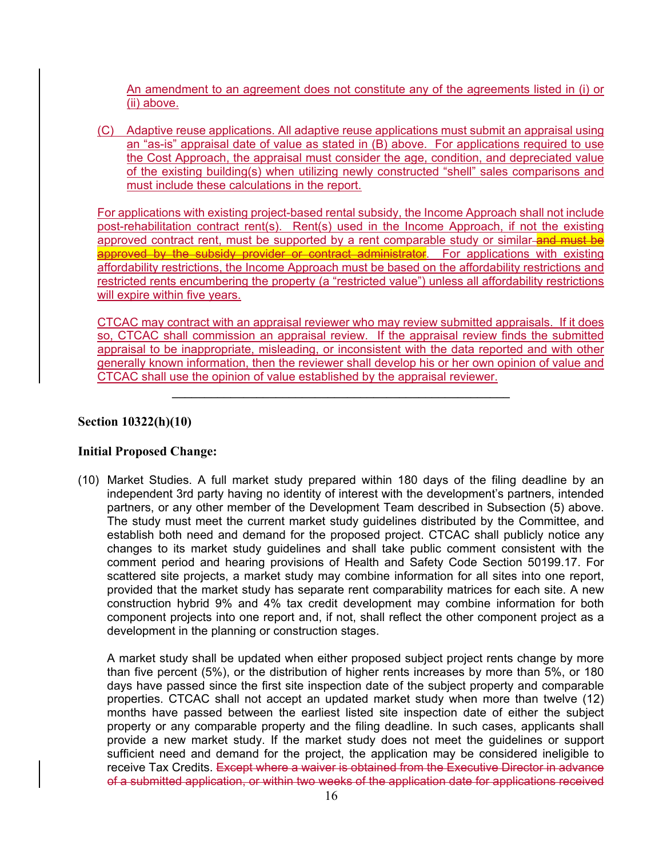An amendment to an agreement does not constitute any of the agreements listed in (i) or (ii) above.

(C) Adaptive reuse applications. All adaptive reuse applications must submit an appraisal using an "as-is" appraisal date of value as stated in (B) above. For applications required to use the Cost Approach, the appraisal must consider the age, condition, and depreciated value of the existing building(s) when utilizing newly constructed "shell" sales comparisons and must include these calculations in the report.

For applications with existing project-based rental subsidy, the Income Approach shall not include post-rehabilitation contract rent(s). Rent(s) used in the Income Approach, if not the existing approved contract rent, must be supported by a rent comparable study or similar-and must be approved by the subsidy provider or contract administrator. For applications with existing affordability restrictions, the Income Approach must be based on the affordability restrictions and restricted rents encumbering the property (a "restricted value") unless all affordability restrictions will expire within five years.

CTCAC may contract with an appraisal reviewer who may review submitted appraisals. If it does so, CTCAC shall commission an appraisal review. If the appraisal review finds the submitted appraisal to be inappropriate, misleading, or inconsistent with the data reported and with other generally known information, then the reviewer shall develop his or her own opinion of value and CTCAC shall use the opinion of value established by the appraisal reviewer.

**\_\_\_\_\_\_\_\_\_\_\_\_\_\_\_\_\_\_\_\_\_\_\_\_\_\_\_\_\_\_\_\_\_\_\_\_\_\_\_\_\_\_\_\_\_\_\_\_\_\_\_\_** 

#### **Section 10322(h)(10)**

### **Initial Proposed Change:**

(10) Market Studies. A full market study prepared within 180 days of the filing deadline by an independent 3rd party having no identity of interest with the development's partners, intended partners, or any other member of the Development Team described in Subsection (5) above. The study must meet the current market study guidelines distributed by the Committee, and establish both need and demand for the proposed project. CTCAC shall publicly notice any changes to its market study guidelines and shall take public comment consistent with the comment period and hearing provisions of Health and Safety Code Section 50199.17. For scattered site projects, a market study may combine information for all sites into one report, provided that the market study has separate rent comparability matrices for each site. A new construction hybrid 9% and 4% tax credit development may combine information for both component projects into one report and, if not, shall reflect the other component project as a development in the planning or construction stages.

A market study shall be updated when either proposed subject project rents change by more than five percent (5%), or the distribution of higher rents increases by more than 5%, or 180 days have passed since the first site inspection date of the subject property and comparable properties. CTCAC shall not accept an updated market study when more than twelve (12) months have passed between the earliest listed site inspection date of either the subject property or any comparable property and the filing deadline. In such cases, applicants shall provide a new market study. If the market study does not meet the guidelines or support sufficient need and demand for the project, the application may be considered ineligible to receive Tax Credits. Except where a waiver is obtained from the Executive Director in advance of a submitted application, or within two weeks of the application date for applications received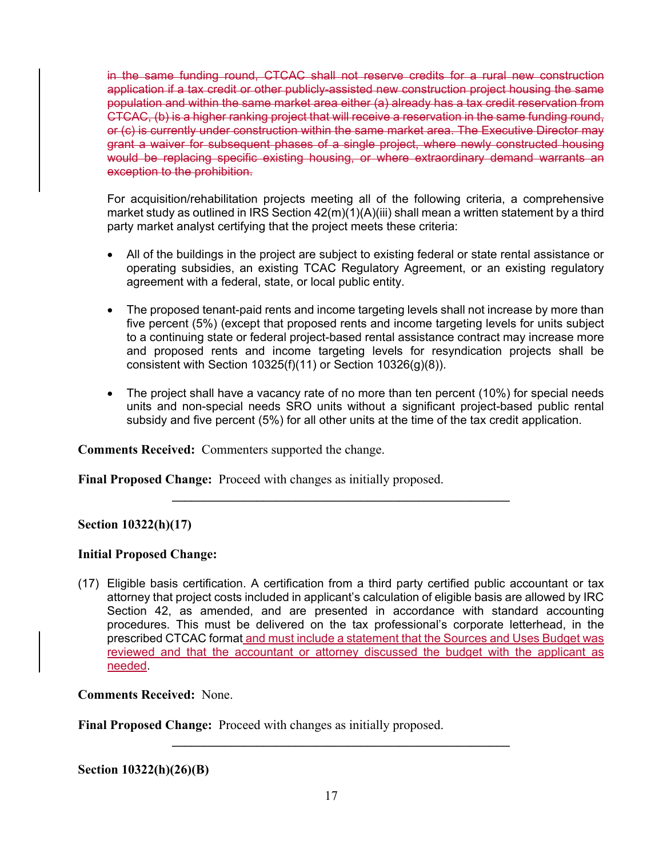in the same funding round, CTCAC shall not reserve credits for a rural new construction application if a tax credit or other publicly-assisted new construction project housing the same population and within the same market area either (a) already has a tax credit reservation from CTCAC, (b) is a higher ranking project that will receive a reservation in the same funding round, or (c) is currently under construction within the same market area. The Executive Director may grant a waiver for subsequent phases of a single project, where newly constructed housing would be replacing specific existing housing, or where extraordinary demand warrants an exception to the prohibition.

For acquisition/rehabilitation projects meeting all of the following criteria, a comprehensive market study as outlined in IRS Section 42(m)(1)(A)(iii) shall mean a written statement by a third party market analyst certifying that the project meets these criteria:

- All of the buildings in the project are subject to existing federal or state rental assistance or operating subsidies, an existing TCAC Regulatory Agreement, or an existing regulatory agreement with a federal, state, or local public entity.
- The proposed tenant-paid rents and income targeting levels shall not increase by more than five percent (5%) (except that proposed rents and income targeting levels for units subject to a continuing state or federal project-based rental assistance contract may increase more and proposed rents and income targeting levels for resyndication projects shall be consistent with Section  $10325(f)(11)$  or Section  $10326(g)(8)$ ).
- The project shall have a vacancy rate of no more than ten percent (10%) for special needs units and non-special needs SRO units without a significant project-based public rental subsidy and five percent (5%) for all other units at the time of the tax credit application.

**Comments Received:** Commenters supported the change.

**Final Proposed Change:** Proceed with changes as initially proposed.

### **Section 10322(h)(17)**

### **Initial Proposed Change:**

(17) Eligible basis certification. A certification from a third party certified public accountant or tax attorney that project costs included in applicant's calculation of eligible basis are allowed by IRC Section 42, as amended, and are presented in accordance with standard accounting procedures. This must be delivered on the tax professional's corporate letterhead, in the prescribed CTCAC format and must include a statement that the Sources and Uses Budget was reviewed and that the accountant or attorney discussed the budget with the applicant as needed.

 $\mathcal{L}_\mathcal{L} = \{ \mathcal{L}_\mathcal{L} = \{ \mathcal{L}_\mathcal{L} \}$ 

**Comments Received:** None.

**Final Proposed Change:** Proceed with changes as initially proposed.

**Section 10322(h)(26)(B)** 

**\_\_\_\_\_\_\_\_\_\_\_\_\_\_\_\_\_\_\_\_\_\_\_\_\_\_\_\_\_\_\_\_\_\_\_\_\_\_\_\_\_\_\_\_\_\_\_\_\_\_\_\_**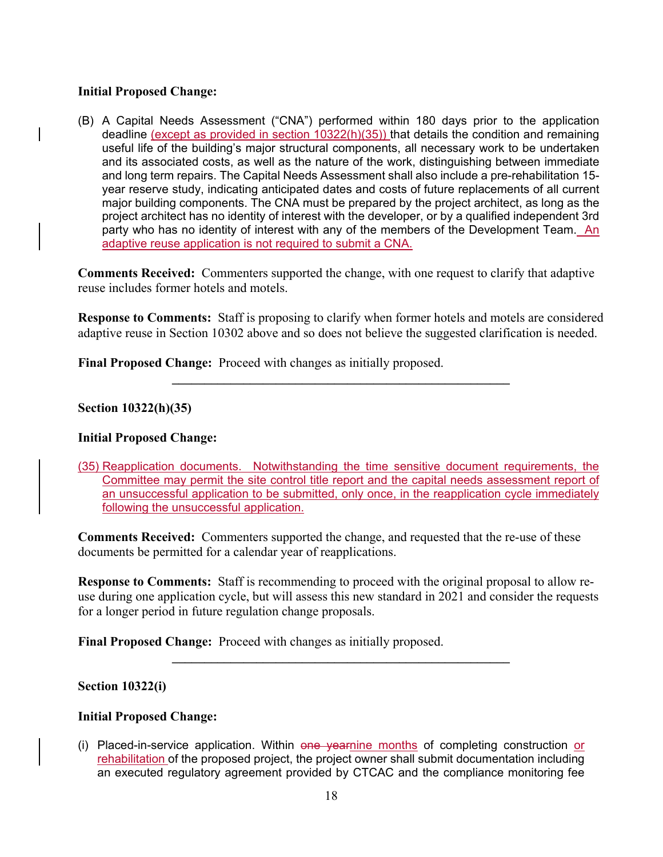## **Initial Proposed Change:**

(B) A Capital Needs Assessment ("CNA") performed within 180 days prior to the application deadline (except as provided in section 10322(h)(35)) that details the condition and remaining useful life of the building's major structural components, all necessary work to be undertaken and its associated costs, as well as the nature of the work, distinguishing between immediate and long term repairs. The Capital Needs Assessment shall also include a pre-rehabilitation 15 year reserve study, indicating anticipated dates and costs of future replacements of all current major building components. The CNA must be prepared by the project architect, as long as the project architect has no identity of interest with the developer, or by a qualified independent 3rd party who has no identity of interest with any of the members of the Development Team. An adaptive reuse application is not required to submit a CNA.

**Comments Received:** Commenters supported the change, with one request to clarify that adaptive reuse includes former hotels and motels.

**Response to Comments:** Staff is proposing to clarify when former hotels and motels are considered adaptive reuse in Section 10302 above and so does not believe the suggested clarification is needed.

 $\mathcal{L}_\mathcal{L} = \{ \mathcal{L}_\mathcal{L} = \{ \mathcal{L}_\mathcal{L} \}$ 

**Final Proposed Change:** Proceed with changes as initially proposed.

**Section 10322(h)(35)** 

### **Initial Proposed Change:**

(35) Reapplication documents. Notwithstanding the time sensitive document requirements, the Committee may permit the site control title report and the capital needs assessment report of an unsuccessful application to be submitted, only once, in the reapplication cycle immediately following the unsuccessful application.

**Comments Received:** Commenters supported the change, and requested that the re-use of these documents be permitted for a calendar year of reapplications.

**Response to Comments:** Staff is recommending to proceed with the original proposal to allow reuse during one application cycle, but will assess this new standard in 2021 and consider the requests for a longer period in future regulation change proposals.

**\_\_\_\_\_\_\_\_\_\_\_\_\_\_\_\_\_\_\_\_\_\_\_\_\_\_\_\_\_\_\_\_\_\_\_\_\_\_\_\_\_\_\_\_\_\_\_\_\_\_\_\_** 

**Final Proposed Change:** Proceed with changes as initially proposed.

### **Section 10322(i)**

### **Initial Proposed Change:**

(i) Placed-in-service application. Within one yearnine months of completing construction or rehabilitation of the proposed project, the project owner shall submit documentation including an executed regulatory agreement provided by CTCAC and the compliance monitoring fee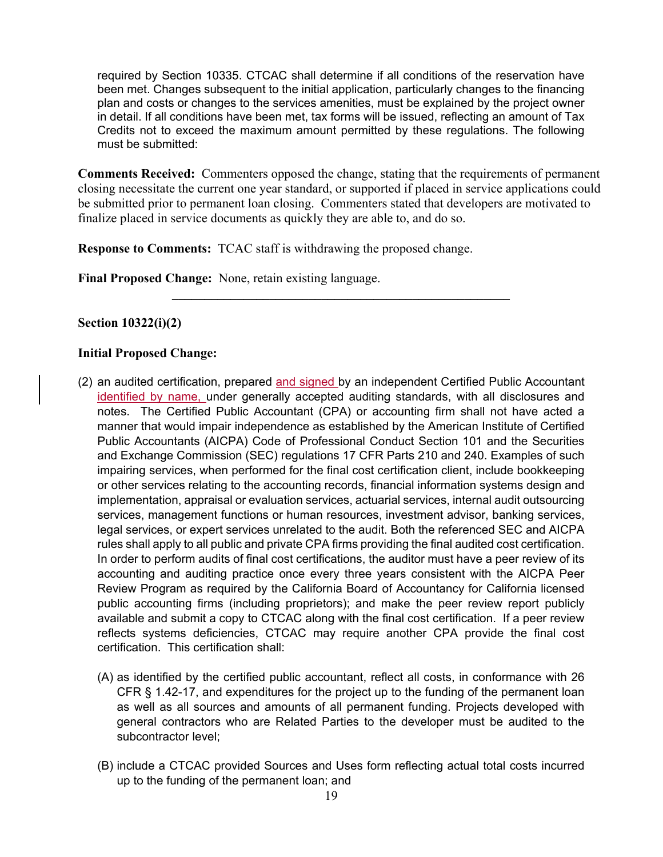required by Section 10335. CTCAC shall determine if all conditions of the reservation have been met. Changes subsequent to the initial application, particularly changes to the financing plan and costs or changes to the services amenities, must be explained by the project owner in detail. If all conditions have been met, tax forms will be issued, reflecting an amount of Tax Credits not to exceed the maximum amount permitted by these regulations. The following must be submitted:

**Comments Received:** Commenters opposed the change, stating that the requirements of permanent closing necessitate the current one year standard, or supported if placed in service applications could be submitted prior to permanent loan closing. Commenters stated that developers are motivated to finalize placed in service documents as quickly they are able to, and do so.

**\_\_\_\_\_\_\_\_\_\_\_\_\_\_\_\_\_\_\_\_\_\_\_\_\_\_\_\_\_\_\_\_\_\_\_\_\_\_\_\_\_\_\_\_\_\_\_\_\_\_\_\_** 

**Response to Comments:** TCAC staff is withdrawing the proposed change.

**Final Proposed Change:** None, retain existing language.

## **Section 10322(i)(2)**

### **Initial Proposed Change:**

- (2) an audited certification, prepared and signed by an independent Certified Public Accountant identified by name, under generally accepted auditing standards, with all disclosures and notes. The Certified Public Accountant (CPA) or accounting firm shall not have acted a manner that would impair independence as established by the American Institute of Certified Public Accountants (AICPA) Code of Professional Conduct Section 101 and the Securities and Exchange Commission (SEC) regulations 17 CFR Parts 210 and 240. Examples of such impairing services, when performed for the final cost certification client, include bookkeeping or other services relating to the accounting records, financial information systems design and implementation, appraisal or evaluation services, actuarial services, internal audit outsourcing services, management functions or human resources, investment advisor, banking services, legal services, or expert services unrelated to the audit. Both the referenced SEC and AICPA rules shall apply to all public and private CPA firms providing the final audited cost certification. In order to perform audits of final cost certifications, the auditor must have a peer review of its accounting and auditing practice once every three years consistent with the AICPA Peer Review Program as required by the California Board of Accountancy for California licensed public accounting firms (including proprietors); and make the peer review report publicly available and submit a copy to CTCAC along with the final cost certification. If a peer review reflects systems deficiencies, CTCAC may require another CPA provide the final cost certification. This certification shall:
	- (A) as identified by the certified public accountant, reflect all costs, in conformance with 26 CFR § 1.42-17, and expenditures for the project up to the funding of the permanent loan as well as all sources and amounts of all permanent funding. Projects developed with general contractors who are Related Parties to the developer must be audited to the subcontractor level;
	- (B) include a CTCAC provided Sources and Uses form reflecting actual total costs incurred up to the funding of the permanent loan; and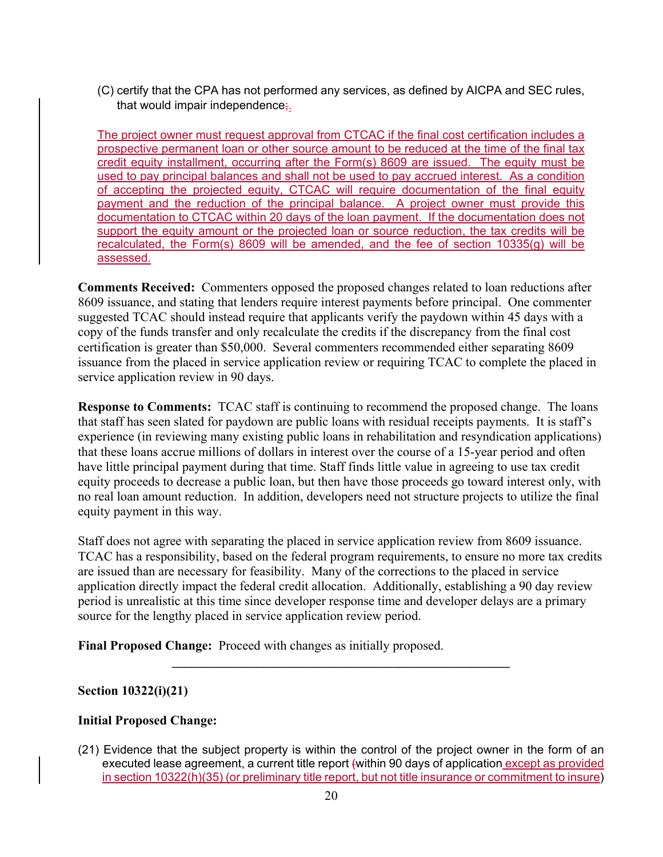(C) certify that the CPA has not performed any services, as defined by AICPA and SEC rules, that would impair independence;.

The project owner must request approval from CTCAC if the final cost certification includes a prospective permanent loan or other source amount to be reduced at the time of the final tax credit equity installment, occurring after the Form(s) 8609 are issued. The equity must be used to pay principal balances and shall not be used to pay accrued interest. As a condition of accepting the projected equity, CTCAC will require documentation of the final equity payment and the reduction of the principal balance. A project owner must provide this documentation to CTCAC within 20 days of the loan payment. If the documentation does not support the equity amount or the projected loan or source reduction, the tax credits will be recalculated, the Form(s) 8609 will be amended, and the fee of section 10335(g) will be assessed.

**Comments Received:** Commenters opposed the proposed changes related to loan reductions after 8609 issuance, and stating that lenders require interest payments before principal. One commenter suggested TCAC should instead require that applicants verify the paydown within 45 days with a copy of the funds transfer and only recalculate the credits if the discrepancy from the final cost certification is greater than \$50,000. Several commenters recommended either separating 8609 issuance from the placed in service application review or requiring TCAC to complete the placed in service application review in 90 days.

**Response to Comments:** TCAC staff is continuing to recommend the proposed change. The loans that staff has seen slated for paydown are public loans with residual receipts payments. It is staff's experience (in reviewing many existing public loans in rehabilitation and resyndication applications) that these loans accrue millions of dollars in interest over the course of a 15-year period and often have little principal payment during that time. Staff finds little value in agreeing to use tax credit equity proceeds to decrease a public loan, but then have those proceeds go toward interest only, with no real loan amount reduction. In addition, developers need not structure projects to utilize the final equity payment in this way.

Staff does not agree with separating the placed in service application review from 8609 issuance. TCAC has a responsibility, based on the federal program requirements, to ensure no more tax credits are issued than are necessary for feasibility. Many of the corrections to the placed in service application directly impact the federal credit allocation. Additionally, establishing a 90 day review period is unrealistic at this time since developer response time and developer delays are a primary source for the lengthy placed in service application review period.

**\_\_\_\_\_\_\_\_\_\_\_\_\_\_\_\_\_\_\_\_\_\_\_\_\_\_\_\_\_\_\_\_\_\_\_\_\_\_\_\_\_\_\_\_\_\_\_\_\_\_\_\_** 

**Final Proposed Change:** Proceed with changes as initially proposed.

# **Section 10322(i)(21)**

# **Initial Proposed Change:**

(21) Evidence that the subject property is within the control of the project owner in the form of an executed lease agreement, a current title report (within 90 days of application except as provided in section 10322(h)(35) (or preliminary title report, but not title insurance or commitment to insure)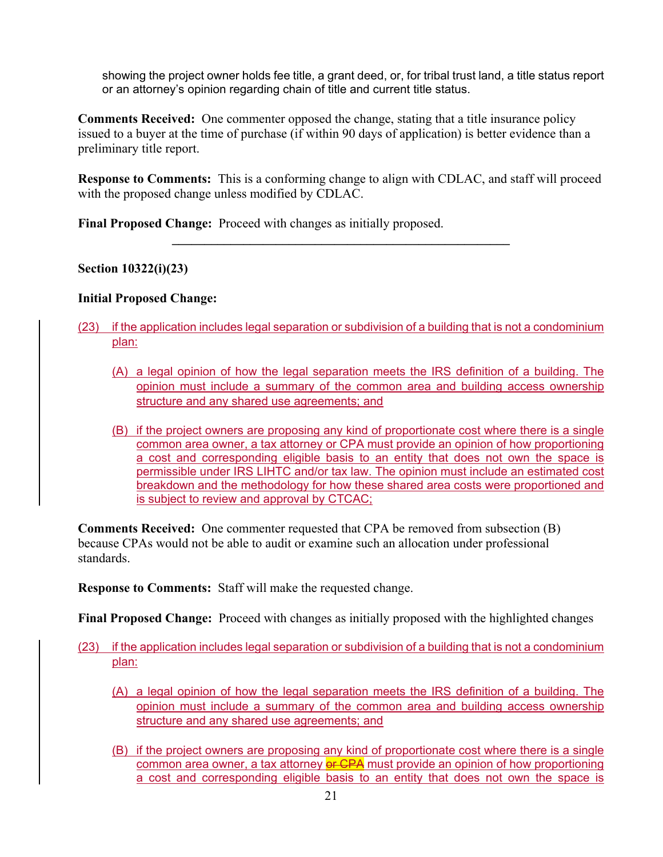showing the project owner holds fee title, a grant deed, or, for tribal trust land, a title status report or an attorney's opinion regarding chain of title and current title status.

**Comments Received:** One commenter opposed the change, stating that a title insurance policy issued to a buyer at the time of purchase (if within 90 days of application) is better evidence than a preliminary title report.

**Response to Comments:** This is a conforming change to align with CDLAC, and staff will proceed with the proposed change unless modified by CDLAC.

**\_\_\_\_\_\_\_\_\_\_\_\_\_\_\_\_\_\_\_\_\_\_\_\_\_\_\_\_\_\_\_\_\_\_\_\_\_\_\_\_\_\_\_\_\_\_\_\_\_\_\_\_** 

**Final Proposed Change:** Proceed with changes as initially proposed.

**Section 10322(i)(23)** 

## **Initial Proposed Change:**

- (23) if the application includes legal separation or subdivision of a building that is not a condominium plan:
	- (A) a legal opinion of how the legal separation meets the IRS definition of a building. The opinion must include a summary of the common area and building access ownership structure and any shared use agreements; and
	- (B) if the project owners are proposing any kind of proportionate cost where there is a single common area owner, a tax attorney or CPA must provide an opinion of how proportioning a cost and corresponding eligible basis to an entity that does not own the space is permissible under IRS LIHTC and/or tax law. The opinion must include an estimated cost breakdown and the methodology for how these shared area costs were proportioned and is subject to review and approval by CTCAC;

**Comments Received:** One commenter requested that CPA be removed from subsection (B) because CPAs would not be able to audit or examine such an allocation under professional standards.

**Response to Comments:** Staff will make the requested change.

**Final Proposed Change:** Proceed with changes as initially proposed with the highlighted changes

- (23) if the application includes legal separation or subdivision of a building that is not a condominium plan:
	- (A) a legal opinion of how the legal separation meets the IRS definition of a building. The opinion must include a summary of the common area and building access ownership structure and any shared use agreements; and
	- (B) if the project owners are proposing any kind of proportionate cost where there is a single common area owner, a tax attorney or CPA must provide an opinion of how proportioning a cost and corresponding eligible basis to an entity that does not own the space is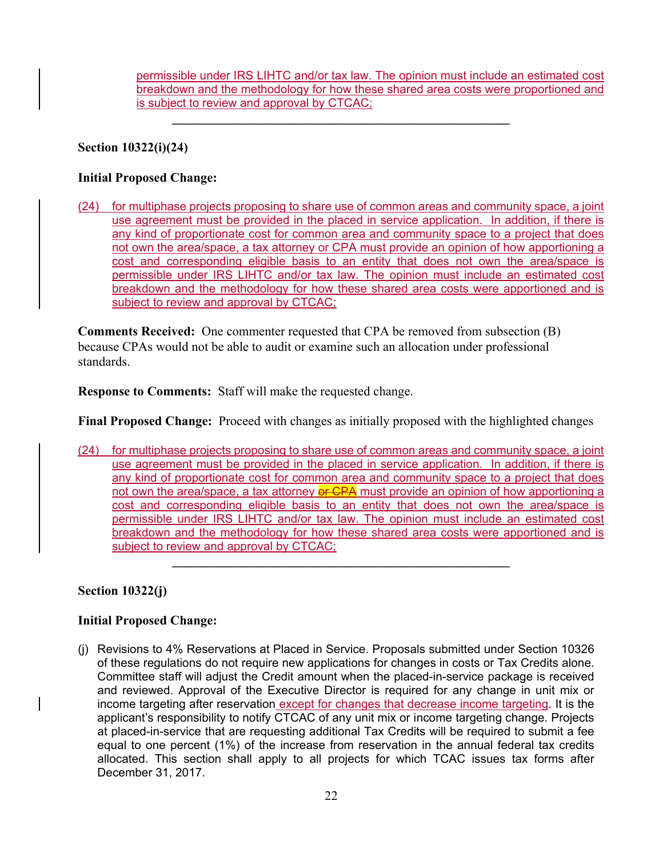permissible under IRS LIHTC and/or tax law. The opinion must include an estimated cost breakdown and the methodology for how these shared area costs were proportioned and is subject to review and approval by CTCAC;

# **Section 10322(i)(24)**

## **Initial Proposed Change:**

(24) for multiphase projects proposing to share use of common areas and community space, a joint use agreement must be provided in the placed in service application. In addition, if there is any kind of proportionate cost for common area and community space to a project that does not own the area/space, a tax attorney or CPA must provide an opinion of how apportioning a cost and corresponding eligible basis to an entity that does not own the area/space is permissible under IRS LIHTC and/or tax law. The opinion must include an estimated cost breakdown and the methodology for how these shared area costs were apportioned and is subject to review and approval by CTCAC;

 $\mathcal{L}_\mathcal{L} = \{ \mathcal{L}_\mathcal{L} = \{ \mathcal{L}_\mathcal{L} \}$ 

**Comments Received:** One commenter requested that CPA be removed from subsection (B) because CPAs would not be able to audit or examine such an allocation under professional standards.

**Response to Comments:** Staff will make the requested change.

**Final Proposed Change:** Proceed with changes as initially proposed with the highlighted changes

(24) for multiphase projects proposing to share use of common areas and community space, a joint use agreement must be provided in the placed in service application. In addition, if there is any kind of proportionate cost for common area and community space to a project that does not own the area/space, a tax attorney or CPA must provide an opinion of how apportioning a cost and corresponding eligible basis to an entity that does not own the area/space is permissible under IRS LIHTC and/or tax law. The opinion must include an estimated cost breakdown and the methodology for how these shared area costs were apportioned and is subject to review and approval by CTCAC;

**\_\_\_\_\_\_\_\_\_\_\_\_\_\_\_\_\_\_\_\_\_\_\_\_\_\_\_\_\_\_\_\_\_\_\_\_\_\_\_\_\_\_\_\_\_\_\_\_\_\_\_\_** 

### **Section 10322(j)**

### **Initial Proposed Change:**

(j) Revisions to 4% Reservations at Placed in Service. Proposals submitted under Section 10326 of these regulations do not require new applications for changes in costs or Tax Credits alone. Committee staff will adjust the Credit amount when the placed-in-service package is received and reviewed. Approval of the Executive Director is required for any change in unit mix or income targeting after reservation except for changes that decrease income targeting. It is the applicant's responsibility to notify CTCAC of any unit mix or income targeting change. Projects at placed-in-service that are requesting additional Tax Credits will be required to submit a fee equal to one percent (1%) of the increase from reservation in the annual federal tax credits allocated. This section shall apply to all projects for which TCAC issues tax forms after December 31, 2017.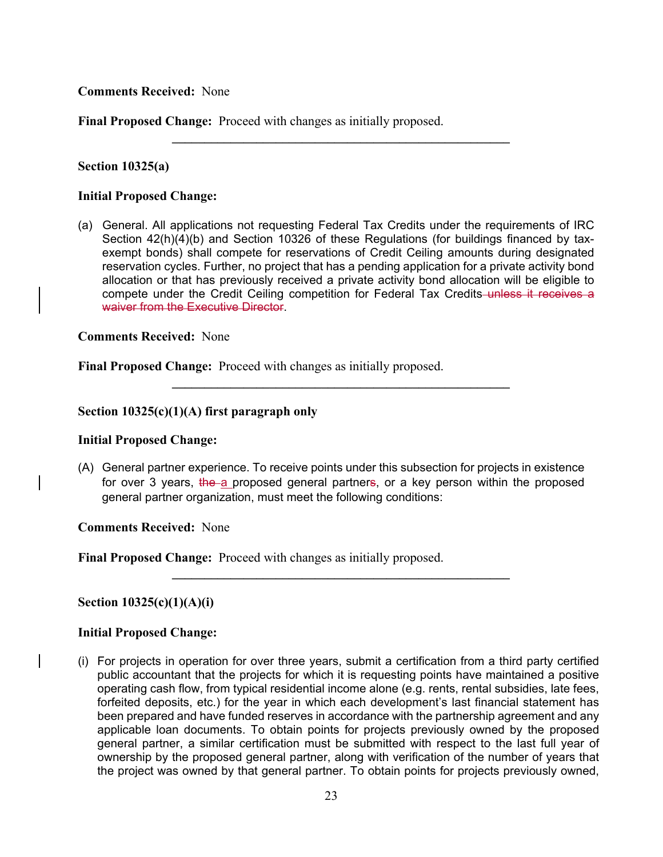**Comments Received:** None

**Final Proposed Change:** Proceed with changes as initially proposed.

#### **Section 10325(a)**

#### **Initial Proposed Change:**

(a) General. All applications not requesting Federal Tax Credits under the requirements of IRC Section 42(h)(4)(b) and Section 10326 of these Regulations (for buildings financed by taxexempt bonds) shall compete for reservations of Credit Ceiling amounts during designated reservation cycles. Further, no project that has a pending application for a private activity bond allocation or that has previously received a private activity bond allocation will be eligible to compete under the Credit Ceiling competition for Federal Tax Credits–unless it receives a waiver from the Executive Director.

 $\mathcal{L}_\mathcal{L} = \{ \mathcal{L}_\mathcal{L} = \{ \mathcal{L}_\mathcal{L} \}$ 

 $\mathcal{L}_\mathcal{L} = \{ \mathcal{L}_\mathcal{L} = \{ \mathcal{L}_\mathcal{L} \}$ 

#### **Comments Received:** None

**Final Proposed Change:** Proceed with changes as initially proposed.

### **Section 10325(c)(1)(A) first paragraph only**

#### **Initial Proposed Change:**

(A) General partner experience. To receive points under this subsection for projects in existence for over 3 years, the a proposed general partners, or a key person within the proposed general partner organization, must meet the following conditions:

**\_\_\_\_\_\_\_\_\_\_\_\_\_\_\_\_\_\_\_\_\_\_\_\_\_\_\_\_\_\_\_\_\_\_\_\_\_\_\_\_\_\_\_\_\_\_\_\_\_\_\_\_** 

#### **Comments Received:** None

**Final Proposed Change:** Proceed with changes as initially proposed.

### **Section 10325(c)(1)(A)(i)**

#### **Initial Proposed Change:**

(i) For projects in operation for over three years, submit a certification from a third party certified public accountant that the projects for which it is requesting points have maintained a positive operating cash flow, from typical residential income alone (e.g. rents, rental subsidies, late fees, forfeited deposits, etc.) for the year in which each development's last financial statement has been prepared and have funded reserves in accordance with the partnership agreement and any applicable loan documents. To obtain points for projects previously owned by the proposed general partner, a similar certification must be submitted with respect to the last full year of ownership by the proposed general partner, along with verification of the number of years that the project was owned by that general partner. To obtain points for projects previously owned,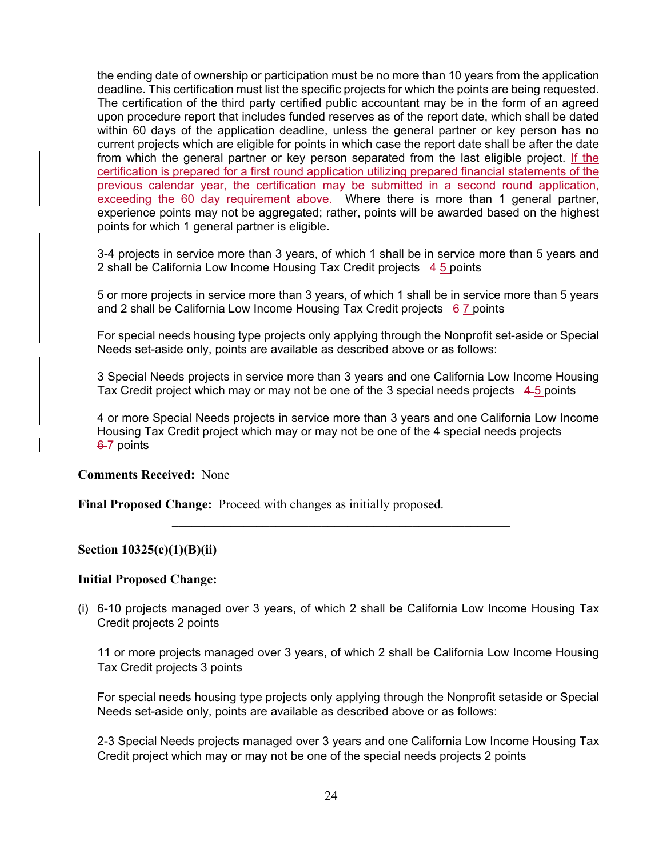the ending date of ownership or participation must be no more than 10 years from the application deadline. This certification must list the specific projects for which the points are being requested. The certification of the third party certified public accountant may be in the form of an agreed upon procedure report that includes funded reserves as of the report date, which shall be dated within 60 days of the application deadline, unless the general partner or key person has no current projects which are eligible for points in which case the report date shall be after the date from which the general partner or key person separated from the last eligible project. If the certification is prepared for a first round application utilizing prepared financial statements of the previous calendar year, the certification may be submitted in a second round application, exceeding the 60 day requirement above. Where there is more than 1 general partner, experience points may not be aggregated; rather, points will be awarded based on the highest points for which 1 general partner is eligible.

3-4 projects in service more than 3 years, of which 1 shall be in service more than 5 years and 2 shall be California Low Income Housing Tax Credit projects 4-5 points

5 or more projects in service more than 3 years, of which 1 shall be in service more than 5 years and 2 shall be California Low Income Housing Tax Credit projects  $6-7$  points

For special needs housing type projects only applying through the Nonprofit set-aside or Special Needs set-aside only, points are available as described above or as follows:

3 Special Needs projects in service more than 3 years and one California Low Income Housing Tax Credit project which may or may not be one of the 3 special needs projects  $4.5$  points

4 or more Special Needs projects in service more than 3 years and one California Low Income Housing Tax Credit project which may or may not be one of the 4 special needs projects 6-7 points

#### **Comments Received:** None

**Final Proposed Change:** Proceed with changes as initially proposed.

### **Section 10325(c)(1)(B)(ii)**

#### **Initial Proposed Change:**

(i) 6-10 projects managed over 3 years, of which 2 shall be California Low Income Housing Tax Credit projects 2 points

**\_\_\_\_\_\_\_\_\_\_\_\_\_\_\_\_\_\_\_\_\_\_\_\_\_\_\_\_\_\_\_\_\_\_\_\_\_\_\_\_\_\_\_\_\_\_\_\_\_\_\_\_** 

11 or more projects managed over 3 years, of which 2 shall be California Low Income Housing Tax Credit projects 3 points

For special needs housing type projects only applying through the Nonprofit setaside or Special Needs set-aside only, points are available as described above or as follows:

2-3 Special Needs projects managed over 3 years and one California Low Income Housing Tax Credit project which may or may not be one of the special needs projects 2 points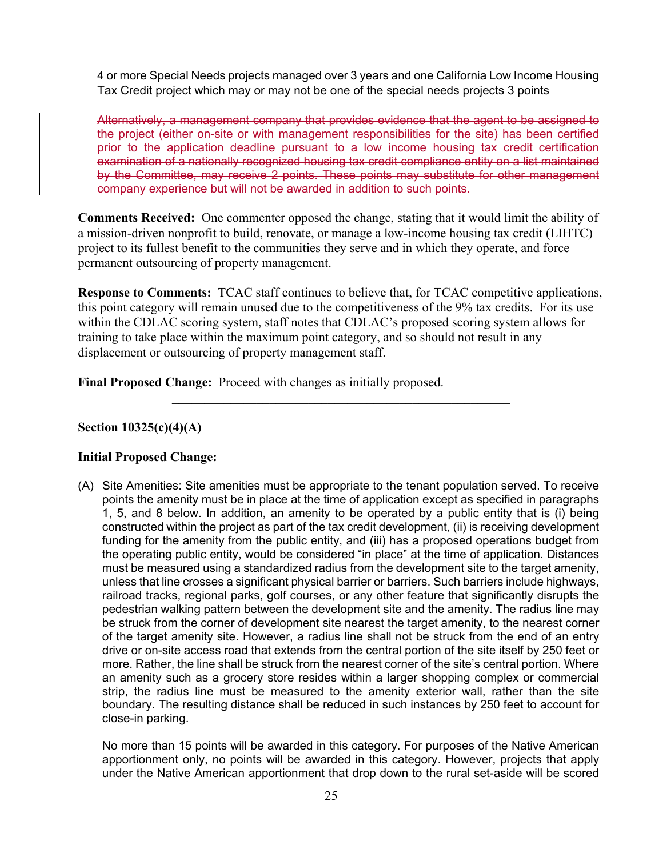4 or more Special Needs projects managed over 3 years and one California Low Income Housing Tax Credit project which may or may not be one of the special needs projects 3 points

Alternatively, a management company that provides evidence that the agent to be assigned to the project (either on-site or with management responsibilities for the site) has been certified prior to the application deadline pursuant to a low income housing tax credit certification examination of a nationally recognized housing tax credit compliance entity on a list maintained by the Committee, may receive 2 points. These points may substitute for other management company experience but will not be awarded in addition to such points.

**Comments Received:** One commenter opposed the change, stating that it would limit the ability of a mission-driven nonprofit to build, renovate, or manage a low-income housing tax credit (LIHTC) project to its fullest benefit to the communities they serve and in which they operate, and force permanent outsourcing of property management.

**Response to Comments:** TCAC staff continues to believe that, for TCAC competitive applications, this point category will remain unused due to the competitiveness of the 9% tax credits. For its use within the CDLAC scoring system, staff notes that CDLAC's proposed scoring system allows for training to take place within the maximum point category, and so should not result in any displacement or outsourcing of property management staff.

**\_\_\_\_\_\_\_\_\_\_\_\_\_\_\_\_\_\_\_\_\_\_\_\_\_\_\_\_\_\_\_\_\_\_\_\_\_\_\_\_\_\_\_\_\_\_\_\_\_\_\_\_** 

**Final Proposed Change:** Proceed with changes as initially proposed.

### **Section 10325(c)(4)(A)**

### **Initial Proposed Change:**

(A) Site Amenities: Site amenities must be appropriate to the tenant population served. To receive points the amenity must be in place at the time of application except as specified in paragraphs 1, 5, and 8 below. In addition, an amenity to be operated by a public entity that is (i) being constructed within the project as part of the tax credit development, (ii) is receiving development funding for the amenity from the public entity, and (iii) has a proposed operations budget from the operating public entity, would be considered "in place" at the time of application. Distances must be measured using a standardized radius from the development site to the target amenity, unless that line crosses a significant physical barrier or barriers. Such barriers include highways, railroad tracks, regional parks, golf courses, or any other feature that significantly disrupts the pedestrian walking pattern between the development site and the amenity. The radius line may be struck from the corner of development site nearest the target amenity, to the nearest corner of the target amenity site. However, a radius line shall not be struck from the end of an entry drive or on-site access road that extends from the central portion of the site itself by 250 feet or more. Rather, the line shall be struck from the nearest corner of the site's central portion. Where an amenity such as a grocery store resides within a larger shopping complex or commercial strip, the radius line must be measured to the amenity exterior wall, rather than the site boundary. The resulting distance shall be reduced in such instances by 250 feet to account for close-in parking.

No more than 15 points will be awarded in this category. For purposes of the Native American apportionment only, no points will be awarded in this category. However, projects that apply under the Native American apportionment that drop down to the rural set-aside will be scored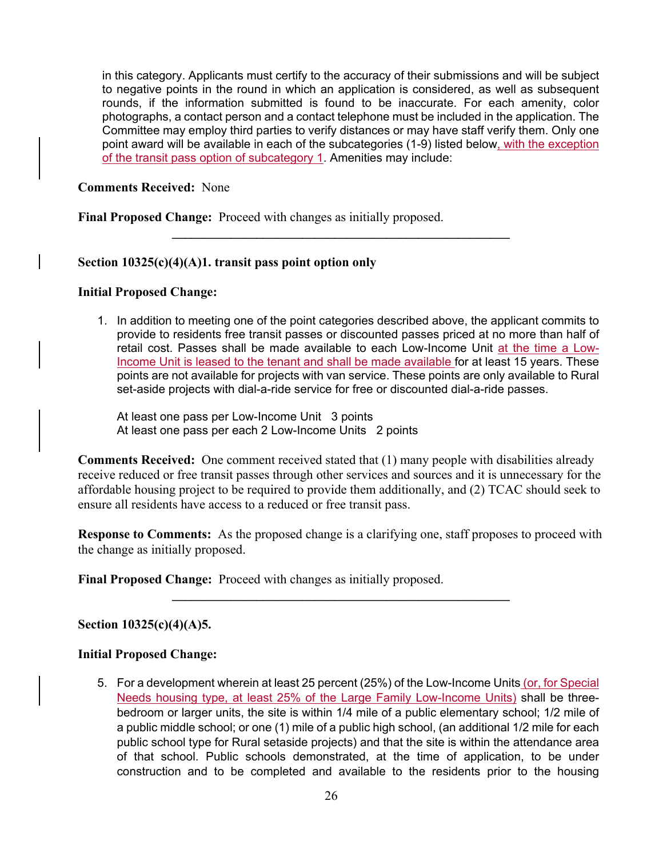in this category. Applicants must certify to the accuracy of their submissions and will be subject to negative points in the round in which an application is considered, as well as subsequent rounds, if the information submitted is found to be inaccurate. For each amenity, color photographs, a contact person and a contact telephone must be included in the application. The Committee may employ third parties to verify distances or may have staff verify them. Only one point award will be available in each of the subcategories (1-9) listed below, with the exception of the transit pass option of subcategory 1. Amenities may include:

**\_\_\_\_\_\_\_\_\_\_\_\_\_\_\_\_\_\_\_\_\_\_\_\_\_\_\_\_\_\_\_\_\_\_\_\_\_\_\_\_\_\_\_\_\_\_\_\_\_\_\_\_** 

#### **Comments Received:** None

**Final Proposed Change:** Proceed with changes as initially proposed.

### **Section 10325(c)(4)(A)1. transit pass point option only**

#### **Initial Proposed Change:**

1. In addition to meeting one of the point categories described above, the applicant commits to provide to residents free transit passes or discounted passes priced at no more than half of retail cost. Passes shall be made available to each Low-Income Unit at the time a Low-Income Unit is leased to the tenant and shall be made available for at least 15 years. These points are not available for projects with van service. These points are only available to Rural set-aside projects with dial-a-ride service for free or discounted dial-a-ride passes.

At least one pass per Low-Income Unit 3 points At least one pass per each 2 Low-Income Units 2 points

**Comments Received:** One comment received stated that (1) many people with disabilities already receive reduced or free transit passes through other services and sources and it is unnecessary for the affordable housing project to be required to provide them additionally, and (2) TCAC should seek to ensure all residents have access to a reduced or free transit pass.

**Response to Comments:** As the proposed change is a clarifying one, staff proposes to proceed with the change as initially proposed.

**\_\_\_\_\_\_\_\_\_\_\_\_\_\_\_\_\_\_\_\_\_\_\_\_\_\_\_\_\_\_\_\_\_\_\_\_\_\_\_\_\_\_\_\_\_\_\_\_\_\_\_\_** 

**Final Proposed Change:** Proceed with changes as initially proposed.

### **Section 10325(c)(4)(A)5.**

#### **Initial Proposed Change:**

5. For a development wherein at least 25 percent (25%) of the Low-Income Units (or, for Special Needs housing type, at least 25% of the Large Family Low-Income Units) shall be threebedroom or larger units, the site is within 1/4 mile of a public elementary school; 1/2 mile of a public middle school; or one (1) mile of a public high school, (an additional 1/2 mile for each public school type for Rural setaside projects) and that the site is within the attendance area of that school. Public schools demonstrated, at the time of application, to be under construction and to be completed and available to the residents prior to the housing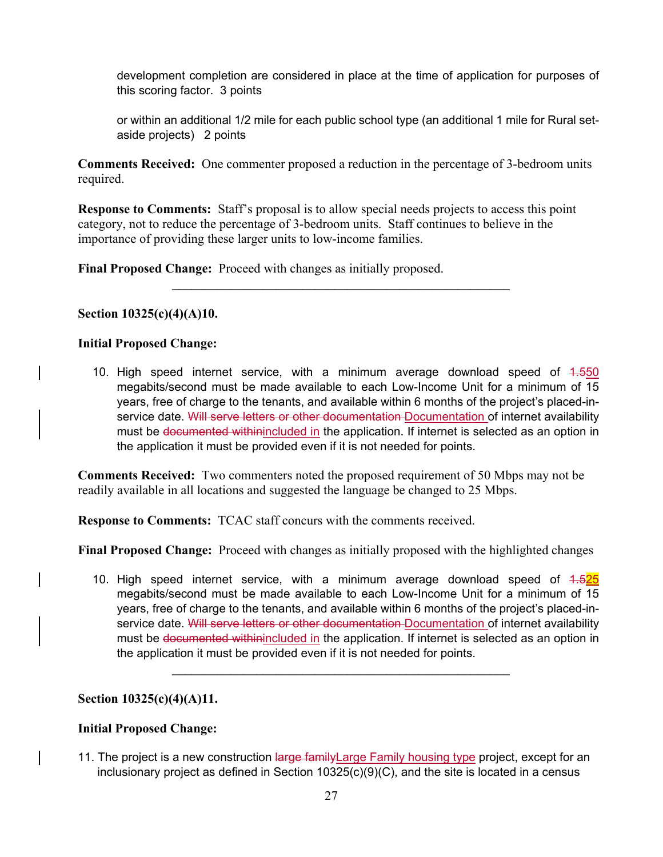development completion are considered in place at the time of application for purposes of this scoring factor. 3 points

or within an additional 1/2 mile for each public school type (an additional 1 mile for Rural setaside projects) 2 points

**Comments Received:** One commenter proposed a reduction in the percentage of 3-bedroom units required.

**Response to Comments:** Staff's proposal is to allow special needs projects to access this point category, not to reduce the percentage of 3-bedroom units. Staff continues to believe in the importance of providing these larger units to low-income families.

 $\mathcal{L}_\mathcal{L} = \{ \mathcal{L}_\mathcal{L} = \{ \mathcal{L}_\mathcal{L} \}$ 

**Final Proposed Change:** Proceed with changes as initially proposed.

### **Section 10325(c)(4)(A)10.**

### **Initial Proposed Change:**

10. High speed internet service, with a minimum average download speed of 1.550 megabits/second must be made available to each Low-Income Unit for a minimum of 15 years, free of charge to the tenants, and available within 6 months of the project's placed-inservice date. Will serve letters or other documentation Documentation of internet availability must be documented withinincluded in the application. If internet is selected as an option in the application it must be provided even if it is not needed for points.

**Comments Received:** Two commenters noted the proposed requirement of 50 Mbps may not be readily available in all locations and suggested the language be changed to 25 Mbps.

**Response to Comments:** TCAC staff concurs with the comments received.

**Final Proposed Change:** Proceed with changes as initially proposed with the highlighted changes

10. High speed internet service, with a minimum average download speed of 1.525 megabits/second must be made available to each Low-Income Unit for a minimum of 15 years, free of charge to the tenants, and available within 6 months of the project's placed-inservice date. Will serve letters or other documentation Documentation of internet availability must be documented withinincluded in the application. If internet is selected as an option in the application it must be provided even if it is not needed for points.

 $\mathcal{L}_\mathcal{L} = \{ \mathcal{L}_\mathcal{L} = \{ \mathcal{L}_\mathcal{L} \}$ 

# **Section 10325(c)(4)(A)11.**

# **Initial Proposed Change:**

11. The project is a new construction large family Large Family housing type project, except for an inclusionary project as defined in Section 10325(c)(9)(C), and the site is located in a census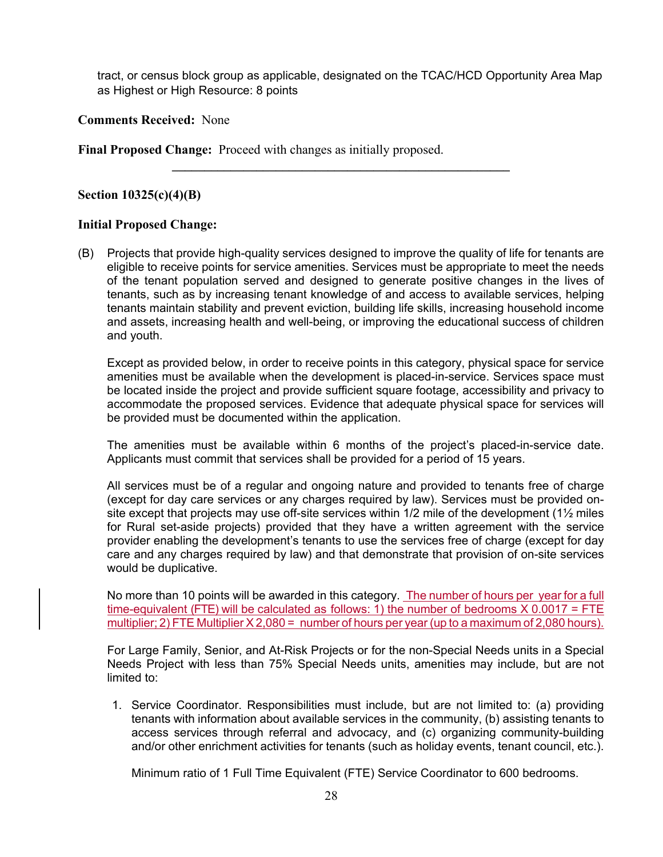tract, or census block group as applicable, designated on the TCAC/HCD Opportunity Area Map as Highest or High Resource: 8 points

**\_\_\_\_\_\_\_\_\_\_\_\_\_\_\_\_\_\_\_\_\_\_\_\_\_\_\_\_\_\_\_\_\_\_\_\_\_\_\_\_\_\_\_\_\_\_\_\_\_\_\_\_** 

**Comments Received:** None

**Final Proposed Change:** Proceed with changes as initially proposed.

### **Section 10325(c)(4)(B)**

### **Initial Proposed Change:**

(B) Projects that provide high-quality services designed to improve the quality of life for tenants are eligible to receive points for service amenities. Services must be appropriate to meet the needs of the tenant population served and designed to generate positive changes in the lives of tenants, such as by increasing tenant knowledge of and access to available services, helping tenants maintain stability and prevent eviction, building life skills, increasing household income and assets, increasing health and well-being, or improving the educational success of children and youth.

Except as provided below, in order to receive points in this category, physical space for service amenities must be available when the development is placed-in-service. Services space must be located inside the project and provide sufficient square footage, accessibility and privacy to accommodate the proposed services. Evidence that adequate physical space for services will be provided must be documented within the application.

The amenities must be available within 6 months of the project's placed-in-service date. Applicants must commit that services shall be provided for a period of 15 years.

All services must be of a regular and ongoing nature and provided to tenants free of charge (except for day care services or any charges required by law). Services must be provided onsite except that projects may use off-site services within 1/2 mile of the development (1<sup>1/2</sup> miles for Rural set-aside projects) provided that they have a written agreement with the service provider enabling the development's tenants to use the services free of charge (except for day care and any charges required by law) and that demonstrate that provision of on-site services would be duplicative.

No more than 10 points will be awarded in this category. The number of hours per year for a full time-equivalent (FTE) will be calculated as follows: 1) the number of bedrooms X 0.0017 = FTE multiplier; 2) FTE Multiplier X 2,080 = number of hours per year (up to a maximum of 2,080 hours).

For Large Family, Senior, and At-Risk Projects or for the non-Special Needs units in a Special Needs Project with less than 75% Special Needs units, amenities may include, but are not limited to:

1. Service Coordinator. Responsibilities must include, but are not limited to: (a) providing tenants with information about available services in the community, (b) assisting tenants to access services through referral and advocacy, and (c) organizing community-building and/or other enrichment activities for tenants (such as holiday events, tenant council, etc.).

Minimum ratio of 1 Full Time Equivalent (FTE) Service Coordinator to 600 bedrooms.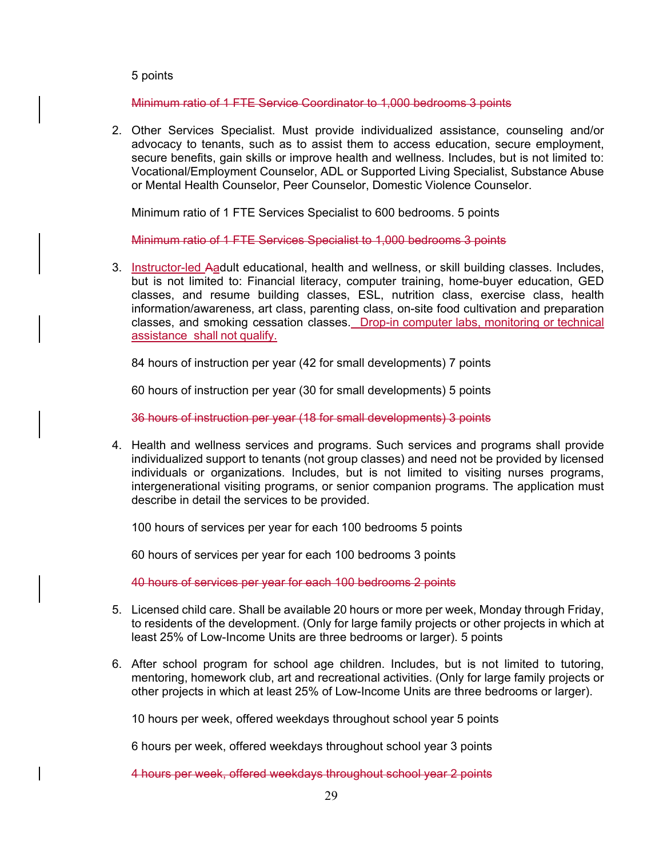#### 5 points

Minimum ratio of 1 FTE Service Coordinator to 1,000 bedrooms 3 points

2. Other Services Specialist. Must provide individualized assistance, counseling and/or advocacy to tenants, such as to assist them to access education, secure employment, secure benefits, gain skills or improve health and wellness. Includes, but is not limited to: Vocational/Employment Counselor, ADL or Supported Living Specialist, Substance Abuse or Mental Health Counselor, Peer Counselor, Domestic Violence Counselor.

Minimum ratio of 1 FTE Services Specialist to 600 bedrooms. 5 points

Minimum ratio of 1 FTE Services Specialist to 1,000 bedrooms 3 points

3. Instructor-led Aadult educational, health and wellness, or skill building classes. Includes, but is not limited to: Financial literacy, computer training, home-buyer education, GED classes, and resume building classes, ESL, nutrition class, exercise class, health information/awareness, art class, parenting class, on-site food cultivation and preparation classes, and smoking cessation classes. Drop-in computer labs, monitoring or technical assistance shall not qualify.

84 hours of instruction per year (42 for small developments) 7 points

60 hours of instruction per year (30 for small developments) 5 points

36 hours of instruction per year (18 for small developments) 3 points

4. Health and wellness services and programs. Such services and programs shall provide individualized support to tenants (not group classes) and need not be provided by licensed individuals or organizations. Includes, but is not limited to visiting nurses programs, intergenerational visiting programs, or senior companion programs. The application must describe in detail the services to be provided.

100 hours of services per year for each 100 bedrooms 5 points

60 hours of services per year for each 100 bedrooms 3 points

40 hours of services per year for each 100 bedrooms 2 points

- 5. Licensed child care. Shall be available 20 hours or more per week, Monday through Friday, to residents of the development. (Only for large family projects or other projects in which at least 25% of Low-Income Units are three bedrooms or larger). 5 points
- 6. After school program for school age children. Includes, but is not limited to tutoring, mentoring, homework club, art and recreational activities. (Only for large family projects or other projects in which at least 25% of Low-Income Units are three bedrooms or larger).

10 hours per week, offered weekdays throughout school year 5 points

6 hours per week, offered weekdays throughout school year 3 points

4 hours per week, offered weekdays throughout school year 2 points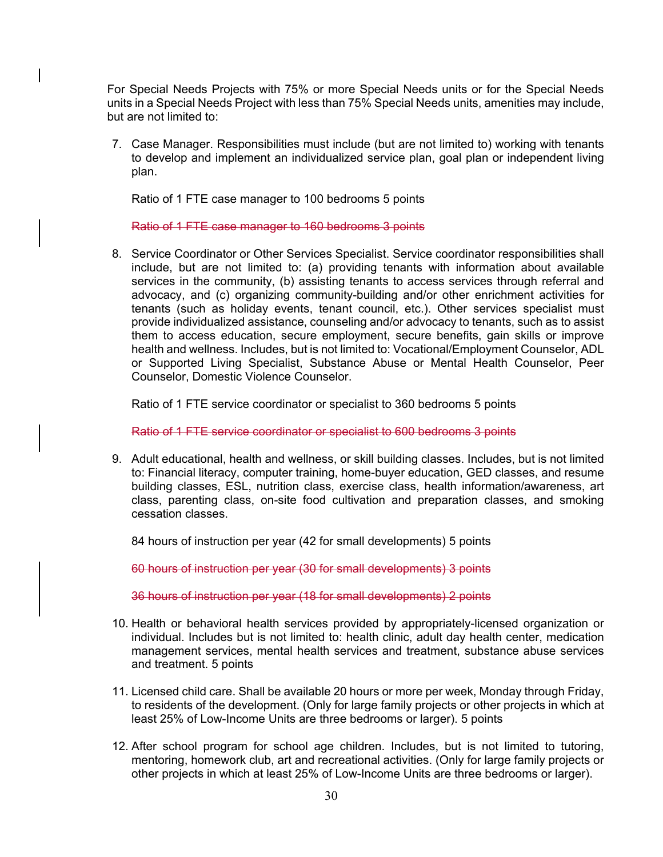For Special Needs Projects with 75% or more Special Needs units or for the Special Needs units in a Special Needs Project with less than 75% Special Needs units, amenities may include, but are not limited to:

7. Case Manager. Responsibilities must include (but are not limited to) working with tenants to develop and implement an individualized service plan, goal plan or independent living plan.

Ratio of 1 FTE case manager to 100 bedrooms 5 points

Ratio of 1 FTE case manager to 160 bedrooms 3 points

8. Service Coordinator or Other Services Specialist. Service coordinator responsibilities shall include, but are not limited to: (a) providing tenants with information about available services in the community, (b) assisting tenants to access services through referral and advocacy, and (c) organizing community-building and/or other enrichment activities for tenants (such as holiday events, tenant council, etc.). Other services specialist must provide individualized assistance, counseling and/or advocacy to tenants, such as to assist them to access education, secure employment, secure benefits, gain skills or improve health and wellness. Includes, but is not limited to: Vocational/Employment Counselor, ADL or Supported Living Specialist, Substance Abuse or Mental Health Counselor, Peer Counselor, Domestic Violence Counselor.

Ratio of 1 FTE service coordinator or specialist to 360 bedrooms 5 points

Ratio of 1 FTE service coordinator or specialist to 600 bedrooms 3 points

9. Adult educational, health and wellness, or skill building classes. Includes, but is not limited to: Financial literacy, computer training, home-buyer education, GED classes, and resume building classes, ESL, nutrition class, exercise class, health information/awareness, art class, parenting class, on-site food cultivation and preparation classes, and smoking cessation classes.

84 hours of instruction per year (42 for small developments) 5 points

60 hours of instruction per year (30 for small developments) 3 points

36 hours of instruction per year (18 for small developments) 2 points

- 10. Health or behavioral health services provided by appropriately-licensed organization or individual. Includes but is not limited to: health clinic, adult day health center, medication management services, mental health services and treatment, substance abuse services and treatment. 5 points
- 11. Licensed child care. Shall be available 20 hours or more per week, Monday through Friday, to residents of the development. (Only for large family projects or other projects in which at least 25% of Low-Income Units are three bedrooms or larger). 5 points
- 12. After school program for school age children. Includes, but is not limited to tutoring, mentoring, homework club, art and recreational activities. (Only for large family projects or other projects in which at least 25% of Low-Income Units are three bedrooms or larger).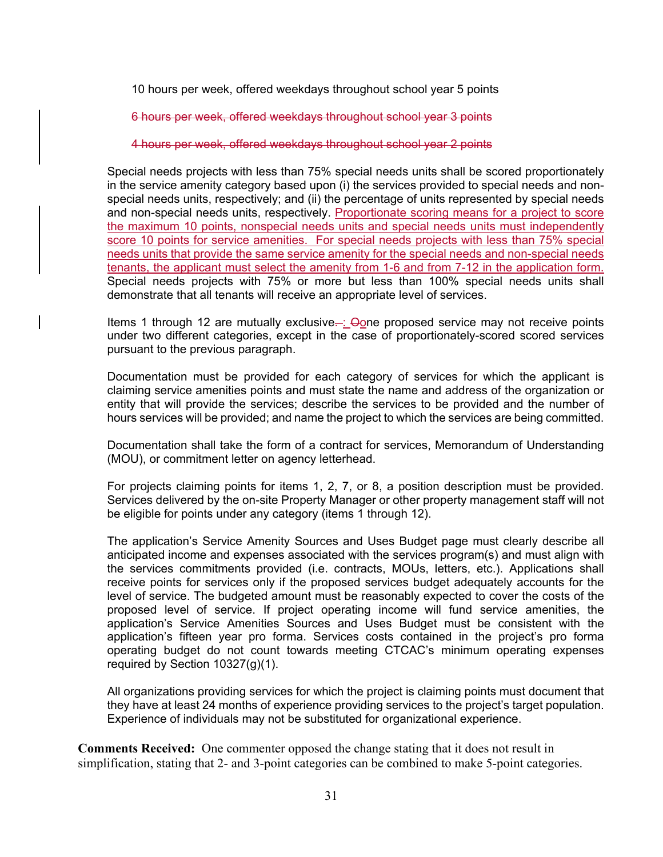10 hours per week, offered weekdays throughout school year 5 points

6 hours per week, offered weekdays throughout school year 3 points

4 hours per week, offered weekdays throughout school year 2 points

Special needs projects with less than 75% special needs units shall be scored proportionately in the service amenity category based upon (i) the services provided to special needs and nonspecial needs units, respectively; and (ii) the percentage of units represented by special needs and non-special needs units, respectively. Proportionate scoring means for a project to score the maximum 10 points, nonspecial needs units and special needs units must independently score 10 points for service amenities. For special needs projects with less than 75% special needs units that provide the same service amenity for the special needs and non-special needs tenants, the applicant must select the amenity from 1-6 and from 7-12 in the application form. Special needs projects with 75% or more but less than 100% special needs units shall demonstrate that all tenants will receive an appropriate level of services.

Items 1 through 12 are mutually exclusive... Gone proposed service may not receive points under two different categories, except in the case of proportionately-scored scored services pursuant to the previous paragraph.

Documentation must be provided for each category of services for which the applicant is claiming service amenities points and must state the name and address of the organization or entity that will provide the services; describe the services to be provided and the number of hours services will be provided; and name the project to which the services are being committed.

Documentation shall take the form of a contract for services, Memorandum of Understanding (MOU), or commitment letter on agency letterhead.

For projects claiming points for items 1, 2, 7, or 8, a position description must be provided. Services delivered by the on-site Property Manager or other property management staff will not be eligible for points under any category (items 1 through 12).

The application's Service Amenity Sources and Uses Budget page must clearly describe all anticipated income and expenses associated with the services program(s) and must align with the services commitments provided (i.e. contracts, MOUs, letters, etc.). Applications shall receive points for services only if the proposed services budget adequately accounts for the level of service. The budgeted amount must be reasonably expected to cover the costs of the proposed level of service. If project operating income will fund service amenities, the application's Service Amenities Sources and Uses Budget must be consistent with the application's fifteen year pro forma. Services costs contained in the project's pro forma operating budget do not count towards meeting CTCAC's minimum operating expenses required by Section 10327(g)(1).

All organizations providing services for which the project is claiming points must document that they have at least 24 months of experience providing services to the project's target population. Experience of individuals may not be substituted for organizational experience.

**Comments Received:** One commenter opposed the change stating that it does not result in simplification, stating that 2- and 3-point categories can be combined to make 5-point categories.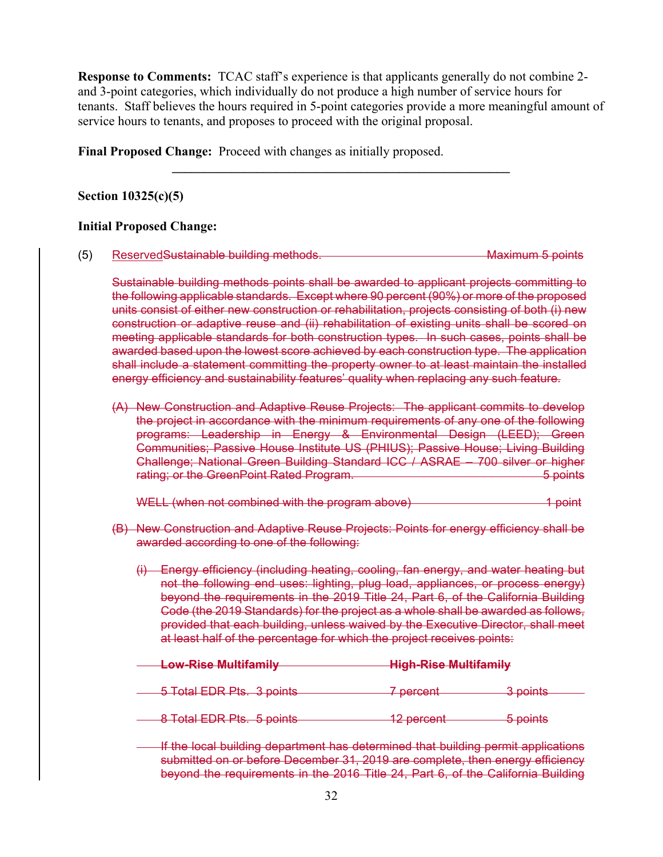**Response to Comments:** TCAC staff's experience is that applicants generally do not combine 2 and 3-point categories, which individually do not produce a high number of service hours for tenants. Staff believes the hours required in 5-point categories provide a more meaningful amount of service hours to tenants, and proposes to proceed with the original proposal.

**\_\_\_\_\_\_\_\_\_\_\_\_\_\_\_\_\_\_\_\_\_\_\_\_\_\_\_\_\_\_\_\_\_\_\_\_\_\_\_\_\_\_\_\_\_\_\_\_\_\_\_\_** 

**Final Proposed Change:** Proceed with changes as initially proposed.

## **Section 10325(c)(5)**

#### **Initial Proposed Change:**

(5) Reserved Sustainable building methods. Maximum 5 points

Sustainable building methods points shall be awarded to applicant projects committing to the following applicable standards. Except where 90 percent (90%) or more of the proposed units consist of either new construction or rehabilitation, projects consisting of both (i) new construction or adaptive reuse and (ii) rehabilitation of existing units shall be scored on meeting applicable standards for both construction types. In such cases, points shall be awarded based upon the lowest score achieved by each construction type. The application shall include a statement committing the property owner to at least maintain the installed energy efficiency and sustainability features' quality when replacing any such feature.

(A) New Construction and Adaptive Reuse Projects: The applicant commits to develop the project in accordance with the minimum requirements of any one of the following programs: Leadership in Energy & Environmental Design (LEED); Green Communities; Passive House Institute US (PHIUS); Passive House; Living Building Challenge; National Green Building Standard ICC / ASRAE – 700 silver or higher rating; or the GreenPoint Rated Program. The Content of the GreenPoints of the Content of the Content of the C

WELL (when not combined with the program above) 1 point

- (B) New Construction and Adaptive Reuse Projects: Points for energy efficiency shall be awarded according to one of the following:
	- (i) Energy efficiency (including heating, cooling, fan energy, and water heating but not the following end uses: lighting, plug load, appliances, or process energy) beyond the requirements in the 2019 Title 24, Part 6, of the California Building Code (the 2019 Standards) for the project as a whole shall be awarded as follows, provided that each building, unless waived by the Executive Director, shall meet at least half of the percentage for which the project receives points:

| Low-Rise Multifamily                 | <b>High-Rise Multifamily</b> |                    |
|--------------------------------------|------------------------------|--------------------|
| <del>LUW KIJU MUNIMANINY</del>       |                              |                    |
|                                      |                              |                    |
| 5 Total EDD Dte 3 pointe             | 7 narcant                    | 3 nointe           |
| <del>0 Tolar LDTT to. 0 points</del> | <del>, poroom</del>          | <del>ס היס ה</del> |

- 8 Total EDR Pts. 5 points 12 percent 5 points
- If the local building department has determined that building permit applications submitted on or before December 31, 2019 are complete, then energy efficiency beyond the requirements in the 2016 Title 24, Part 6, of the California Building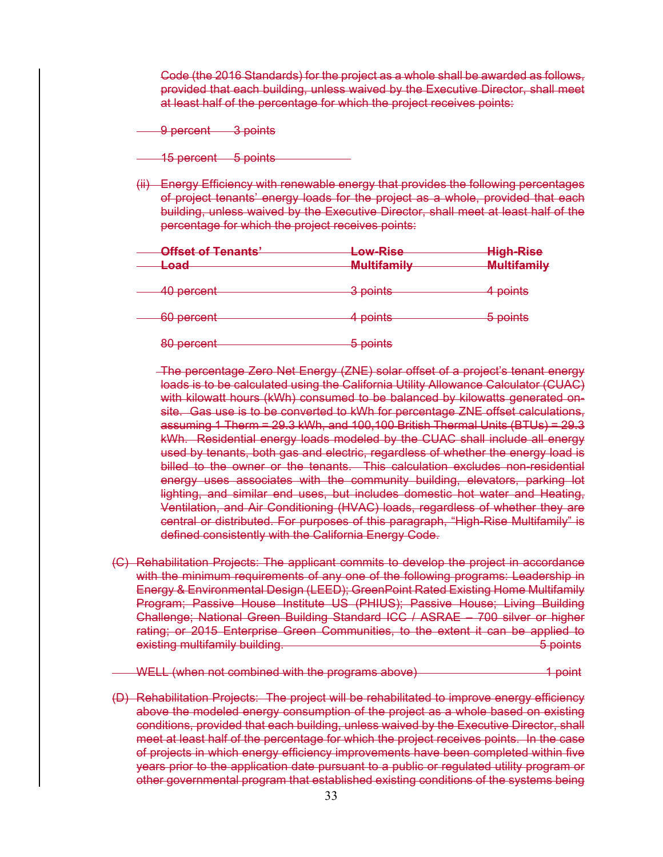Code (the 2016 Standards) for the project as a whole shall be awarded as follows, provided that each building, unless waived by the Executive Director, shall meet at least half of the percentage for which the project receives points:

9 percent 3 points

- 15 percent 5 points
- (ii) Energy Efficiency with renewable energy that provides the following percentages of project tenants' energy loads for the project as a whole, provided that each building, unless waived by the Executive Director, shall meet at least half of the percentage for which the project receives points:

| <b>Offset of Tenants'</b><br><del>Load</del> | Low-Rise<br><b>Multifamily</b> | <b>High-Rise</b><br><b>Multifamily</b> |
|----------------------------------------------|--------------------------------|----------------------------------------|
| 40 percent                                   | 3 points                       | 4 points                               |
| 60 percent                                   | 4 points                       | 5 points                               |
| 80 percent                                   | 5 points                       |                                        |

 The percentage Zero Net Energy (ZNE) solar offset of a project's tenant energy loads is to be calculated using the California Utility Allowance Calculator (CUAC) with kilowatt hours (kWh) consumed to be balanced by kilowatts generated onsite. Gas use is to be converted to kWh for percentage ZNE offset calculations, assuming 1 Therm = 29.3 kWh, and 100,100 British Thermal Units (BTUs) = 29.3 kWh. Residential energy loads modeled by the CUAC shall include all energy used by tenants, both gas and electric, regardless of whether the energy load is billed to the owner or the tenants. This calculation excludes non-residential energy uses associates with the community building, elevators, parking lot lighting, and similar end uses, but includes domestic hot water and Heating, Ventilation, and Air Conditioning (HVAC) loads, regardless of whether they are central or distributed. For purposes of this paragraph, "High-Rise Multifamily" is defined consistently with the California Energy Code.

(C) Rehabilitation Projects: The applicant commits to develop the project in accordance with the minimum requirements of any one of the following programs: Leadership in Energy & Environmental Design (LEED); GreenPoint Rated Existing Home Multifamily Program; Passive House Institute US (PHIUS); Passive House; Living Building Challenge; National Green Building Standard ICC / ASRAE – 700 silver or higher rating; or 2015 Enterprise Green Communities, to the extent it can be applied to existing multifamily building. The control of the control of the points of points of points of the control of the control of the control of the control of the control of the control of the control of the control of the con

WELL (when not combined with the programs above) 4 point

(D) Rehabilitation Projects: The project will be rehabilitated to improve energy efficiency above the modeled energy consumption of the project as a whole based on existing conditions, provided that each building, unless waived by the Executive Director, shall meet at least half of the percentage for which the project receives points. In the case of projects in which energy efficiency improvements have been completed within five years prior to the application date pursuant to a public or regulated utility program or other governmental program that established existing conditions of the systems being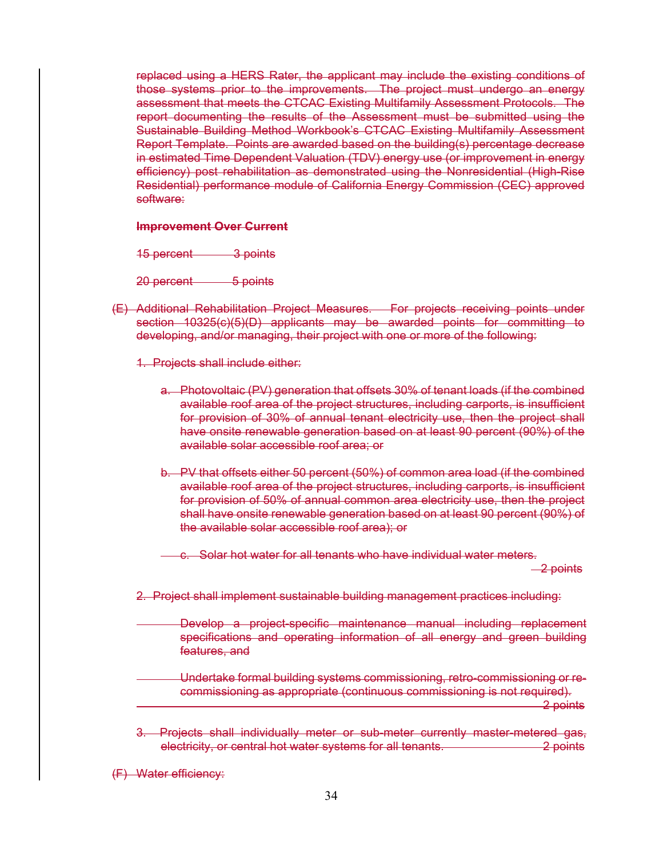replaced using a HERS Rater, the applicant may include the existing conditions of those systems prior to the improvements. The project must undergo an energy assessment that meets the CTCAC Existing Multifamily Assessment Protocols. The report documenting the results of the Assessment must be submitted using the Sustainable Building Method Workbook's CTCAC Existing Multifamily Assessment Report Template. Points are awarded based on the building(s) percentage decrease in estimated Time Dependent Valuation (TDV) energy use (or improvement in energy efficiency) post rehabilitation as demonstrated using the Nonresidential (High-Rise Residential) performance module of California Energy Commission (CEC) approved software:

#### **Improvement Over Current**

15 percent 3 points

20 percent 5 points

(E) Additional Rehabilitation Project Measures. For projects receiving points under section 10325(c)(5)(D) applicants may be awarded points for committing to developing, and/or managing, their project with one or more of the following:

1. Projects shall include either:

- a. Photovoltaic (PV) generation that offsets 30% of tenant loads (if the combined available roof area of the project structures, including carports, is insufficient for provision of 30% of annual tenant electricity use, then the project shall have onsite renewable generation based on at least 90 percent (90%) of the available solar accessible roof area; or
- b. PV that offsets either 50 percent (50%) of common area load (if the combined available roof area of the project structures, including carports, is insufficient for provision of 50% of annual common area electricity use, then the project shall have onsite renewable generation based on at least 90 percent (90%) of the available solar accessible roof area); or

c. Solar hot water for all tenants who have individual water meters.

2 points

- 2. Project shall implement sustainable building management practices including:
	- Develop a project-specific maintenance manual including replacement specifications and operating information of all energy and green building features, and
- Undertake formal building systems commissioning, retro-commissioning or recommissioning as appropriate (continuous commissioning is not required). <u>2 points</u>

3. Projects shall individually meter or sub-meter currently master-metered gas, electricity, or central hot water systems for all tenants. 2 points

(F) Water efficiency: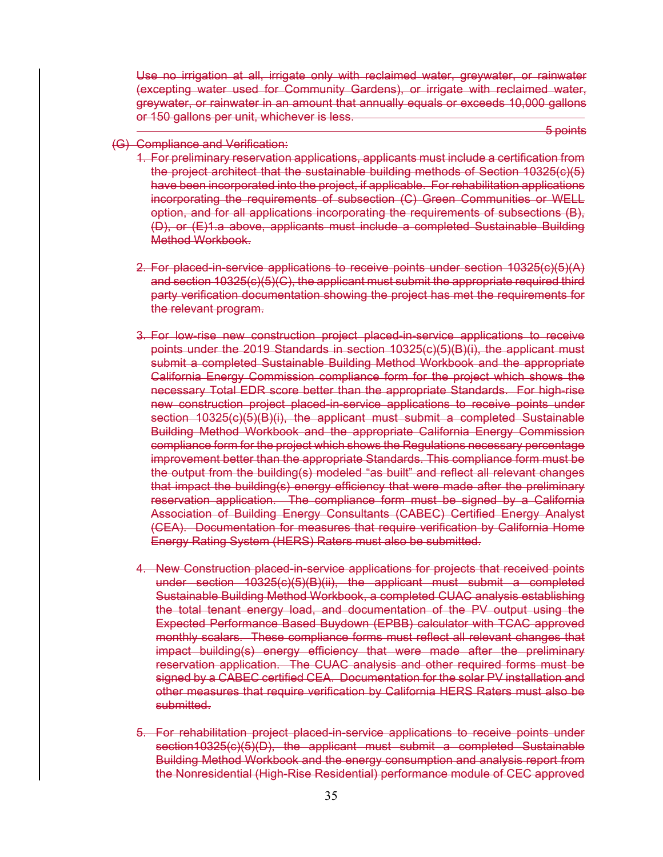Use no irrigation at all, irrigate only with reclaimed water, greywater, or rainwater (excepting water used for Community Gardens), or irrigate with reclaimed water, greywater, or rainwater in an amount that annually equals or exceeds 10,000 gallons or 150 gallons per unit, whichever is less.

<u>5 points and the contract of the contract of the contract of the contract of the contract of the contract of the contract of the contract of the contract of the contract of the contract of the contract of the contract of </u>

#### (G) Compliance and Verification:

- 1. For preliminary reservation applications, applicants must include a certification from the project architect that the sustainable building methods of Section 10325(c)(5) have been incorporated into the project, if applicable. For rehabilitation applications incorporating the requirements of subsection (C) Green Communities or WELL option, and for all applications incorporating the requirements of subsections (B), (D), or (E)1.a above, applicants must include a completed Sustainable Building Method Workbook.
- 2. For placed-in-service applications to receive points under section 10325(c)(5)(A) and section 10325(c)(5)(C), the applicant must submit the appropriate required third party verification documentation showing the project has met the requirements for the relevant program.
- 3. For low-rise new construction project placed-in-service applications to receive points under the 2019 Standards in section 10325(c)(5)(B)(i), the applicant must submit a completed Sustainable Building Method Workbook and the appropriate California Energy Commission compliance form for the project which shows the necessary Total EDR score better than the appropriate Standards. For high-rise new construction project placed-in-service applications to receive points under section 10325(c)(5)(B)(i), the applicant must submit a completed Sustainable Building Method Workbook and the appropriate California Energy Commission compliance form for the project which shows the Regulations necessary percentage improvement better than the appropriate Standards. This compliance form must be the output from the building(s) modeled "as built" and reflect all relevant changes that impact the building(s) energy efficiency that were made after the preliminary reservation application. The compliance form must be signed by a California Association of Building Energy Consultants (CABEC) Certified Energy Analyst (CEA). Documentation for measures that require verification by California Home Energy Rating System (HERS) Raters must also be submitted.
- 4. New Construction placed-in-service applications for projects that received points under section 10325(c)(5)(B)(ii), the applicant must submit a completed Sustainable Building Method Workbook, a completed CUAC analysis establishing the total tenant energy load, and documentation of the PV output using the Expected Performance Based Buydown (EPBB) calculator with TCAC approved monthly scalars. These compliance forms must reflect all relevant changes that impact building(s) energy efficiency that were made after the preliminary reservation application. The CUAC analysis and other required forms must be signed by a CABEC certified CEA. Documentation for the solar PV installation and other measures that require verification by California HERS Raters must also be submitted.
- 5. For rehabilitation project placed-in-service applications to receive points under section10325(c)(5)(D), the applicant must submit a completed Sustainable Building Method Workbook and the energy consumption and analysis report from the Nonresidential (High-Rise Residential) performance module of CEC approved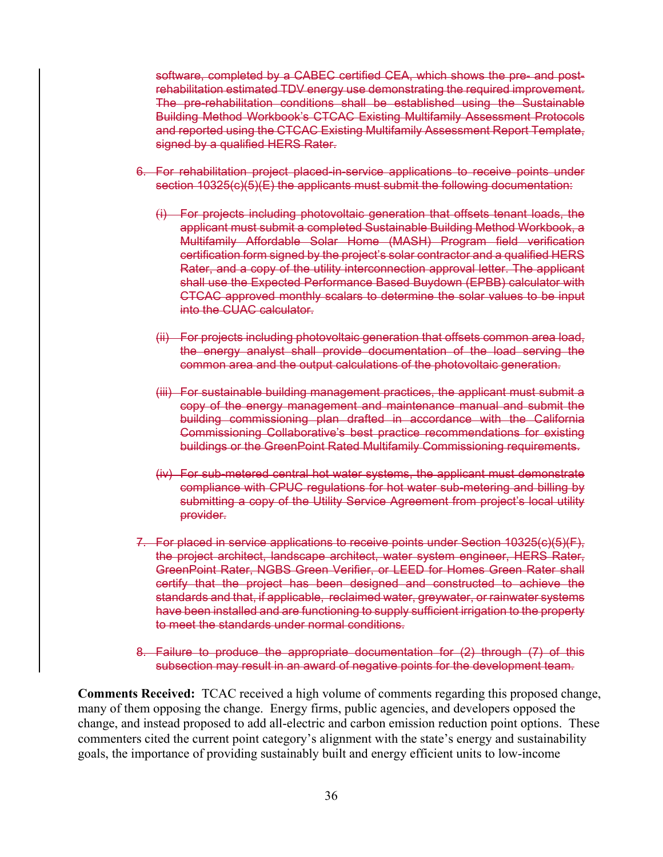software, completed by a CABEC certified CEA, which shows the pre- and postrehabilitation estimated TDV energy use demonstrating the required improvement. The pre-rehabilitation conditions shall be established using the Sustainable Building Method Workbook's CTCAC Existing Multifamily Assessment Protocols and reported using the CTCAC Existing Multifamily Assessment Report Template, signed by a qualified HERS Rater.

- 6. For rehabilitation project placed-in-service applications to receive points under section 10325(c)(5)(E) the applicants must submit the following documentation:
	- (i) For projects including photovoltaic generation that offsets tenant loads, the applicant must submit a completed Sustainable Building Method Workbook, a Multifamily Affordable Solar Home (MASH) Program field verification certification form signed by the project's solar contractor and a qualified HERS Rater, and a copy of the utility interconnection approval letter. The applicant shall use the Expected Performance Based Buydown (EPBB) calculator with CTCAC approved monthly scalars to determine the solar values to be input into the CUAC calculator.
	- (ii) For projects including photovoltaic generation that offsets common area load, the energy analyst shall provide documentation of the load serving the common area and the output calculations of the photovoltaic generation.
	- (iii) For sustainable building management practices, the applicant must submit a copy of the energy management and maintenance manual and submit the building commissioning plan drafted in accordance with the California Commissioning Collaborative's best practice recommendations for existing buildings or the GreenPoint Rated Multifamily Commissioning requirements.
	- (iv) For sub-metered central hot water systems, the applicant must demonstrate compliance with CPUC regulations for hot water sub-metering and billing by submitting a copy of the Utility Service Agreement from project's local utility provider.
- 7. For placed in service applications to receive points under Section 10325(c)(5)(F), the project architect, landscape architect, water system engineer, HERS Rater, GreenPoint Rater, NGBS Green Verifier, or LEED for Homes Green Rater shall certify that the project has been designed and constructed to achieve the standards and that, if applicable, reclaimed water, greywater, or rainwater systems have been installed and are functioning to supply sufficient irrigation to the property to meet the standards under normal conditions.
- 8. Failure to produce the appropriate documentation for (2) through (7) of this subsection may result in an award of negative points for the development team.

**Comments Received:** TCAC received a high volume of comments regarding this proposed change, many of them opposing the change. Energy firms, public agencies, and developers opposed the change, and instead proposed to add all-electric and carbon emission reduction point options. These commenters cited the current point category's alignment with the state's energy and sustainability goals, the importance of providing sustainably built and energy efficient units to low-income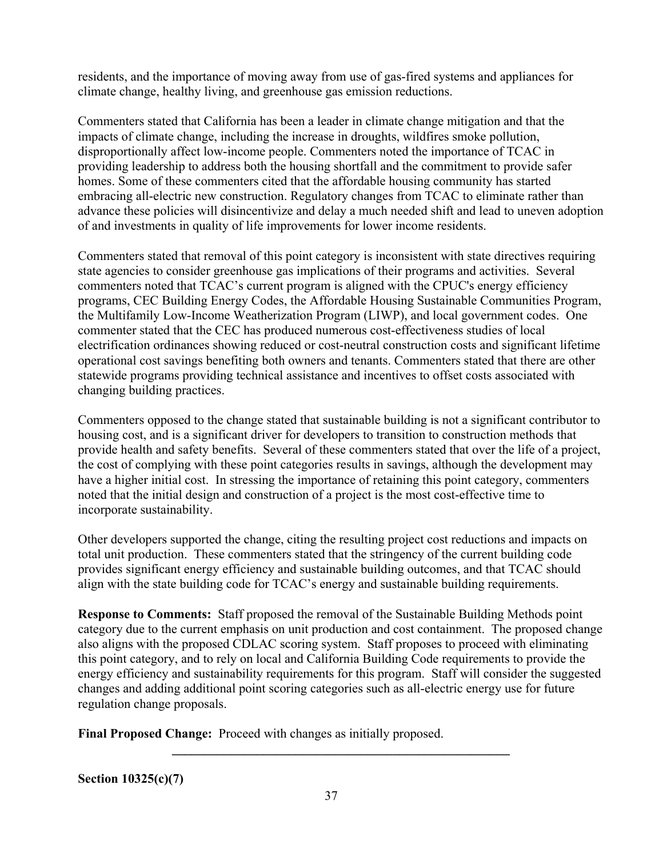residents, and the importance of moving away from use of gas-fired systems and appliances for climate change, healthy living, and greenhouse gas emission reductions.

Commenters stated that California has been a leader in climate change mitigation and that the impacts of climate change, including the increase in droughts, wildfires smoke pollution, disproportionally affect low-income people. Commenters noted the importance of TCAC in providing leadership to address both the housing shortfall and the commitment to provide safer homes. Some of these commenters cited that the affordable housing community has started embracing all-electric new construction. Regulatory changes from TCAC to eliminate rather than advance these policies will disincentivize and delay a much needed shift and lead to uneven adoption of and investments in quality of life improvements for lower income residents.

Commenters stated that removal of this point category is inconsistent with state directives requiring state agencies to consider greenhouse gas implications of their programs and activities. Several commenters noted that TCAC's current program is aligned with the CPUC's energy efficiency programs, CEC Building Energy Codes, the Affordable Housing Sustainable Communities Program, the Multifamily Low-Income Weatherization Program (LIWP), and local government codes. One commenter stated that the CEC has produced numerous cost-effectiveness studies of local electrification ordinances showing reduced or cost-neutral construction costs and significant lifetime operational cost savings benefiting both owners and tenants. Commenters stated that there are other statewide programs providing technical assistance and incentives to offset costs associated with changing building practices.

Commenters opposed to the change stated that sustainable building is not a significant contributor to housing cost, and is a significant driver for developers to transition to construction methods that provide health and safety benefits. Several of these commenters stated that over the life of a project, the cost of complying with these point categories results in savings, although the development may have a higher initial cost. In stressing the importance of retaining this point category, commenters noted that the initial design and construction of a project is the most cost-effective time to incorporate sustainability.

Other developers supported the change, citing the resulting project cost reductions and impacts on total unit production. These commenters stated that the stringency of the current building code provides significant energy efficiency and sustainable building outcomes, and that TCAC should align with the state building code for TCAC's energy and sustainable building requirements.

**Response to Comments:** Staff proposed the removal of the Sustainable Building Methods point category due to the current emphasis on unit production and cost containment. The proposed change also aligns with the proposed CDLAC scoring system. Staff proposes to proceed with eliminating this point category, and to rely on local and California Building Code requirements to provide the energy efficiency and sustainability requirements for this program. Staff will consider the suggested changes and adding additional point scoring categories such as all-electric energy use for future regulation change proposals.

**\_\_\_\_\_\_\_\_\_\_\_\_\_\_\_\_\_\_\_\_\_\_\_\_\_\_\_\_\_\_\_\_\_\_\_\_\_\_\_\_\_\_\_\_\_\_\_\_\_\_\_\_** 

**Final Proposed Change:** Proceed with changes as initially proposed.

**Section 10325(c)(7)**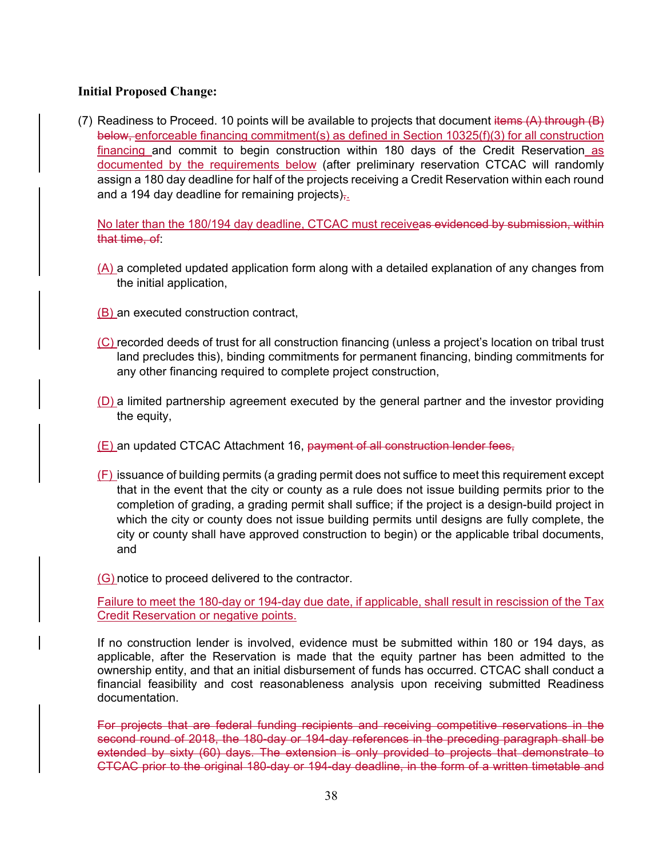## **Initial Proposed Change:**

(7) Readiness to Proceed. 10 points will be available to projects that document items  $(A)$  through  $(B)$ below, enforceable financing commitment(s) as defined in Section 10325(f)(3) for all construction financing and commit to begin construction within 180 days of the Credit Reservation as documented by the requirements below (after preliminary reservation CTCAC will randomly assign a 180 day deadline for half of the projects receiving a Credit Reservation within each round and a 194 day deadline for remaining projects) $\frac{1}{2}$ .

No later than the 180/194 day deadline, CTCAC must receiveas evidenced by submission, within that time, of:

- (A) a completed updated application form along with a detailed explanation of any changes from the initial application,
- (B) an executed construction contract,
- (C) recorded deeds of trust for all construction financing (unless a project's location on tribal trust land precludes this), binding commitments for permanent financing, binding commitments for any other financing required to complete project construction,
- (D) a limited partnership agreement executed by the general partner and the investor providing the equity,
- (E) an updated CTCAC Attachment 16, payment of all construction lender fees,
- (F) issuance of building permits (a grading permit does not suffice to meet this requirement except that in the event that the city or county as a rule does not issue building permits prior to the completion of grading, a grading permit shall suffice; if the project is a design-build project in which the city or county does not issue building permits until designs are fully complete, the city or county shall have approved construction to begin) or the applicable tribal documents, and

(G) notice to proceed delivered to the contractor.

Failure to meet the 180-day or 194-day due date, if applicable, shall result in rescission of the Tax Credit Reservation or negative points.

If no construction lender is involved, evidence must be submitted within 180 or 194 days, as applicable, after the Reservation is made that the equity partner has been admitted to the ownership entity, and that an initial disbursement of funds has occurred. CTCAC shall conduct a financial feasibility and cost reasonableness analysis upon receiving submitted Readiness documentation.

For projects that are federal funding recipients and receiving competitive reservations in the second round of 2018, the 180-day or 194-day references in the preceding paragraph shall be extended by sixty (60) days. The extension is only provided to projects that demonstrate to CTCAC prior to the original 180-day or 194-day deadline, in the form of a written timetable and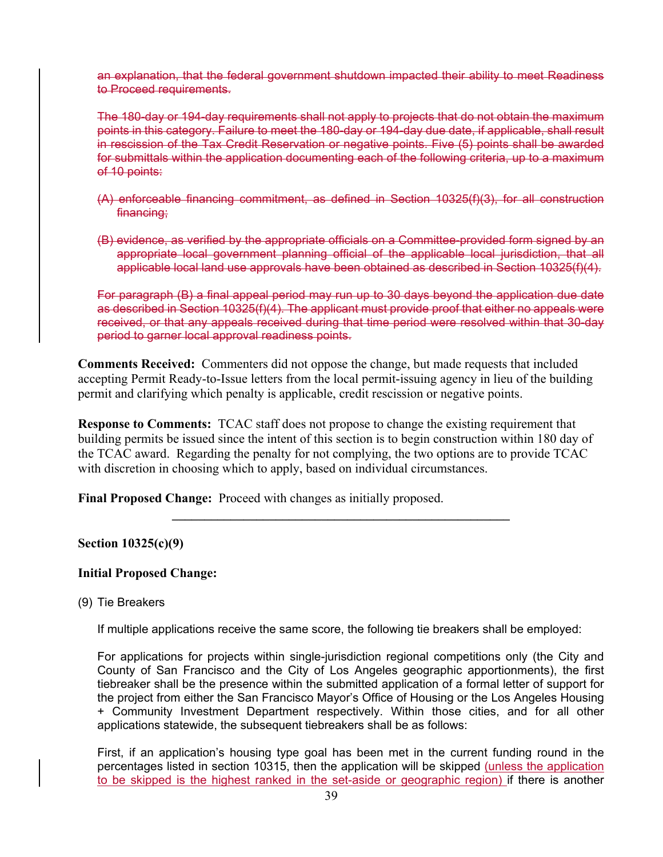an explanation, that the federal government shutdown impacted their ability to meet Readiness to Proceed requirements.

The 180-day or 194-day requirements shall not apply to projects that do not obtain the maximum points in this category. Failure to meet the 180-day or 194-day due date, if applicable, shall result in rescission of the Tax Credit Reservation or negative points. Five (5) points shall be awarded for submittals within the application documenting each of the following criteria, up to a maximum of 10 points:

- (A) enforceable financing commitment, as defined in Section 10325(f)(3), for all construction financing:
- (B) evidence, as verified by the appropriate officials on a Committee-provided form signed by an appropriate local government planning official of the applicable local jurisdiction, that all applicable local land use approvals have been obtained as described in Section 10325(f)(4).

For paragraph (B) a final appeal period may run up to 30 days beyond the application due date as described in Section 10325(f)(4). The applicant must provide proof that either no appeals were received, or that any appeals received during that time period were resolved within that 30-day period to garner local approval readiness points.

**Comments Received:** Commenters did not oppose the change, but made requests that included accepting Permit Ready-to-Issue letters from the local permit-issuing agency in lieu of the building permit and clarifying which penalty is applicable, credit rescission or negative points.

**Response to Comments:** TCAC staff does not propose to change the existing requirement that building permits be issued since the intent of this section is to begin construction within 180 day of the TCAC award. Regarding the penalty for not complying, the two options are to provide TCAC with discretion in choosing which to apply, based on individual circumstances.

**\_\_\_\_\_\_\_\_\_\_\_\_\_\_\_\_\_\_\_\_\_\_\_\_\_\_\_\_\_\_\_\_\_\_\_\_\_\_\_\_\_\_\_\_\_\_\_\_\_\_\_\_** 

**Final Proposed Change:** Proceed with changes as initially proposed.

### **Section 10325(c)(9)**

### **Initial Proposed Change:**

(9) Tie Breakers

If multiple applications receive the same score, the following tie breakers shall be employed:

For applications for projects within single-jurisdiction regional competitions only (the City and County of San Francisco and the City of Los Angeles geographic apportionments), the first tiebreaker shall be the presence within the submitted application of a formal letter of support for the project from either the San Francisco Mayor's Office of Housing or the Los Angeles Housing + Community Investment Department respectively. Within those cities, and for all other applications statewide, the subsequent tiebreakers shall be as follows:

First, if an application's housing type goal has been met in the current funding round in the percentages listed in section 10315, then the application will be skipped (unless the application to be skipped is the highest ranked in the set-aside or geographic region) if there is another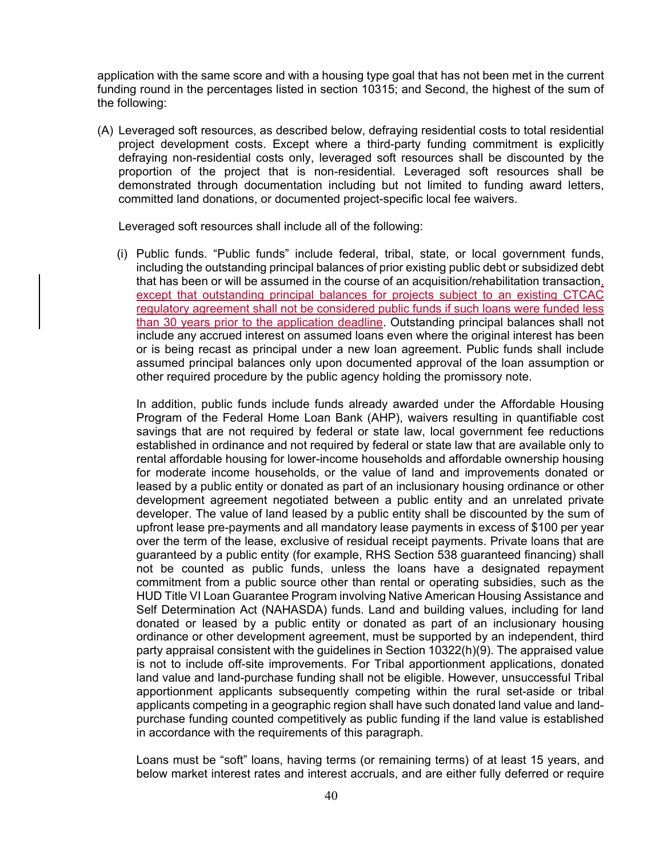application with the same score and with a housing type goal that has not been met in the current funding round in the percentages listed in section 10315; and Second, the highest of the sum of the following:

(A) Leveraged soft resources, as described below, defraying residential costs to total residential project development costs. Except where a third-party funding commitment is explicitly defraying non-residential costs only, leveraged soft resources shall be discounted by the proportion of the project that is non-residential. Leveraged soft resources shall be demonstrated through documentation including but not limited to funding award letters, committed land donations, or documented project-specific local fee waivers.

Leveraged soft resources shall include all of the following:

(i) Public funds. "Public funds" include federal, tribal, state, or local government funds, including the outstanding principal balances of prior existing public debt or subsidized debt that has been or will be assumed in the course of an acquisition/rehabilitation transaction, except that outstanding principal balances for projects subject to an existing CTCAC regulatory agreement shall not be considered public funds if such loans were funded less than 30 years prior to the application deadline. Outstanding principal balances shall not include any accrued interest on assumed loans even where the original interest has been or is being recast as principal under a new loan agreement. Public funds shall include assumed principal balances only upon documented approval of the loan assumption or other required procedure by the public agency holding the promissory note.

In addition, public funds include funds already awarded under the Affordable Housing Program of the Federal Home Loan Bank (AHP), waivers resulting in quantifiable cost savings that are not required by federal or state law, local government fee reductions established in ordinance and not required by federal or state law that are available only to rental affordable housing for lower-income households and affordable ownership housing for moderate income households, or the value of land and improvements donated or leased by a public entity or donated as part of an inclusionary housing ordinance or other development agreement negotiated between a public entity and an unrelated private developer. The value of land leased by a public entity shall be discounted by the sum of upfront lease pre-payments and all mandatory lease payments in excess of \$100 per year over the term of the lease, exclusive of residual receipt payments. Private loans that are guaranteed by a public entity (for example, RHS Section 538 guaranteed financing) shall not be counted as public funds, unless the loans have a designated repayment commitment from a public source other than rental or operating subsidies, such as the HUD Title VI Loan Guarantee Program involving Native American Housing Assistance and Self Determination Act (NAHASDA) funds. Land and building values, including for land donated or leased by a public entity or donated as part of an inclusionary housing ordinance or other development agreement, must be supported by an independent, third party appraisal consistent with the guidelines in Section 10322(h)(9). The appraised value is not to include off-site improvements. For Tribal apportionment applications, donated land value and land-purchase funding shall not be eligible. However, unsuccessful Tribal apportionment applicants subsequently competing within the rural set-aside or tribal applicants competing in a geographic region shall have such donated land value and landpurchase funding counted competitively as public funding if the land value is established in accordance with the requirements of this paragraph.

Loans must be "soft" loans, having terms (or remaining terms) of at least 15 years, and below market interest rates and interest accruals, and are either fully deferred or require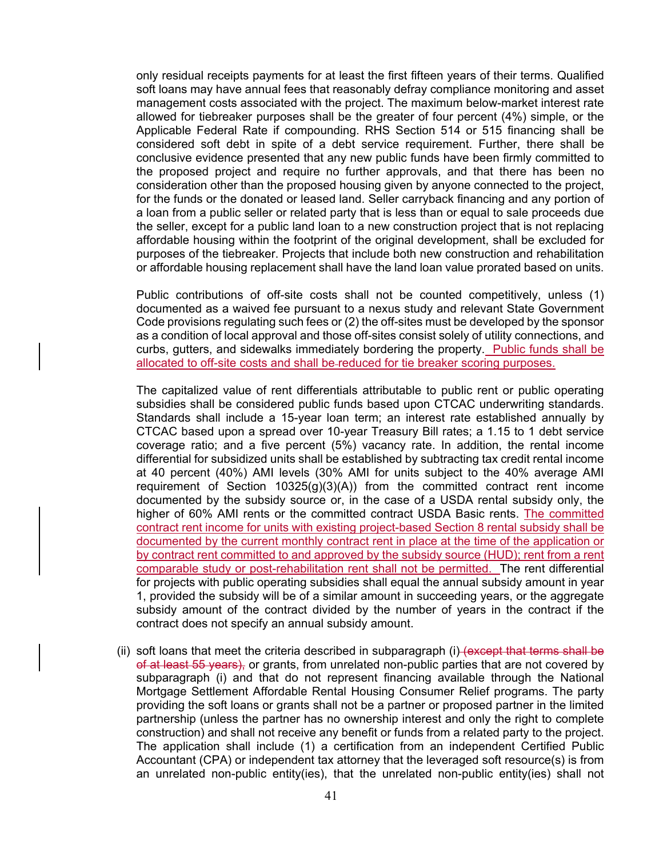only residual receipts payments for at least the first fifteen years of their terms. Qualified soft loans may have annual fees that reasonably defray compliance monitoring and asset management costs associated with the project. The maximum below-market interest rate allowed for tiebreaker purposes shall be the greater of four percent (4%) simple, or the Applicable Federal Rate if compounding. RHS Section 514 or 515 financing shall be considered soft debt in spite of a debt service requirement. Further, there shall be conclusive evidence presented that any new public funds have been firmly committed to the proposed project and require no further approvals, and that there has been no consideration other than the proposed housing given by anyone connected to the project, for the funds or the donated or leased land. Seller carryback financing and any portion of a loan from a public seller or related party that is less than or equal to sale proceeds due the seller, except for a public land loan to a new construction project that is not replacing affordable housing within the footprint of the original development, shall be excluded for purposes of the tiebreaker. Projects that include both new construction and rehabilitation or affordable housing replacement shall have the land loan value prorated based on units.

Public contributions of off-site costs shall not be counted competitively, unless (1) documented as a waived fee pursuant to a nexus study and relevant State Government Code provisions regulating such fees or (2) the off-sites must be developed by the sponsor as a condition of local approval and those off-sites consist solely of utility connections, and curbs, gutters, and sidewalks immediately bordering the property. Public funds shall be allocated to off-site costs and shall be reduced for tie breaker scoring purposes.

The capitalized value of rent differentials attributable to public rent or public operating subsidies shall be considered public funds based upon CTCAC underwriting standards. Standards shall include a 15-year loan term; an interest rate established annually by CTCAC based upon a spread over 10-year Treasury Bill rates; a 1.15 to 1 debt service coverage ratio; and a five percent (5%) vacancy rate. In addition, the rental income differential for subsidized units shall be established by subtracting tax credit rental income at 40 percent (40%) AMI levels (30% AMI for units subject to the 40% average AMI requirement of Section 10325(g)(3)(A)) from the committed contract rent income documented by the subsidy source or, in the case of a USDA rental subsidy only, the higher of 60% AMI rents or the committed contract USDA Basic rents. The committed contract rent income for units with existing project-based Section 8 rental subsidy shall be documented by the current monthly contract rent in place at the time of the application or by contract rent committed to and approved by the subsidy source (HUD); rent from a rent comparable study or post-rehabilitation rent shall not be permitted. The rent differential for projects with public operating subsidies shall equal the annual subsidy amount in year 1, provided the subsidy will be of a similar amount in succeeding years, or the aggregate subsidy amount of the contract divided by the number of years in the contract if the contract does not specify an annual subsidy amount.

(ii) soft loans that meet the criteria described in subparagraph (i) (except that terms shall be of at least 55 years), or grants, from unrelated non-public parties that are not covered by subparagraph (i) and that do not represent financing available through the National Mortgage Settlement Affordable Rental Housing Consumer Relief programs. The party providing the soft loans or grants shall not be a partner or proposed partner in the limited partnership (unless the partner has no ownership interest and only the right to complete construction) and shall not receive any benefit or funds from a related party to the project. The application shall include (1) a certification from an independent Certified Public Accountant (CPA) or independent tax attorney that the leveraged soft resource(s) is from an unrelated non-public entity(ies), that the unrelated non-public entity(ies) shall not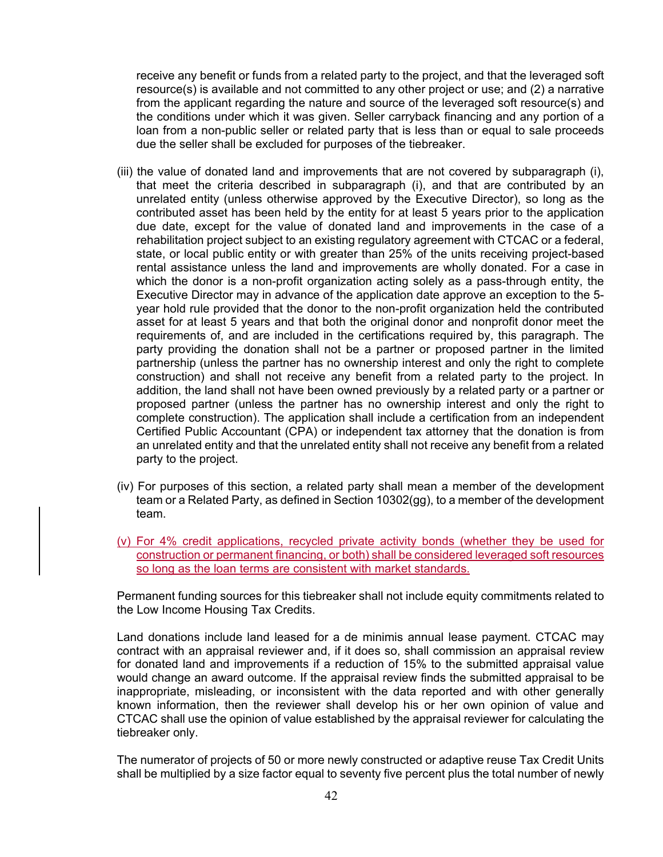receive any benefit or funds from a related party to the project, and that the leveraged soft resource(s) is available and not committed to any other project or use; and (2) a narrative from the applicant regarding the nature and source of the leveraged soft resource(s) and the conditions under which it was given. Seller carryback financing and any portion of a loan from a non-public seller or related party that is less than or equal to sale proceeds due the seller shall be excluded for purposes of the tiebreaker.

- (iii) the value of donated land and improvements that are not covered by subparagraph (i), that meet the criteria described in subparagraph (i), and that are contributed by an unrelated entity (unless otherwise approved by the Executive Director), so long as the contributed asset has been held by the entity for at least 5 years prior to the application due date, except for the value of donated land and improvements in the case of a rehabilitation project subject to an existing regulatory agreement with CTCAC or a federal, state, or local public entity or with greater than 25% of the units receiving project-based rental assistance unless the land and improvements are wholly donated. For a case in which the donor is a non-profit organization acting solely as a pass-through entity, the Executive Director may in advance of the application date approve an exception to the 5 year hold rule provided that the donor to the non-profit organization held the contributed asset for at least 5 years and that both the original donor and nonprofit donor meet the requirements of, and are included in the certifications required by, this paragraph. The party providing the donation shall not be a partner or proposed partner in the limited partnership (unless the partner has no ownership interest and only the right to complete construction) and shall not receive any benefit from a related party to the project. In addition, the land shall not have been owned previously by a related party or a partner or proposed partner (unless the partner has no ownership interest and only the right to complete construction). The application shall include a certification from an independent Certified Public Accountant (CPA) or independent tax attorney that the donation is from an unrelated entity and that the unrelated entity shall not receive any benefit from a related party to the project.
- (iv) For purposes of this section, a related party shall mean a member of the development team or a Related Party, as defined in Section 10302(gg), to a member of the development team.
- (v) For 4% credit applications, recycled private activity bonds (whether they be used for construction or permanent financing, or both) shall be considered leveraged soft resources so long as the loan terms are consistent with market standards.

Permanent funding sources for this tiebreaker shall not include equity commitments related to the Low Income Housing Tax Credits.

Land donations include land leased for a de minimis annual lease payment. CTCAC may contract with an appraisal reviewer and, if it does so, shall commission an appraisal review for donated land and improvements if a reduction of 15% to the submitted appraisal value would change an award outcome. If the appraisal review finds the submitted appraisal to be inappropriate, misleading, or inconsistent with the data reported and with other generally known information, then the reviewer shall develop his or her own opinion of value and CTCAC shall use the opinion of value established by the appraisal reviewer for calculating the tiebreaker only.

The numerator of projects of 50 or more newly constructed or adaptive reuse Tax Credit Units shall be multiplied by a size factor equal to seventy five percent plus the total number of newly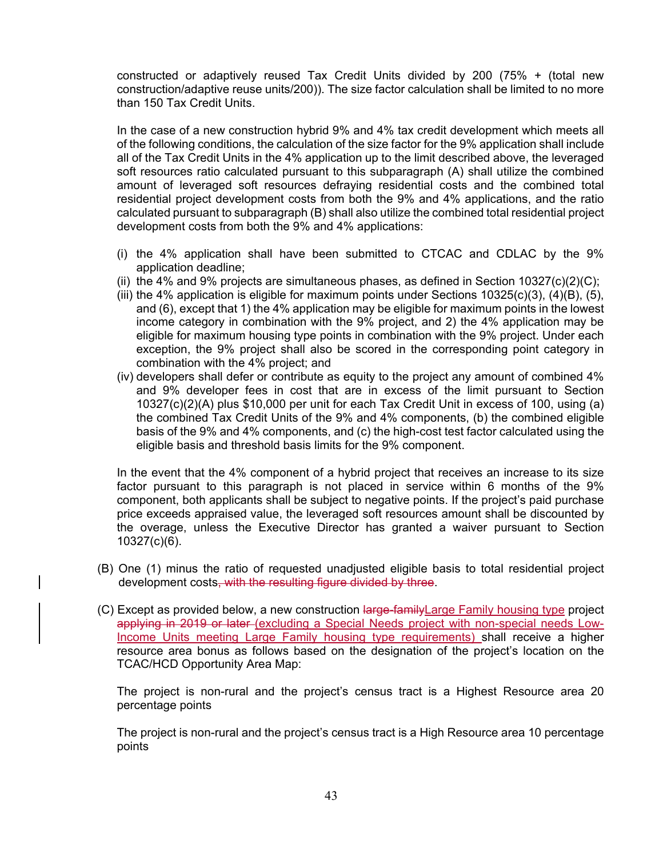constructed or adaptively reused Tax Credit Units divided by 200 (75% + (total new construction/adaptive reuse units/200)). The size factor calculation shall be limited to no more than 150 Tax Credit Units.

In the case of a new construction hybrid 9% and 4% tax credit development which meets all of the following conditions, the calculation of the size factor for the 9% application shall include all of the Tax Credit Units in the 4% application up to the limit described above, the leveraged soft resources ratio calculated pursuant to this subparagraph (A) shall utilize the combined amount of leveraged soft resources defraying residential costs and the combined total residential project development costs from both the 9% and 4% applications, and the ratio calculated pursuant to subparagraph (B) shall also utilize the combined total residential project development costs from both the 9% and 4% applications:

- (i) the 4% application shall have been submitted to CTCAC and CDLAC by the 9% application deadline;
- (ii) the 4% and 9% projects are simultaneous phases, as defined in Section 10327(c)(2)(C);
- (iii) the 4% application is eligible for maximum points under Sections  $10325(c)(3)$ ,  $(4)(B)$ ,  $(5)$ , and (6), except that 1) the 4% application may be eligible for maximum points in the lowest income category in combination with the 9% project, and 2) the 4% application may be eligible for maximum housing type points in combination with the 9% project. Under each exception, the 9% project shall also be scored in the corresponding point category in combination with the 4% project; and
- (iv) developers shall defer or contribute as equity to the project any amount of combined 4% and 9% developer fees in cost that are in excess of the limit pursuant to Section 10327(c)(2)(A) plus \$10,000 per unit for each Tax Credit Unit in excess of 100, using (a) the combined Tax Credit Units of the 9% and 4% components, (b) the combined eligible basis of the 9% and 4% components, and (c) the high-cost test factor calculated using the eligible basis and threshold basis limits for the 9% component.

In the event that the 4% component of a hybrid project that receives an increase to its size factor pursuant to this paragraph is not placed in service within 6 months of the 9% component, both applicants shall be subject to negative points. If the project's paid purchase price exceeds appraised value, the leveraged soft resources amount shall be discounted by the overage, unless the Executive Director has granted a waiver pursuant to Section 10327(c)(6).

- (B) One (1) minus the ratio of requested unadjusted eligible basis to total residential project development costs, with the resulting figure divided by three.
- (C) Except as provided below, a new construction large-family Large Family housing type project applying in 2019 or later (excluding a Special Needs project with non-special needs Low-Income Units meeting Large Family housing type requirements) shall receive a higher resource area bonus as follows based on the designation of the project's location on the TCAC/HCD Opportunity Area Map:

The project is non-rural and the project's census tract is a Highest Resource area 20 percentage points

The project is non-rural and the project's census tract is a High Resource area 10 percentage points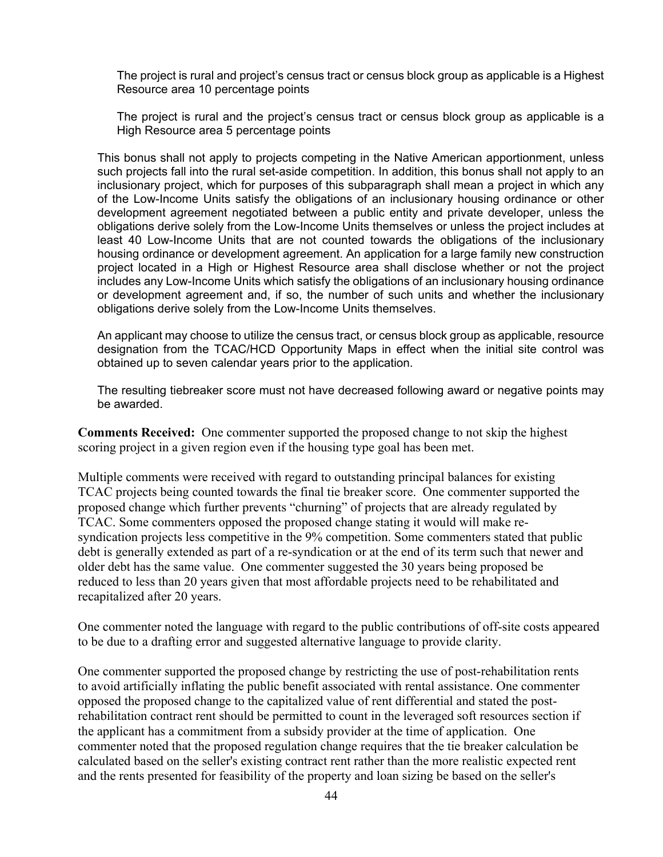The project is rural and project's census tract or census block group as applicable is a Highest Resource area 10 percentage points

The project is rural and the project's census tract or census block group as applicable is a High Resource area 5 percentage points

This bonus shall not apply to projects competing in the Native American apportionment, unless such projects fall into the rural set-aside competition. In addition, this bonus shall not apply to an inclusionary project, which for purposes of this subparagraph shall mean a project in which any of the Low-Income Units satisfy the obligations of an inclusionary housing ordinance or other development agreement negotiated between a public entity and private developer, unless the obligations derive solely from the Low-Income Units themselves or unless the project includes at least 40 Low-Income Units that are not counted towards the obligations of the inclusionary housing ordinance or development agreement. An application for a large family new construction project located in a High or Highest Resource area shall disclose whether or not the project includes any Low-Income Units which satisfy the obligations of an inclusionary housing ordinance or development agreement and, if so, the number of such units and whether the inclusionary obligations derive solely from the Low-Income Units themselves.

An applicant may choose to utilize the census tract, or census block group as applicable, resource designation from the TCAC/HCD Opportunity Maps in effect when the initial site control was obtained up to seven calendar years prior to the application.

The resulting tiebreaker score must not have decreased following award or negative points may be awarded.

**Comments Received:** One commenter supported the proposed change to not skip the highest scoring project in a given region even if the housing type goal has been met.

Multiple comments were received with regard to outstanding principal balances for existing TCAC projects being counted towards the final tie breaker score. One commenter supported the proposed change which further prevents "churning" of projects that are already regulated by TCAC. Some commenters opposed the proposed change stating it would will make resyndication projects less competitive in the 9% competition. Some commenters stated that public debt is generally extended as part of a re-syndication or at the end of its term such that newer and older debt has the same value. One commenter suggested the 30 years being proposed be reduced to less than 20 years given that most affordable projects need to be rehabilitated and recapitalized after 20 years.

One commenter noted the language with regard to the public contributions of off-site costs appeared to be due to a drafting error and suggested alternative language to provide clarity.

One commenter supported the proposed change by restricting the use of post-rehabilitation rents to avoid artificially inflating the public benefit associated with rental assistance. One commenter opposed the proposed change to the capitalized value of rent differential and stated the postrehabilitation contract rent should be permitted to count in the leveraged soft resources section if the applicant has a commitment from a subsidy provider at the time of application. One commenter noted that the proposed regulation change requires that the tie breaker calculation be calculated based on the seller's existing contract rent rather than the more realistic expected rent and the rents presented for feasibility of the property and loan sizing be based on the seller's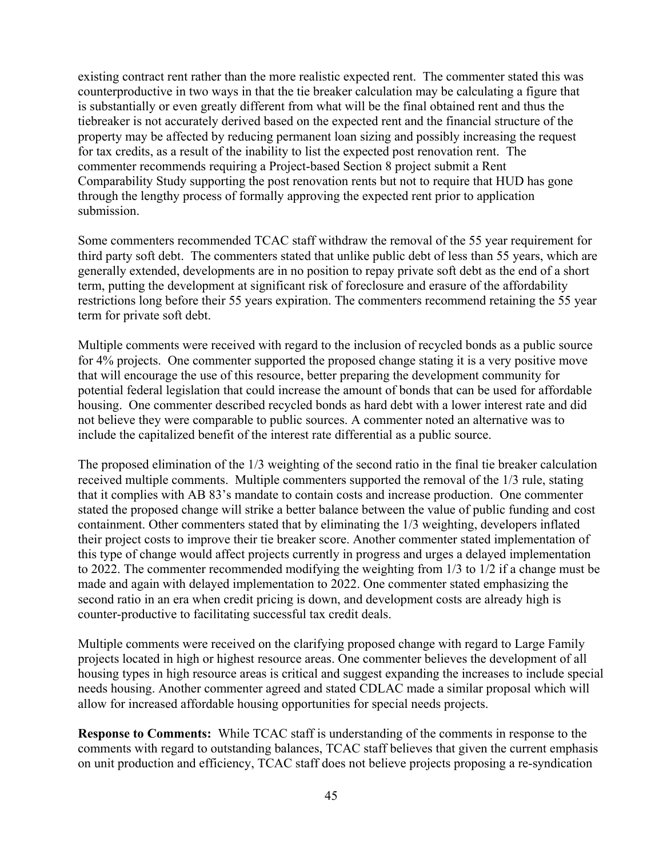existing contract rent rather than the more realistic expected rent. The commenter stated this was counterproductive in two ways in that the tie breaker calculation may be calculating a figure that is substantially or even greatly different from what will be the final obtained rent and thus the tiebreaker is not accurately derived based on the expected rent and the financial structure of the property may be affected by reducing permanent loan sizing and possibly increasing the request for tax credits, as a result of the inability to list the expected post renovation rent. The commenter recommends requiring a Project-based Section 8 project submit a Rent Comparability Study supporting the post renovation rents but not to require that HUD has gone through the lengthy process of formally approving the expected rent prior to application submission.

Some commenters recommended TCAC staff withdraw the removal of the 55 year requirement for third party soft debt. The commenters stated that unlike public debt of less than 55 years, which are generally extended, developments are in no position to repay private soft debt as the end of a short term, putting the development at significant risk of foreclosure and erasure of the affordability restrictions long before their 55 years expiration. The commenters recommend retaining the 55 year term for private soft debt.

Multiple comments were received with regard to the inclusion of recycled bonds as a public source for 4% projects. One commenter supported the proposed change stating it is a very positive move that will encourage the use of this resource, better preparing the development community for potential federal legislation that could increase the amount of bonds that can be used for affordable housing. One commenter described recycled bonds as hard debt with a lower interest rate and did not believe they were comparable to public sources. A commenter noted an alternative was to include the capitalized benefit of the interest rate differential as a public source.

The proposed elimination of the 1/3 weighting of the second ratio in the final tie breaker calculation received multiple comments. Multiple commenters supported the removal of the 1/3 rule, stating that it complies with AB 83's mandate to contain costs and increase production. One commenter stated the proposed change will strike a better balance between the value of public funding and cost containment. Other commenters stated that by eliminating the 1/3 weighting, developers inflated their project costs to improve their tie breaker score. Another commenter stated implementation of this type of change would affect projects currently in progress and urges a delayed implementation to 2022. The commenter recommended modifying the weighting from 1/3 to 1/2 if a change must be made and again with delayed implementation to 2022. One commenter stated emphasizing the second ratio in an era when credit pricing is down, and development costs are already high is counter-productive to facilitating successful tax credit deals.

Multiple comments were received on the clarifying proposed change with regard to Large Family projects located in high or highest resource areas. One commenter believes the development of all housing types in high resource areas is critical and suggest expanding the increases to include special needs housing. Another commenter agreed and stated CDLAC made a similar proposal which will allow for increased affordable housing opportunities for special needs projects.

**Response to Comments:** While TCAC staff is understanding of the comments in response to the comments with regard to outstanding balances, TCAC staff believes that given the current emphasis on unit production and efficiency, TCAC staff does not believe projects proposing a re-syndication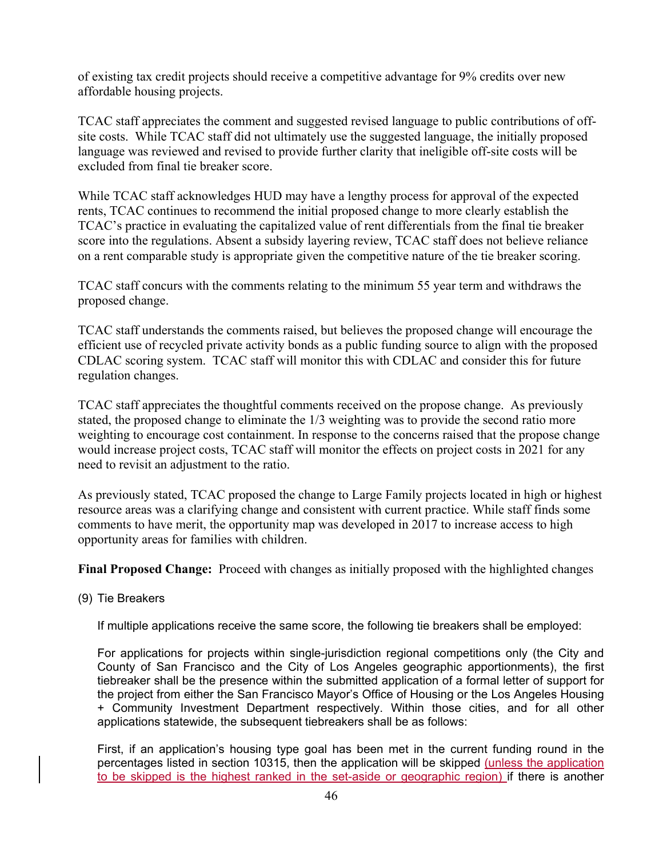of existing tax credit projects should receive a competitive advantage for 9% credits over new affordable housing projects.

TCAC staff appreciates the comment and suggested revised language to public contributions of offsite costs. While TCAC staff did not ultimately use the suggested language, the initially proposed language was reviewed and revised to provide further clarity that ineligible off-site costs will be excluded from final tie breaker score.

While TCAC staff acknowledges HUD may have a lengthy process for approval of the expected rents, TCAC continues to recommend the initial proposed change to more clearly establish the TCAC's practice in evaluating the capitalized value of rent differentials from the final tie breaker score into the regulations. Absent a subsidy layering review, TCAC staff does not believe reliance on a rent comparable study is appropriate given the competitive nature of the tie breaker scoring.

TCAC staff concurs with the comments relating to the minimum 55 year term and withdraws the proposed change.

TCAC staff understands the comments raised, but believes the proposed change will encourage the efficient use of recycled private activity bonds as a public funding source to align with the proposed CDLAC scoring system. TCAC staff will monitor this with CDLAC and consider this for future regulation changes.

TCAC staff appreciates the thoughtful comments received on the propose change. As previously stated, the proposed change to eliminate the 1/3 weighting was to provide the second ratio more weighting to encourage cost containment. In response to the concerns raised that the propose change would increase project costs, TCAC staff will monitor the effects on project costs in 2021 for any need to revisit an adjustment to the ratio.

As previously stated, TCAC proposed the change to Large Family projects located in high or highest resource areas was a clarifying change and consistent with current practice. While staff finds some comments to have merit, the opportunity map was developed in 2017 to increase access to high opportunity areas for families with children.

**Final Proposed Change:** Proceed with changes as initially proposed with the highlighted changes

(9) Tie Breakers

If multiple applications receive the same score, the following tie breakers shall be employed:

For applications for projects within single-jurisdiction regional competitions only (the City and County of San Francisco and the City of Los Angeles geographic apportionments), the first tiebreaker shall be the presence within the submitted application of a formal letter of support for the project from either the San Francisco Mayor's Office of Housing or the Los Angeles Housing + Community Investment Department respectively. Within those cities, and for all other applications statewide, the subsequent tiebreakers shall be as follows:

First, if an application's housing type goal has been met in the current funding round in the percentages listed in section 10315, then the application will be skipped (unless the application to be skipped is the highest ranked in the set-aside or geographic region) if there is another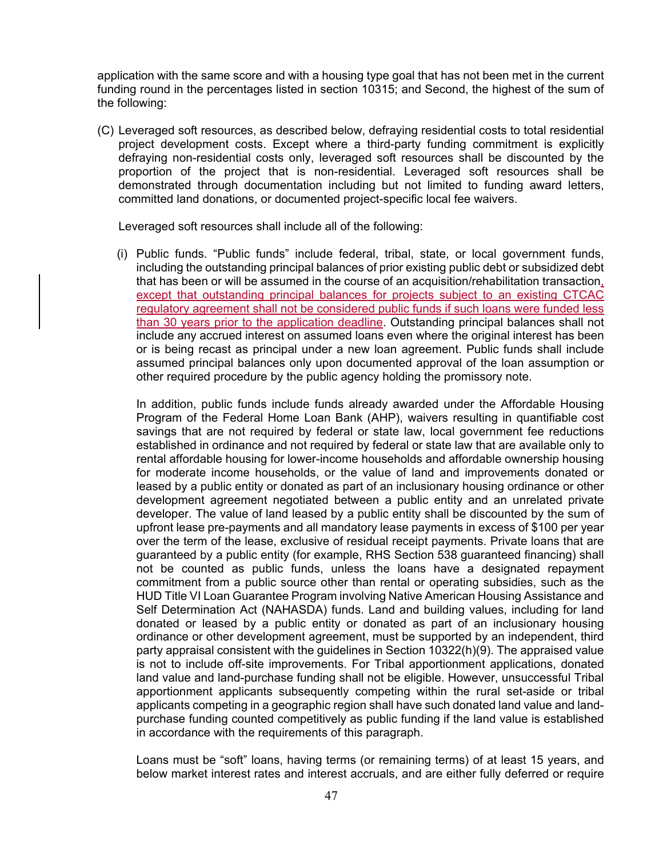application with the same score and with a housing type goal that has not been met in the current funding round in the percentages listed in section 10315; and Second, the highest of the sum of the following:

(C) Leveraged soft resources, as described below, defraying residential costs to total residential project development costs. Except where a third-party funding commitment is explicitly defraying non-residential costs only, leveraged soft resources shall be discounted by the proportion of the project that is non-residential. Leveraged soft resources shall be demonstrated through documentation including but not limited to funding award letters, committed land donations, or documented project-specific local fee waivers.

Leveraged soft resources shall include all of the following:

(i) Public funds. "Public funds" include federal, tribal, state, or local government funds, including the outstanding principal balances of prior existing public debt or subsidized debt that has been or will be assumed in the course of an acquisition/rehabilitation transaction, except that outstanding principal balances for projects subject to an existing CTCAC regulatory agreement shall not be considered public funds if such loans were funded less than 30 years prior to the application deadline. Outstanding principal balances shall not include any accrued interest on assumed loans even where the original interest has been or is being recast as principal under a new loan agreement. Public funds shall include assumed principal balances only upon documented approval of the loan assumption or other required procedure by the public agency holding the promissory note.

In addition, public funds include funds already awarded under the Affordable Housing Program of the Federal Home Loan Bank (AHP), waivers resulting in quantifiable cost savings that are not required by federal or state law, local government fee reductions established in ordinance and not required by federal or state law that are available only to rental affordable housing for lower-income households and affordable ownership housing for moderate income households, or the value of land and improvements donated or leased by a public entity or donated as part of an inclusionary housing ordinance or other development agreement negotiated between a public entity and an unrelated private developer. The value of land leased by a public entity shall be discounted by the sum of upfront lease pre-payments and all mandatory lease payments in excess of \$100 per year over the term of the lease, exclusive of residual receipt payments. Private loans that are guaranteed by a public entity (for example, RHS Section 538 guaranteed financing) shall not be counted as public funds, unless the loans have a designated repayment commitment from a public source other than rental or operating subsidies, such as the HUD Title VI Loan Guarantee Program involving Native American Housing Assistance and Self Determination Act (NAHASDA) funds. Land and building values, including for land donated or leased by a public entity or donated as part of an inclusionary housing ordinance or other development agreement, must be supported by an independent, third party appraisal consistent with the guidelines in Section 10322(h)(9). The appraised value is not to include off-site improvements. For Tribal apportionment applications, donated land value and land-purchase funding shall not be eligible. However, unsuccessful Tribal apportionment applicants subsequently competing within the rural set-aside or tribal applicants competing in a geographic region shall have such donated land value and landpurchase funding counted competitively as public funding if the land value is established in accordance with the requirements of this paragraph.

Loans must be "soft" loans, having terms (or remaining terms) of at least 15 years, and below market interest rates and interest accruals, and are either fully deferred or require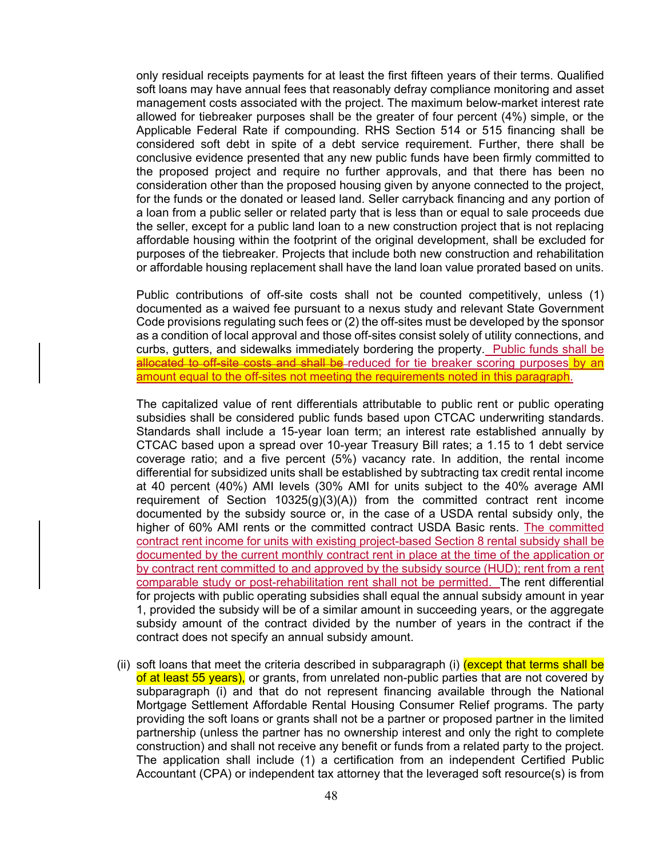only residual receipts payments for at least the first fifteen years of their terms. Qualified soft loans may have annual fees that reasonably defray compliance monitoring and asset management costs associated with the project. The maximum below-market interest rate allowed for tiebreaker purposes shall be the greater of four percent (4%) simple, or the Applicable Federal Rate if compounding. RHS Section 514 or 515 financing shall be considered soft debt in spite of a debt service requirement. Further, there shall be conclusive evidence presented that any new public funds have been firmly committed to the proposed project and require no further approvals, and that there has been no consideration other than the proposed housing given by anyone connected to the project, for the funds or the donated or leased land. Seller carryback financing and any portion of a loan from a public seller or related party that is less than or equal to sale proceeds due the seller, except for a public land loan to a new construction project that is not replacing affordable housing within the footprint of the original development, shall be excluded for purposes of the tiebreaker. Projects that include both new construction and rehabilitation or affordable housing replacement shall have the land loan value prorated based on units.

Public contributions of off-site costs shall not be counted competitively, unless (1) documented as a waived fee pursuant to a nexus study and relevant State Government Code provisions regulating such fees or (2) the off-sites must be developed by the sponsor as a condition of local approval and those off-sites consist solely of utility connections, and curbs, gutters, and sidewalks immediately bordering the property. Public funds shall be allocated to off-site costs and shall be reduced for tie breaker scoring purposes by an amount equal to the off-sites not meeting the requirements noted in this paragraph.

The capitalized value of rent differentials attributable to public rent or public operating subsidies shall be considered public funds based upon CTCAC underwriting standards. Standards shall include a 15-year loan term; an interest rate established annually by CTCAC based upon a spread over 10-year Treasury Bill rates; a 1.15 to 1 debt service coverage ratio; and a five percent (5%) vacancy rate. In addition, the rental income differential for subsidized units shall be established by subtracting tax credit rental income at 40 percent (40%) AMI levels (30% AMI for units subject to the 40% average AMI requirement of Section  $10325(g)(3)(A)$  from the committed contract rent income documented by the subsidy source or, in the case of a USDA rental subsidy only, the higher of 60% AMI rents or the committed contract USDA Basic rents. The committed contract rent income for units with existing project-based Section 8 rental subsidy shall be documented by the current monthly contract rent in place at the time of the application or by contract rent committed to and approved by the subsidy source (HUD); rent from a rent comparable study or post-rehabilitation rent shall not be permitted. The rent differential for projects with public operating subsidies shall equal the annual subsidy amount in year 1, provided the subsidy will be of a similar amount in succeeding years, or the aggregate subsidy amount of the contract divided by the number of years in the contract if the contract does not specify an annual subsidy amount.

(ii) soft loans that meet the criteria described in subparagraph (i) (except that terms shall be of at least 55 years), or grants, from unrelated non-public parties that are not covered by subparagraph (i) and that do not represent financing available through the National Mortgage Settlement Affordable Rental Housing Consumer Relief programs. The party providing the soft loans or grants shall not be a partner or proposed partner in the limited partnership (unless the partner has no ownership interest and only the right to complete construction) and shall not receive any benefit or funds from a related party to the project. The application shall include (1) a certification from an independent Certified Public Accountant (CPA) or independent tax attorney that the leveraged soft resource(s) is from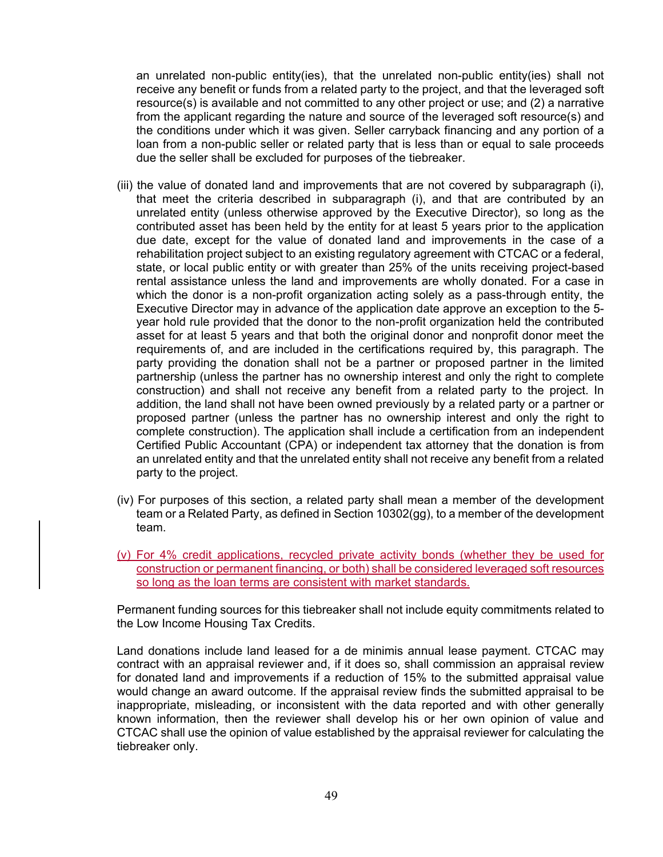an unrelated non-public entity(ies), that the unrelated non-public entity(ies) shall not receive any benefit or funds from a related party to the project, and that the leveraged soft resource(s) is available and not committed to any other project or use; and (2) a narrative from the applicant regarding the nature and source of the leveraged soft resource(s) and the conditions under which it was given. Seller carryback financing and any portion of a loan from a non-public seller or related party that is less than or equal to sale proceeds due the seller shall be excluded for purposes of the tiebreaker.

- (iii) the value of donated land and improvements that are not covered by subparagraph (i), that meet the criteria described in subparagraph (i), and that are contributed by an unrelated entity (unless otherwise approved by the Executive Director), so long as the contributed asset has been held by the entity for at least 5 years prior to the application due date, except for the value of donated land and improvements in the case of a rehabilitation project subject to an existing regulatory agreement with CTCAC or a federal, state, or local public entity or with greater than 25% of the units receiving project-based rental assistance unless the land and improvements are wholly donated. For a case in which the donor is a non-profit organization acting solely as a pass-through entity, the Executive Director may in advance of the application date approve an exception to the 5 year hold rule provided that the donor to the non-profit organization held the contributed asset for at least 5 years and that both the original donor and nonprofit donor meet the requirements of, and are included in the certifications required by, this paragraph. The party providing the donation shall not be a partner or proposed partner in the limited partnership (unless the partner has no ownership interest and only the right to complete construction) and shall not receive any benefit from a related party to the project. In addition, the land shall not have been owned previously by a related party or a partner or proposed partner (unless the partner has no ownership interest and only the right to complete construction). The application shall include a certification from an independent Certified Public Accountant (CPA) or independent tax attorney that the donation is from an unrelated entity and that the unrelated entity shall not receive any benefit from a related party to the project.
- (iv) For purposes of this section, a related party shall mean a member of the development team or a Related Party, as defined in Section 10302(gg), to a member of the development team.
- (v) For 4% credit applications, recycled private activity bonds (whether they be used for construction or permanent financing, or both) shall be considered leveraged soft resources so long as the loan terms are consistent with market standards.

Permanent funding sources for this tiebreaker shall not include equity commitments related to the Low Income Housing Tax Credits.

Land donations include land leased for a de minimis annual lease payment. CTCAC may contract with an appraisal reviewer and, if it does so, shall commission an appraisal review for donated land and improvements if a reduction of 15% to the submitted appraisal value would change an award outcome. If the appraisal review finds the submitted appraisal to be inappropriate, misleading, or inconsistent with the data reported and with other generally known information, then the reviewer shall develop his or her own opinion of value and CTCAC shall use the opinion of value established by the appraisal reviewer for calculating the tiebreaker only.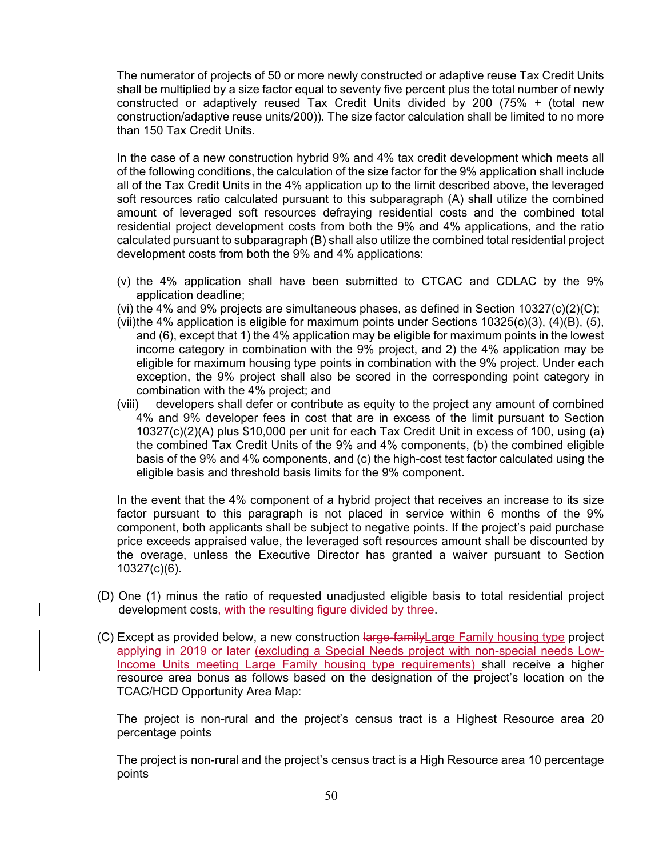The numerator of projects of 50 or more newly constructed or adaptive reuse Tax Credit Units shall be multiplied by a size factor equal to seventy five percent plus the total number of newly constructed or adaptively reused Tax Credit Units divided by 200 (75% + (total new construction/adaptive reuse units/200)). The size factor calculation shall be limited to no more than 150 Tax Credit Units.

In the case of a new construction hybrid 9% and 4% tax credit development which meets all of the following conditions, the calculation of the size factor for the 9% application shall include all of the Tax Credit Units in the 4% application up to the limit described above, the leveraged soft resources ratio calculated pursuant to this subparagraph (A) shall utilize the combined amount of leveraged soft resources defraying residential costs and the combined total residential project development costs from both the 9% and 4% applications, and the ratio calculated pursuant to subparagraph (B) shall also utilize the combined total residential project development costs from both the 9% and 4% applications:

- (v) the 4% application shall have been submitted to CTCAC and CDLAC by the 9% application deadline;
- (vi) the 4% and 9% projects are simultaneous phases, as defined in Section  $10327(c)(2)(C)$ ;
- (vii) the 4% application is eligible for maximum points under Sections  $10325(c)(3)$ ,  $(4)(B)$ ,  $(5)$ , and (6), except that 1) the 4% application may be eligible for maximum points in the lowest income category in combination with the 9% project, and 2) the 4% application may be eligible for maximum housing type points in combination with the 9% project. Under each exception, the 9% project shall also be scored in the corresponding point category in combination with the 4% project; and
- (viii) developers shall defer or contribute as equity to the project any amount of combined 4% and 9% developer fees in cost that are in excess of the limit pursuant to Section 10327(c)(2)(A) plus \$10,000 per unit for each Tax Credit Unit in excess of 100, using (a) the combined Tax Credit Units of the 9% and 4% components, (b) the combined eligible basis of the 9% and 4% components, and (c) the high-cost test factor calculated using the eligible basis and threshold basis limits for the 9% component.

In the event that the 4% component of a hybrid project that receives an increase to its size factor pursuant to this paragraph is not placed in service within 6 months of the 9% component, both applicants shall be subject to negative points. If the project's paid purchase price exceeds appraised value, the leveraged soft resources amount shall be discounted by the overage, unless the Executive Director has granted a waiver pursuant to Section 10327(c)(6).

- (D) One (1) minus the ratio of requested unadjusted eligible basis to total residential project development costs, with the resulting figure divided by three.
- (C) Except as provided below, a new construction large-family Large Family housing type project applying in 2019 or later (excluding a Special Needs project with non-special needs Low-Income Units meeting Large Family housing type requirements) shall receive a higher resource area bonus as follows based on the designation of the project's location on the TCAC/HCD Opportunity Area Map:

The project is non-rural and the project's census tract is a Highest Resource area 20 percentage points

The project is non-rural and the project's census tract is a High Resource area 10 percentage points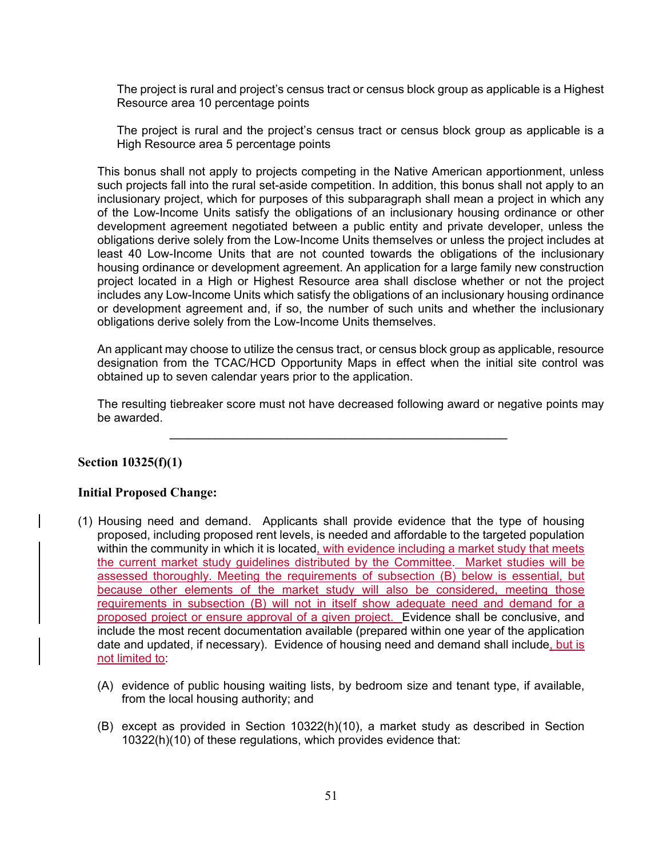The project is rural and project's census tract or census block group as applicable is a Highest Resource area 10 percentage points

The project is rural and the project's census tract or census block group as applicable is a High Resource area 5 percentage points

This bonus shall not apply to projects competing in the Native American apportionment, unless such projects fall into the rural set-aside competition. In addition, this bonus shall not apply to an inclusionary project, which for purposes of this subparagraph shall mean a project in which any of the Low-Income Units satisfy the obligations of an inclusionary housing ordinance or other development agreement negotiated between a public entity and private developer, unless the obligations derive solely from the Low-Income Units themselves or unless the project includes at least 40 Low-Income Units that are not counted towards the obligations of the inclusionary housing ordinance or development agreement. An application for a large family new construction project located in a High or Highest Resource area shall disclose whether or not the project includes any Low-Income Units which satisfy the obligations of an inclusionary housing ordinance or development agreement and, if so, the number of such units and whether the inclusionary obligations derive solely from the Low-Income Units themselves.

An applicant may choose to utilize the census tract, or census block group as applicable, resource designation from the TCAC/HCD Opportunity Maps in effect when the initial site control was obtained up to seven calendar years prior to the application.

The resulting tiebreaker score must not have decreased following award or negative points may be awarded.

**\_\_\_\_\_\_\_\_\_\_\_\_\_\_\_\_\_\_\_\_\_\_\_\_\_\_\_\_\_\_\_\_\_\_\_\_\_\_\_\_\_\_\_\_\_\_\_\_\_\_\_\_** 

### **Section 10325(f)(1)**

#### **Initial Proposed Change:**

- (1) Housing need and demand. Applicants shall provide evidence that the type of housing proposed, including proposed rent levels, is needed and affordable to the targeted population within the community in which it is located, with evidence including a market study that meets the current market study guidelines distributed by the Committee. Market studies will be assessed thoroughly. Meeting the requirements of subsection (B) below is essential, but because other elements of the market study will also be considered, meeting those requirements in subsection (B) will not in itself show adequate need and demand for a proposed project or ensure approval of a given project. Evidence shall be conclusive, and include the most recent documentation available (prepared within one year of the application date and updated, if necessary). Evidence of housing need and demand shall include, but is not limited to:
	- (A) evidence of public housing waiting lists, by bedroom size and tenant type, if available, from the local housing authority; and
	- (B) except as provided in Section 10322(h)(10), a market study as described in Section 10322(h)(10) of these regulations, which provides evidence that: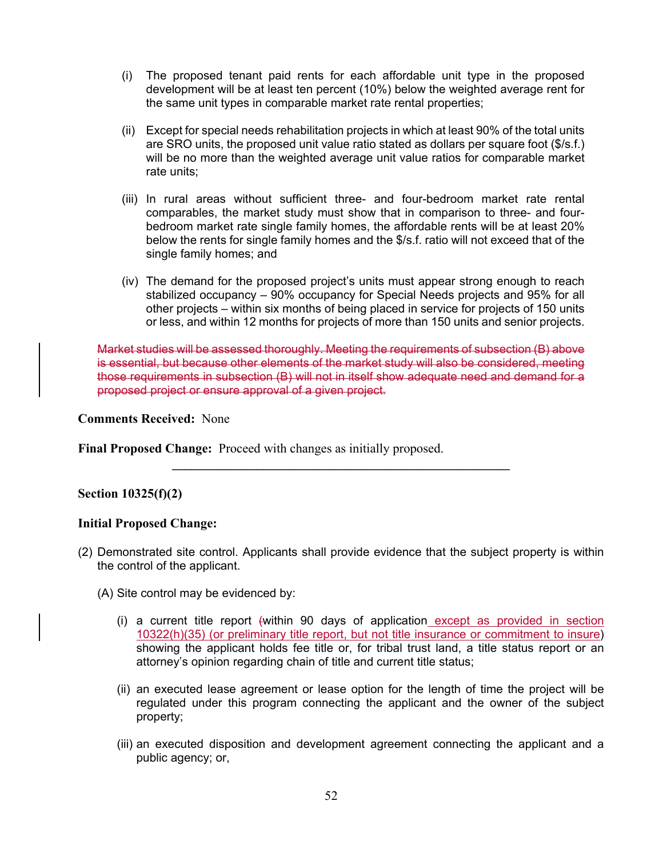- (i) The proposed tenant paid rents for each affordable unit type in the proposed development will be at least ten percent (10%) below the weighted average rent for the same unit types in comparable market rate rental properties;
- (ii) Except for special needs rehabilitation projects in which at least 90% of the total units are SRO units, the proposed unit value ratio stated as dollars per square foot (\$/s.f.) will be no more than the weighted average unit value ratios for comparable market rate units;
- (iii) In rural areas without sufficient three- and four-bedroom market rate rental comparables, the market study must show that in comparison to three- and fourbedroom market rate single family homes, the affordable rents will be at least 20% below the rents for single family homes and the \$/s.f. ratio will not exceed that of the single family homes; and
- (iv) The demand for the proposed project's units must appear strong enough to reach stabilized occupancy – 90% occupancy for Special Needs projects and 95% for all other projects – within six months of being placed in service for projects of 150 units or less, and within 12 months for projects of more than 150 units and senior projects.

Market studies will be assessed thoroughly. Meeting the requirements of subsection (B) above is essential, but because other elements of the market study will also be considered, meeting those requirements in subsection (B) will not in itself show adequate need and demand for a proposed project or ensure approval of a given project.

**\_\_\_\_\_\_\_\_\_\_\_\_\_\_\_\_\_\_\_\_\_\_\_\_\_\_\_\_\_\_\_\_\_\_\_\_\_\_\_\_\_\_\_\_\_\_\_\_\_\_\_\_** 

**Comments Received:** None

**Final Proposed Change:** Proceed with changes as initially proposed.

### **Section 10325(f)(2)**

### **Initial Proposed Change:**

- (2) Demonstrated site control. Applicants shall provide evidence that the subject property is within the control of the applicant.
	- (A) Site control may be evidenced by:
		- (i) a current title report (within 90 days of application except as provided in section 10322(h)(35) (or preliminary title report, but not title insurance or commitment to insure) showing the applicant holds fee title or, for tribal trust land, a title status report or an attorney's opinion regarding chain of title and current title status;
		- (ii) an executed lease agreement or lease option for the length of time the project will be regulated under this program connecting the applicant and the owner of the subject property;
		- (iii) an executed disposition and development agreement connecting the applicant and a public agency; or,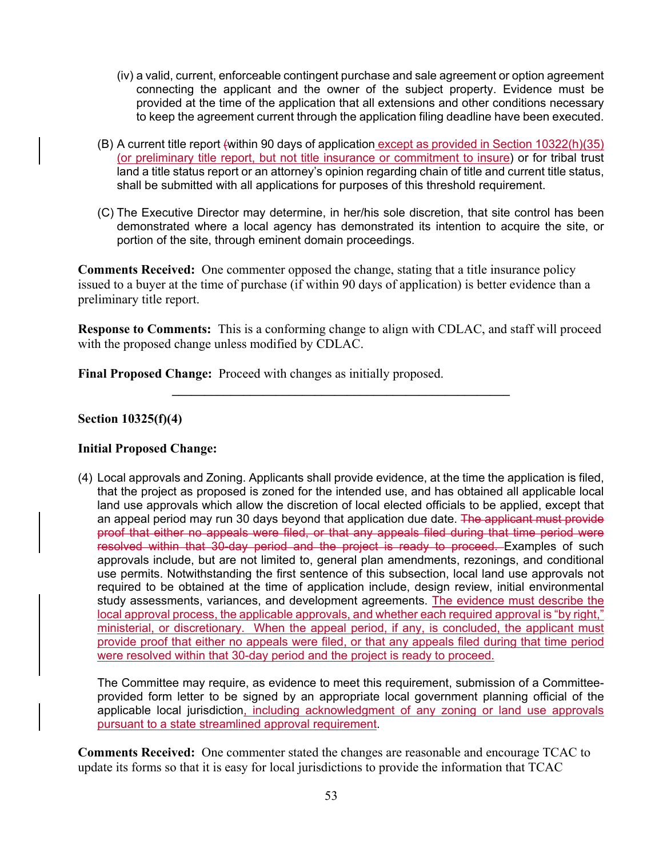- (iv) a valid, current, enforceable contingent purchase and sale agreement or option agreement connecting the applicant and the owner of the subject property. Evidence must be provided at the time of the application that all extensions and other conditions necessary to keep the agreement current through the application filing deadline have been executed.
- (B) A current title report (within 90 days of application except as provided in Section 10322(h)(35) (or preliminary title report, but not title insurance or commitment to insure) or for tribal trust land a title status report or an attorney's opinion regarding chain of title and current title status, shall be submitted with all applications for purposes of this threshold requirement.
- (C) The Executive Director may determine, in her/his sole discretion, that site control has been demonstrated where a local agency has demonstrated its intention to acquire the site, or portion of the site, through eminent domain proceedings.

**Comments Received:** One commenter opposed the change, stating that a title insurance policy issued to a buyer at the time of purchase (if within 90 days of application) is better evidence than a preliminary title report.

**Response to Comments:** This is a conforming change to align with CDLAC, and staff will proceed with the proposed change unless modified by CDLAC.

**\_\_\_\_\_\_\_\_\_\_\_\_\_\_\_\_\_\_\_\_\_\_\_\_\_\_\_\_\_\_\_\_\_\_\_\_\_\_\_\_\_\_\_\_\_\_\_\_\_\_\_\_** 

**Final Proposed Change:** Proceed with changes as initially proposed.

### **Section 10325(f)(4)**

### **Initial Proposed Change:**

(4) Local approvals and Zoning. Applicants shall provide evidence, at the time the application is filed, that the project as proposed is zoned for the intended use, and has obtained all applicable local land use approvals which allow the discretion of local elected officials to be applied, except that an appeal period may run 30 days beyond that application due date. The applicant must provide proof that either no appeals were filed, or that any appeals filed during that time period were resolved within that 30-day period and the project is ready to proceed. Examples of such approvals include, but are not limited to, general plan amendments, rezonings, and conditional use permits. Notwithstanding the first sentence of this subsection, local land use approvals not required to be obtained at the time of application include, design review, initial environmental study assessments, variances, and development agreements. The evidence must describe the local approval process, the applicable approvals, and whether each required approval is "by right," ministerial, or discretionary. When the appeal period, if any, is concluded, the applicant must provide proof that either no appeals were filed, or that any appeals filed during that time period were resolved within that 30-day period and the project is ready to proceed.

The Committee may require, as evidence to meet this requirement, submission of a Committeeprovided form letter to be signed by an appropriate local government planning official of the applicable local jurisdiction, including acknowledgment of any zoning or land use approvals pursuant to a state streamlined approval requirement.

**Comments Received:** One commenter stated the changes are reasonable and encourage TCAC to update its forms so that it is easy for local jurisdictions to provide the information that TCAC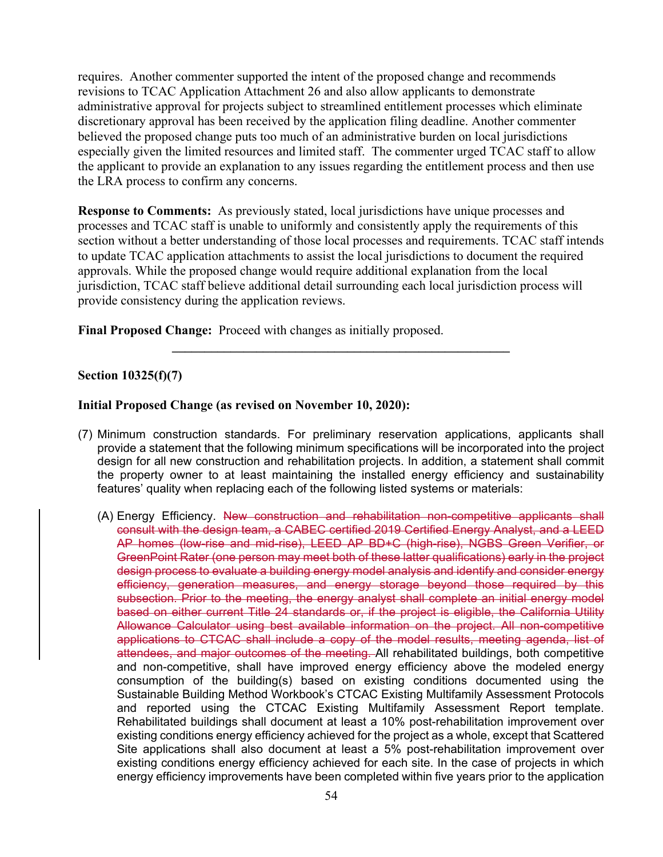requires. Another commenter supported the intent of the proposed change and recommends revisions to TCAC Application Attachment 26 and also allow applicants to demonstrate administrative approval for projects subject to streamlined entitlement processes which eliminate discretionary approval has been received by the application filing deadline. Another commenter believed the proposed change puts too much of an administrative burden on local jurisdictions especially given the limited resources and limited staff. The commenter urged TCAC staff to allow the applicant to provide an explanation to any issues regarding the entitlement process and then use the LRA process to confirm any concerns.

**Response to Comments:** As previously stated, local jurisdictions have unique processes and processes and TCAC staff is unable to uniformly and consistently apply the requirements of this section without a better understanding of those local processes and requirements. TCAC staff intends to update TCAC application attachments to assist the local jurisdictions to document the required approvals. While the proposed change would require additional explanation from the local jurisdiction, TCAC staff believe additional detail surrounding each local jurisdiction process will provide consistency during the application reviews.

**\_\_\_\_\_\_\_\_\_\_\_\_\_\_\_\_\_\_\_\_\_\_\_\_\_\_\_\_\_\_\_\_\_\_\_\_\_\_\_\_\_\_\_\_\_\_\_\_\_\_\_\_** 

**Final Proposed Change:** Proceed with changes as initially proposed.

## **Section 10325(f)(7)**

#### **Initial Proposed Change (as revised on November 10, 2020):**

- (7) Minimum construction standards. For preliminary reservation applications, applicants shall provide a statement that the following minimum specifications will be incorporated into the project design for all new construction and rehabilitation projects. In addition, a statement shall commit the property owner to at least maintaining the installed energy efficiency and sustainability features' quality when replacing each of the following listed systems or materials:
	- (A) Energy Efficiency. New construction and rehabilitation non-competitive applicants shall consult with the design team, a CABEC certified 2019 Certified Energy Analyst, and a LEED AP homes (low-rise and mid-rise), LEED AP BD+C (high-rise), NGBS Green Verifier, or GreenPoint Rater (one person may meet both of these latter qualifications) early in the project design process to evaluate a building energy model analysis and identify and consider energy efficiency, generation measures, and energy storage beyond those required by this subsection. Prior to the meeting, the energy analyst shall complete an initial energy model based on either current Title 24 standards or, if the project is eligible, the California Utility Allowance Calculator using best available information on the project. All non-competitive applications to CTCAC shall include a copy of the model results, meeting agenda, list of attendees, and major outcomes of the meeting. All rehabilitated buildings, both competitive and non-competitive, shall have improved energy efficiency above the modeled energy consumption of the building(s) based on existing conditions documented using the Sustainable Building Method Workbook's CTCAC Existing Multifamily Assessment Protocols and reported using the CTCAC Existing Multifamily Assessment Report template. Rehabilitated buildings shall document at least a 10% post-rehabilitation improvement over existing conditions energy efficiency achieved for the project as a whole, except that Scattered Site applications shall also document at least a 5% post-rehabilitation improvement over existing conditions energy efficiency achieved for each site. In the case of projects in which energy efficiency improvements have been completed within five years prior to the application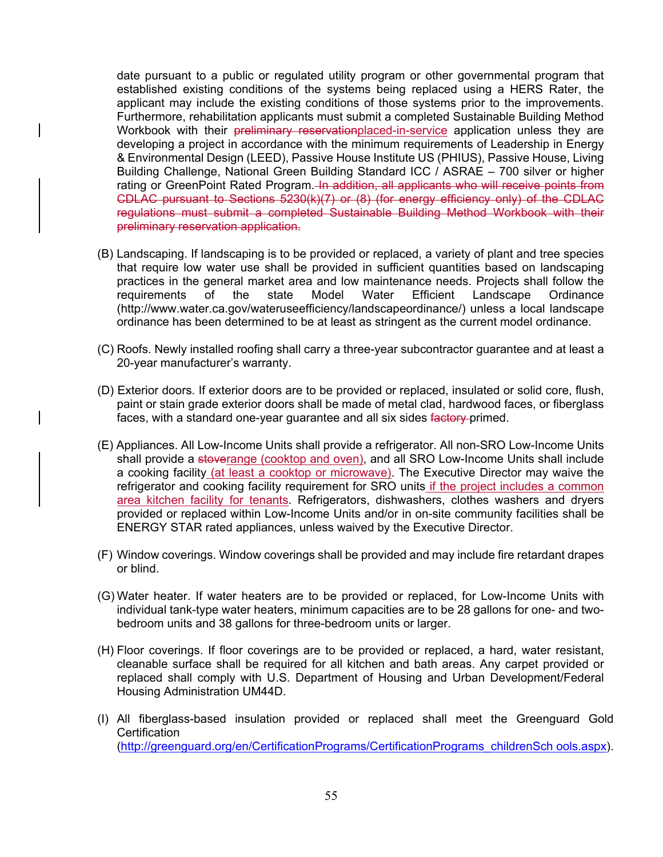date pursuant to a public or regulated utility program or other governmental program that established existing conditions of the systems being replaced using a HERS Rater, the applicant may include the existing conditions of those systems prior to the improvements. Furthermore, rehabilitation applicants must submit a completed Sustainable Building Method Workbook with their preliminary reservationplaced-in-service application unless they are developing a project in accordance with the minimum requirements of Leadership in Energy & Environmental Design (LEED), Passive House Institute US (PHIUS), Passive House, Living Building Challenge, National Green Building Standard ICC / ASRAE – 700 silver or higher rating or GreenPoint Rated Program. In addition, all applicants who will receive points from CDLAC pursuant to Sections 5230(k)(7) or (8) (for energy efficiency only) of the CDLAC regulations must submit a completed Sustainable Building Method Workbook with their preliminary reservation application.

- (B) Landscaping. If landscaping is to be provided or replaced, a variety of plant and tree species that require low water use shall be provided in sufficient quantities based on landscaping practices in the general market area and low maintenance needs. Projects shall follow the requirements of the state Model Water Efficient Landscape Ordinance (http://www.water.ca.gov/wateruseefficiency/landscapeordinance/) unless a local landscape ordinance has been determined to be at least as stringent as the current model ordinance.
- (C) Roofs. Newly installed roofing shall carry a three-year subcontractor guarantee and at least a 20-year manufacturer's warranty.
- (D) Exterior doors. If exterior doors are to be provided or replaced, insulated or solid core, flush, paint or stain grade exterior doors shall be made of metal clad, hardwood faces, or fiberglass faces, with a standard one-year guarantee and all six sides factory-primed.
- (E) Appliances. All Low-Income Units shall provide a refrigerator. All non-SRO Low-Income Units shall provide a stoverange (cooktop and oven), and all SRO Low-Income Units shall include a cooking facility (at least a cooktop or microwave). The Executive Director may waive the refrigerator and cooking facility requirement for SRO units if the project includes a common area kitchen facility for tenants. Refrigerators, dishwashers, clothes washers and dryers provided or replaced within Low-Income Units and/or in on-site community facilities shall be ENERGY STAR rated appliances, unless waived by the Executive Director.
- (F) Window coverings. Window coverings shall be provided and may include fire retardant drapes or blind.
- (G) Water heater. If water heaters are to be provided or replaced, for Low-Income Units with individual tank-type water heaters, minimum capacities are to be 28 gallons for one- and twobedroom units and 38 gallons for three-bedroom units or larger.
- (H) Floor coverings. If floor coverings are to be provided or replaced, a hard, water resistant, cleanable surface shall be required for all kitchen and bath areas. Any carpet provided or replaced shall comply with U.S. Department of Housing and Urban Development/Federal Housing Administration UM44D.
- (I) All fiberglass-based insulation provided or replaced shall meet the Greenguard Gold **Certification** (http://greenguard.org/en/CertificationPrograms/CertificationPrograms\_childrenSch ools.aspx).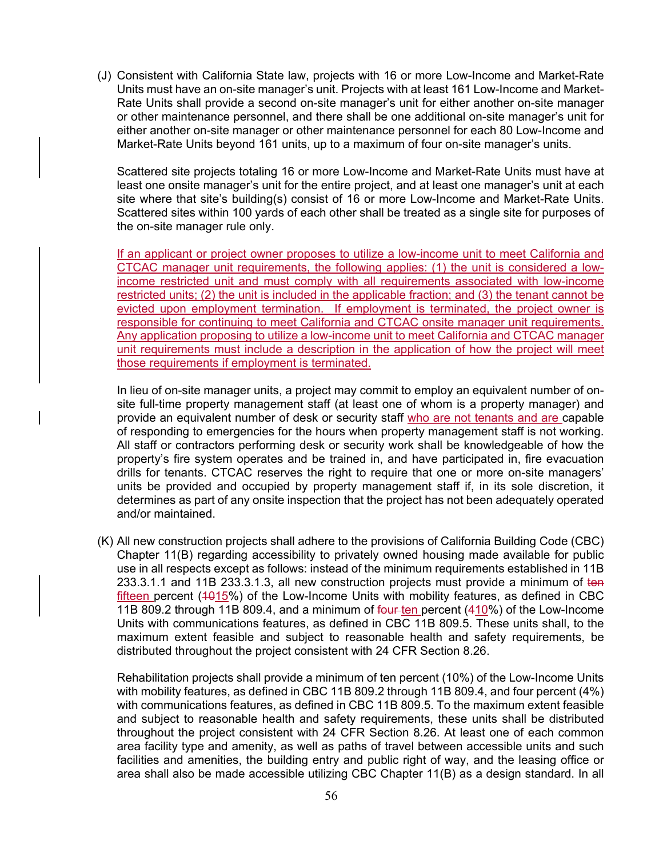(J) Consistent with California State law, projects with 16 or more Low-Income and Market-Rate Units must have an on-site manager's unit. Projects with at least 161 Low-Income and Market-Rate Units shall provide a second on-site manager's unit for either another on-site manager or other maintenance personnel, and there shall be one additional on-site manager's unit for either another on-site manager or other maintenance personnel for each 80 Low-Income and Market-Rate Units beyond 161 units, up to a maximum of four on-site manager's units.

Scattered site projects totaling 16 or more Low-Income and Market-Rate Units must have at least one onsite manager's unit for the entire project, and at least one manager's unit at each site where that site's building(s) consist of 16 or more Low-Income and Market-Rate Units. Scattered sites within 100 yards of each other shall be treated as a single site for purposes of the on-site manager rule only.

If an applicant or project owner proposes to utilize a low-income unit to meet California and CTCAC manager unit requirements, the following applies: (1) the unit is considered a lowincome restricted unit and must comply with all requirements associated with low-income restricted units; (2) the unit is included in the applicable fraction; and (3) the tenant cannot be evicted upon employment termination.If employment is terminated, the project owner is responsible for continuing to meet California and CTCAC onsite manager unit requirements. Any application proposing to utilize a low-income unit to meet California and CTCAC manager unit requirements must include a description in the application of how the project will meet those requirements if employment is terminated.

In lieu of on-site manager units, a project may commit to employ an equivalent number of onsite full-time property management staff (at least one of whom is a property manager) and provide an equivalent number of desk or security staff who are not tenants and are capable of responding to emergencies for the hours when property management staff is not working. All staff or contractors performing desk or security work shall be knowledgeable of how the property's fire system operates and be trained in, and have participated in, fire evacuation drills for tenants. CTCAC reserves the right to require that one or more on-site managers' units be provided and occupied by property management staff if, in its sole discretion, it determines as part of any onsite inspection that the project has not been adequately operated and/or maintained.

(K) All new construction projects shall adhere to the provisions of California Building Code (CBC) Chapter 11(B) regarding accessibility to privately owned housing made available for public use in all respects except as follows: instead of the minimum requirements established in 11B 233.3.1.1 and 11B 233.3.1.3, all new construction projects must provide a minimum of ten fifteen percent  $(4015%)$  of the Low-Income Units with mobility features, as defined in CBC 11B 809.2 through 11B 809.4, and a minimum of four ten percent (410%) of the Low-Income Units with communications features, as defined in CBC 11B 809.5. These units shall, to the maximum extent feasible and subject to reasonable health and safety requirements, be distributed throughout the project consistent with 24 CFR Section 8.26.

Rehabilitation projects shall provide a minimum of ten percent (10%) of the Low-Income Units with mobility features, as defined in CBC 11B 809.2 through 11B 809.4, and four percent (4%) with communications features, as defined in CBC 11B 809.5. To the maximum extent feasible and subject to reasonable health and safety requirements, these units shall be distributed throughout the project consistent with 24 CFR Section 8.26. At least one of each common area facility type and amenity, as well as paths of travel between accessible units and such facilities and amenities, the building entry and public right of way, and the leasing office or area shall also be made accessible utilizing CBC Chapter 11(B) as a design standard. In all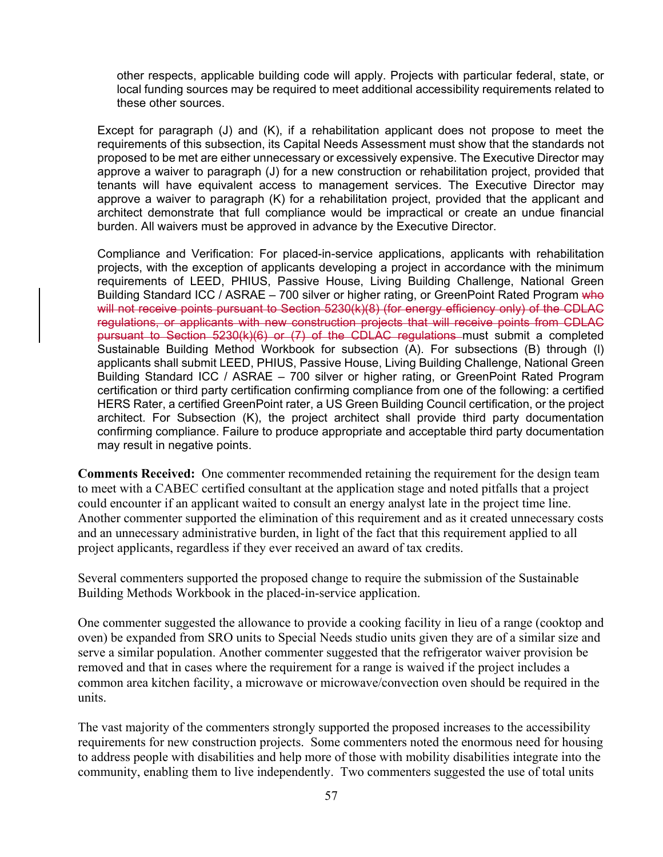other respects, applicable building code will apply. Projects with particular federal, state, or local funding sources may be required to meet additional accessibility requirements related to these other sources.

Except for paragraph (J) and (K), if a rehabilitation applicant does not propose to meet the requirements of this subsection, its Capital Needs Assessment must show that the standards not proposed to be met are either unnecessary or excessively expensive. The Executive Director may approve a waiver to paragraph (J) for a new construction or rehabilitation project, provided that tenants will have equivalent access to management services. The Executive Director may approve a waiver to paragraph (K) for a rehabilitation project, provided that the applicant and architect demonstrate that full compliance would be impractical or create an undue financial burden. All waivers must be approved in advance by the Executive Director.

Compliance and Verification: For placed-in-service applications, applicants with rehabilitation projects, with the exception of applicants developing a project in accordance with the minimum requirements of LEED, PHIUS, Passive House, Living Building Challenge, National Green Building Standard ICC / ASRAE – 700 silver or higher rating, or GreenPoint Rated Program who will not receive points pursuant to Section 5230(k)(8) (for energy efficiency only) of the CDLAC regulations, or applicants with new construction projects that will receive points from CDLAC pursuant to Section 5230(k)(6) or (7) of the CDLAC regulations must submit a completed Sustainable Building Method Workbook for subsection (A). For subsections (B) through (l) applicants shall submit LEED, PHIUS, Passive House, Living Building Challenge, National Green Building Standard ICC / ASRAE – 700 silver or higher rating, or GreenPoint Rated Program certification or third party certification confirming compliance from one of the following: a certified HERS Rater, a certified GreenPoint rater, a US Green Building Council certification, or the project architect. For Subsection (K), the project architect shall provide third party documentation confirming compliance. Failure to produce appropriate and acceptable third party documentation may result in negative points.

**Comments Received:** One commenter recommended retaining the requirement for the design team to meet with a CABEC certified consultant at the application stage and noted pitfalls that a project could encounter if an applicant waited to consult an energy analyst late in the project time line. Another commenter supported the elimination of this requirement and as it created unnecessary costs and an unnecessary administrative burden, in light of the fact that this requirement applied to all project applicants, regardless if they ever received an award of tax credits.

Several commenters supported the proposed change to require the submission of the Sustainable Building Methods Workbook in the placed-in-service application.

One commenter suggested the allowance to provide a cooking facility in lieu of a range (cooktop and oven) be expanded from SRO units to Special Needs studio units given they are of a similar size and serve a similar population. Another commenter suggested that the refrigerator waiver provision be removed and that in cases where the requirement for a range is waived if the project includes a common area kitchen facility, a microwave or microwave/convection oven should be required in the units.

The vast majority of the commenters strongly supported the proposed increases to the accessibility requirements for new construction projects. Some commenters noted the enormous need for housing to address people with disabilities and help more of those with mobility disabilities integrate into the community, enabling them to live independently. Two commenters suggested the use of total units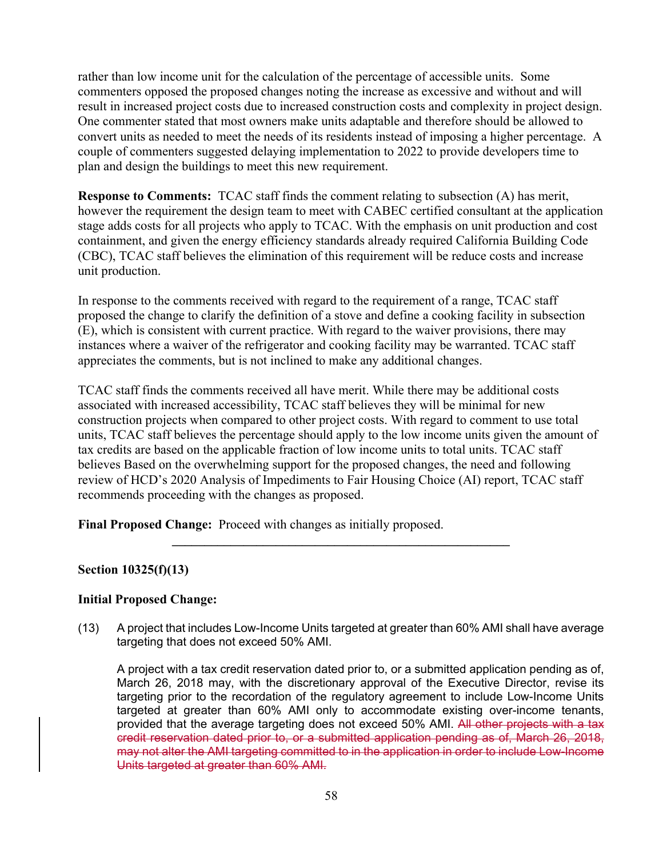rather than low income unit for the calculation of the percentage of accessible units. Some commenters opposed the proposed changes noting the increase as excessive and without and will result in increased project costs due to increased construction costs and complexity in project design. One commenter stated that most owners make units adaptable and therefore should be allowed to convert units as needed to meet the needs of its residents instead of imposing a higher percentage. A couple of commenters suggested delaying implementation to 2022 to provide developers time to plan and design the buildings to meet this new requirement.

**Response to Comments:** TCAC staff finds the comment relating to subsection (A) has merit, however the requirement the design team to meet with CABEC certified consultant at the application stage adds costs for all projects who apply to TCAC. With the emphasis on unit production and cost containment, and given the energy efficiency standards already required California Building Code (CBC), TCAC staff believes the elimination of this requirement will be reduce costs and increase unit production.

In response to the comments received with regard to the requirement of a range, TCAC staff proposed the change to clarify the definition of a stove and define a cooking facility in subsection (E), which is consistent with current practice. With regard to the waiver provisions, there may instances where a waiver of the refrigerator and cooking facility may be warranted. TCAC staff appreciates the comments, but is not inclined to make any additional changes.

TCAC staff finds the comments received all have merit. While there may be additional costs associated with increased accessibility, TCAC staff believes they will be minimal for new construction projects when compared to other project costs. With regard to comment to use total units, TCAC staff believes the percentage should apply to the low income units given the amount of tax credits are based on the applicable fraction of low income units to total units. TCAC staff believes Based on the overwhelming support for the proposed changes, the need and following review of HCD's 2020 Analysis of Impediments to Fair Housing Choice (AI) report, TCAC staff recommends proceeding with the changes as proposed.

**Final Proposed Change:** Proceed with changes as initially proposed.

# **Section 10325(f)(13)**

### **Initial Proposed Change:**

(13) A project that includes Low-Income Units targeted at greater than 60% AMI shall have average targeting that does not exceed 50% AMI.

**\_\_\_\_\_\_\_\_\_\_\_\_\_\_\_\_\_\_\_\_\_\_\_\_\_\_\_\_\_\_\_\_\_\_\_\_\_\_\_\_\_\_\_\_\_\_\_\_\_\_\_\_** 

A project with a tax credit reservation dated prior to, or a submitted application pending as of, March 26, 2018 may, with the discretionary approval of the Executive Director, revise its targeting prior to the recordation of the regulatory agreement to include Low-Income Units targeted at greater than 60% AMI only to accommodate existing over-income tenants, provided that the average targeting does not exceed 50% AMI. All other projects with a tax credit reservation dated prior to, or a submitted application pending as of, March 26, 2018, may not alter the AMI targeting committed to in the application in order to include Low-Income Units targeted at greater than 60% AMI.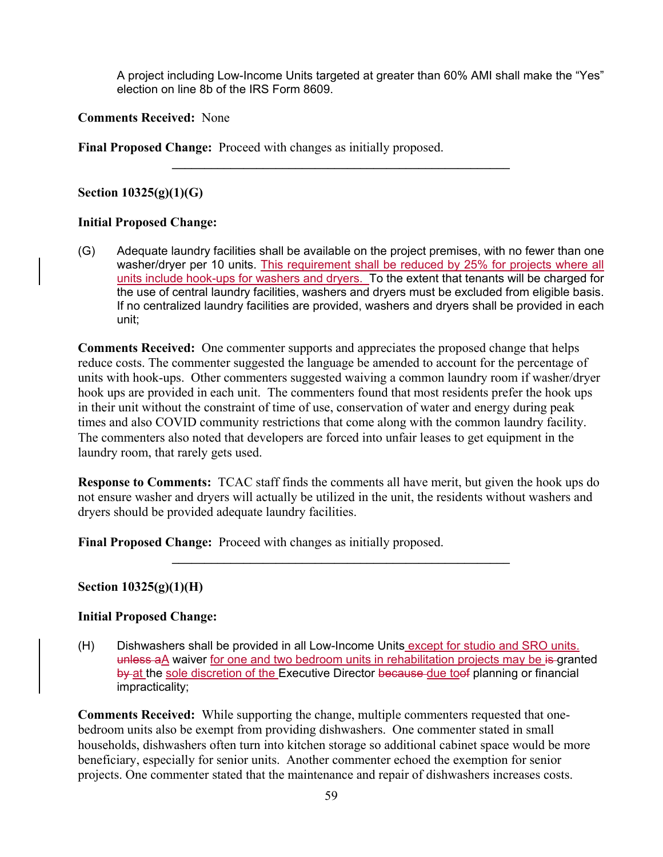A project including Low-Income Units targeted at greater than 60% AMI shall make the "Yes" election on line 8b of the IRS Form 8609.

## **Comments Received:** None

**Final Proposed Change:** Proceed with changes as initially proposed.

**Section 10325(g)(1)(G)** 

### **Initial Proposed Change:**

(G) Adequate laundry facilities shall be available on the project premises, with no fewer than one washer/dryer per 10 units. This requirement shall be reduced by 25% for projects where all units include hook-ups for washers and dryers. To the extent that tenants will be charged for the use of central laundry facilities, washers and dryers must be excluded from eligible basis. If no centralized laundry facilities are provided, washers and dryers shall be provided in each unit;

**\_\_\_\_\_\_\_\_\_\_\_\_\_\_\_\_\_\_\_\_\_\_\_\_\_\_\_\_\_\_\_\_\_\_\_\_\_\_\_\_\_\_\_\_\_\_\_\_\_\_\_\_** 

**Comments Received:** One commenter supports and appreciates the proposed change that helps reduce costs. The commenter suggested the language be amended to account for the percentage of units with hook-ups. Other commenters suggested waiving a common laundry room if washer/dryer hook ups are provided in each unit. The commenters found that most residents prefer the hook ups in their unit without the constraint of time of use, conservation of water and energy during peak times and also COVID community restrictions that come along with the common laundry facility. The commenters also noted that developers are forced into unfair leases to get equipment in the laundry room, that rarely gets used.

**Response to Comments:** TCAC staff finds the comments all have merit, but given the hook ups do not ensure washer and dryers will actually be utilized in the unit, the residents without washers and dryers should be provided adequate laundry facilities.

**\_\_\_\_\_\_\_\_\_\_\_\_\_\_\_\_\_\_\_\_\_\_\_\_\_\_\_\_\_\_\_\_\_\_\_\_\_\_\_\_\_\_\_\_\_\_\_\_\_\_\_\_** 

**Final Proposed Change:** Proceed with changes as initially proposed.

# **Section 10325(g)(1)(H)**

### **Initial Proposed Change:**

(H) Dishwashers shall be provided in all Low-Income Units except for studio and SRO units. unless aA waiver for one and two bedroom units in rehabilitation projects may be is granted by at the sole discretion of the Executive Director because due toof planning or financial impracticality;

**Comments Received:** While supporting the change, multiple commenters requested that onebedroom units also be exempt from providing dishwashers. One commenter stated in small households, dishwashers often turn into kitchen storage so additional cabinet space would be more beneficiary, especially for senior units. Another commenter echoed the exemption for senior projects. One commenter stated that the maintenance and repair of dishwashers increases costs.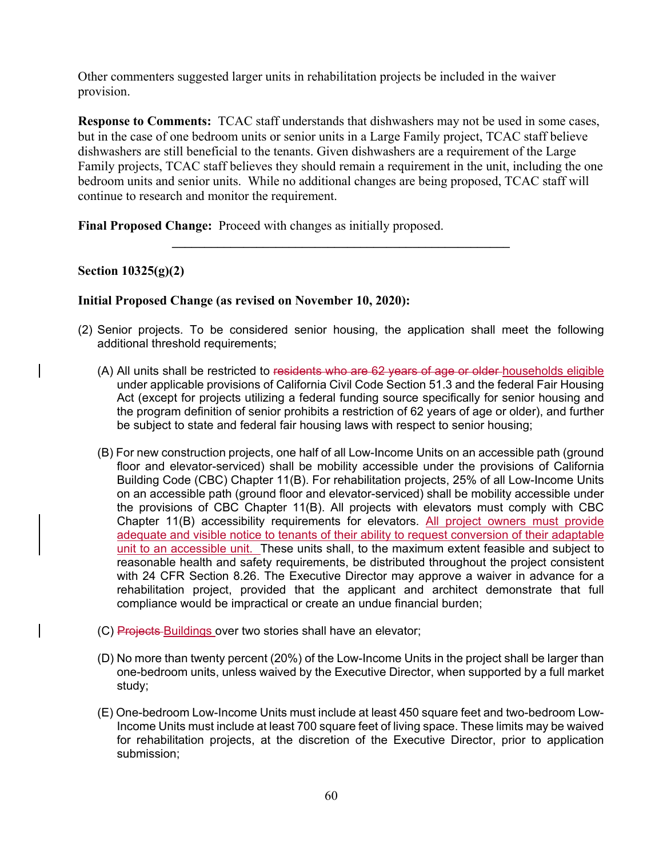Other commenters suggested larger units in rehabilitation projects be included in the waiver provision.

**Response to Comments:** TCAC staff understands that dishwashers may not be used in some cases, but in the case of one bedroom units or senior units in a Large Family project, TCAC staff believe dishwashers are still beneficial to the tenants. Given dishwashers are a requirement of the Large Family projects, TCAC staff believes they should remain a requirement in the unit, including the one bedroom units and senior units. While no additional changes are being proposed, TCAC staff will continue to research and monitor the requirement.

**\_\_\_\_\_\_\_\_\_\_\_\_\_\_\_\_\_\_\_\_\_\_\_\_\_\_\_\_\_\_\_\_\_\_\_\_\_\_\_\_\_\_\_\_\_\_\_\_\_\_\_\_** 

**Final Proposed Change:** Proceed with changes as initially proposed.

## **Section 10325(g)(2)**

### **Initial Proposed Change (as revised on November 10, 2020):**

- (2) Senior projects. To be considered senior housing, the application shall meet the following additional threshold requirements;
	- (A) All units shall be restricted to residents who are 62 years of age or older households eligible under applicable provisions of California Civil Code Section 51.3 and the federal Fair Housing Act (except for projects utilizing a federal funding source specifically for senior housing and the program definition of senior prohibits a restriction of 62 years of age or older), and further be subject to state and federal fair housing laws with respect to senior housing;
	- (B) For new construction projects, one half of all Low-Income Units on an accessible path (ground floor and elevator-serviced) shall be mobility accessible under the provisions of California Building Code (CBC) Chapter 11(B). For rehabilitation projects, 25% of all Low-Income Units on an accessible path (ground floor and elevator-serviced) shall be mobility accessible under the provisions of CBC Chapter 11(B). All projects with elevators must comply with CBC Chapter 11(B) accessibility requirements for elevators. All project owners must provide adequate and visible notice to tenants of their ability to request conversion of their adaptable unit to an accessible unit. These units shall, to the maximum extent feasible and subject to reasonable health and safety requirements, be distributed throughout the project consistent with 24 CFR Section 8.26. The Executive Director may approve a waiver in advance for a rehabilitation project, provided that the applicant and architect demonstrate that full compliance would be impractical or create an undue financial burden;
	- (C) Projects Buildings over two stories shall have an elevator;
	- (D) No more than twenty percent (20%) of the Low-Income Units in the project shall be larger than one-bedroom units, unless waived by the Executive Director, when supported by a full market study;
	- (E) One-bedroom Low-Income Units must include at least 450 square feet and two-bedroom Low-Income Units must include at least 700 square feet of living space. These limits may be waived for rehabilitation projects, at the discretion of the Executive Director, prior to application submission;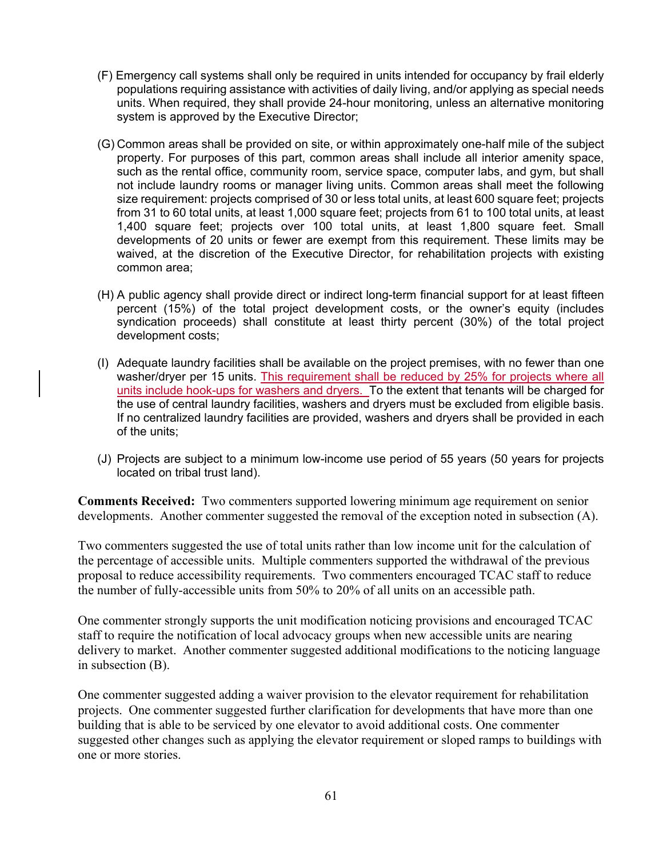- (F) Emergency call systems shall only be required in units intended for occupancy by frail elderly populations requiring assistance with activities of daily living, and/or applying as special needs units. When required, they shall provide 24-hour monitoring, unless an alternative monitoring system is approved by the Executive Director;
- (G) Common areas shall be provided on site, or within approximately one-half mile of the subject property. For purposes of this part, common areas shall include all interior amenity space, such as the rental office, community room, service space, computer labs, and gym, but shall not include laundry rooms or manager living units. Common areas shall meet the following size requirement: projects comprised of 30 or less total units, at least 600 square feet; projects from 31 to 60 total units, at least 1,000 square feet; projects from 61 to 100 total units, at least 1,400 square feet; projects over 100 total units, at least 1,800 square feet. Small developments of 20 units or fewer are exempt from this requirement. These limits may be waived, at the discretion of the Executive Director, for rehabilitation projects with existing common area;
- (H) A public agency shall provide direct or indirect long-term financial support for at least fifteen percent (15%) of the total project development costs, or the owner's equity (includes syndication proceeds) shall constitute at least thirty percent (30%) of the total project development costs;
- (I) Adequate laundry facilities shall be available on the project premises, with no fewer than one washer/dryer per 15 units. This requirement shall be reduced by 25% for projects where all units include hook-ups for washers and dryers. To the extent that tenants will be charged for the use of central laundry facilities, washers and dryers must be excluded from eligible basis. If no centralized laundry facilities are provided, washers and dryers shall be provided in each of the units;
- (J) Projects are subject to a minimum low-income use period of 55 years (50 years for projects located on tribal trust land).

**Comments Received:** Two commenters supported lowering minimum age requirement on senior developments. Another commenter suggested the removal of the exception noted in subsection (A).

Two commenters suggested the use of total units rather than low income unit for the calculation of the percentage of accessible units. Multiple commenters supported the withdrawal of the previous proposal to reduce accessibility requirements. Two commenters encouraged TCAC staff to reduce the number of fully-accessible units from 50% to 20% of all units on an accessible path.

One commenter strongly supports the unit modification noticing provisions and encouraged TCAC staff to require the notification of local advocacy groups when new accessible units are nearing delivery to market. Another commenter suggested additional modifications to the noticing language in subsection (B).

One commenter suggested adding a waiver provision to the elevator requirement for rehabilitation projects. One commenter suggested further clarification for developments that have more than one building that is able to be serviced by one elevator to avoid additional costs. One commenter suggested other changes such as applying the elevator requirement or sloped ramps to buildings with one or more stories.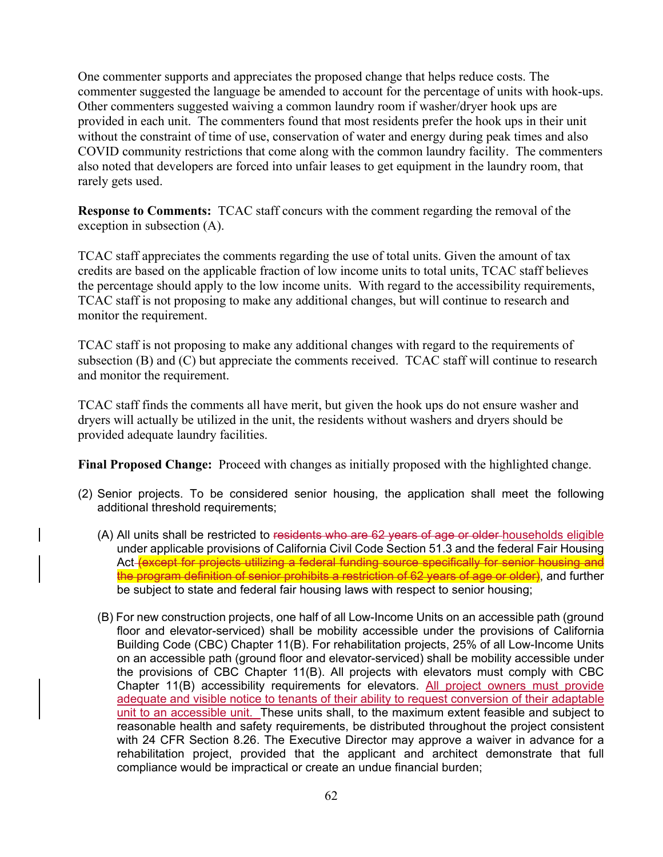One commenter supports and appreciates the proposed change that helps reduce costs. The commenter suggested the language be amended to account for the percentage of units with hook-ups. Other commenters suggested waiving a common laundry room if washer/dryer hook ups are provided in each unit. The commenters found that most residents prefer the hook ups in their unit without the constraint of time of use, conservation of water and energy during peak times and also COVID community restrictions that come along with the common laundry facility. The commenters also noted that developers are forced into unfair leases to get equipment in the laundry room, that rarely gets used.

**Response to Comments:** TCAC staff concurs with the comment regarding the removal of the exception in subsection (A).

TCAC staff appreciates the comments regarding the use of total units. Given the amount of tax credits are based on the applicable fraction of low income units to total units, TCAC staff believes the percentage should apply to the low income units. With regard to the accessibility requirements, TCAC staff is not proposing to make any additional changes, but will continue to research and monitor the requirement.

TCAC staff is not proposing to make any additional changes with regard to the requirements of subsection (B) and (C) but appreciate the comments received. TCAC staff will continue to research and monitor the requirement.

TCAC staff finds the comments all have merit, but given the hook ups do not ensure washer and dryers will actually be utilized in the unit, the residents without washers and dryers should be provided adequate laundry facilities.

**Final Proposed Change:** Proceed with changes as initially proposed with the highlighted change.

- (2) Senior projects. To be considered senior housing, the application shall meet the following additional threshold requirements;
	- (A) All units shall be restricted to residents who are 62 years of age or older households eligible under applicable provisions of California Civil Code Section 51.3 and the federal Fair Housing Act <del>(except for projects utilizing a federal funding source specifically for senior housing and</del> the program definition of senior prohibits a restriction of 62 years of age or older), and further be subject to state and federal fair housing laws with respect to senior housing;
	- (B) For new construction projects, one half of all Low-Income Units on an accessible path (ground floor and elevator-serviced) shall be mobility accessible under the provisions of California Building Code (CBC) Chapter 11(B). For rehabilitation projects, 25% of all Low-Income Units on an accessible path (ground floor and elevator-serviced) shall be mobility accessible under the provisions of CBC Chapter 11(B). All projects with elevators must comply with CBC Chapter 11(B) accessibility requirements for elevators. All project owners must provide adequate and visible notice to tenants of their ability to request conversion of their adaptable unit to an accessible unit. These units shall, to the maximum extent feasible and subject to reasonable health and safety requirements, be distributed throughout the project consistent with 24 CFR Section 8.26. The Executive Director may approve a waiver in advance for a rehabilitation project, provided that the applicant and architect demonstrate that full compliance would be impractical or create an undue financial burden;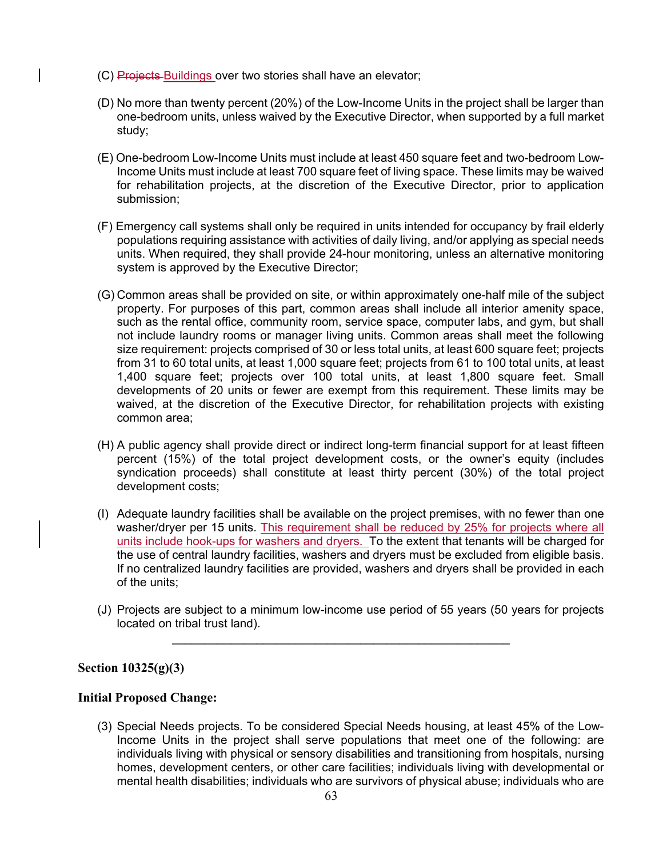- (C) Projects Buildings over two stories shall have an elevator;
- (D) No more than twenty percent (20%) of the Low-Income Units in the project shall be larger than one-bedroom units, unless waived by the Executive Director, when supported by a full market study;
- (E) One-bedroom Low-Income Units must include at least 450 square feet and two-bedroom Low-Income Units must include at least 700 square feet of living space. These limits may be waived for rehabilitation projects, at the discretion of the Executive Director, prior to application submission;
- (F) Emergency call systems shall only be required in units intended for occupancy by frail elderly populations requiring assistance with activities of daily living, and/or applying as special needs units. When required, they shall provide 24-hour monitoring, unless an alternative monitoring system is approved by the Executive Director;
- (G) Common areas shall be provided on site, or within approximately one-half mile of the subject property. For purposes of this part, common areas shall include all interior amenity space, such as the rental office, community room, service space, computer labs, and gym, but shall not include laundry rooms or manager living units. Common areas shall meet the following size requirement: projects comprised of 30 or less total units, at least 600 square feet; projects from 31 to 60 total units, at least 1,000 square feet; projects from 61 to 100 total units, at least 1,400 square feet; projects over 100 total units, at least 1,800 square feet. Small developments of 20 units or fewer are exempt from this requirement. These limits may be waived, at the discretion of the Executive Director, for rehabilitation projects with existing common area;
- (H) A public agency shall provide direct or indirect long-term financial support for at least fifteen percent (15%) of the total project development costs, or the owner's equity (includes syndication proceeds) shall constitute at least thirty percent (30%) of the total project development costs;
- (I) Adequate laundry facilities shall be available on the project premises, with no fewer than one washer/dryer per 15 units. This requirement shall be reduced by 25% for projects where all units include hook-ups for washers and dryers. To the extent that tenants will be charged for the use of central laundry facilities, washers and dryers must be excluded from eligible basis. If no centralized laundry facilities are provided, washers and dryers shall be provided in each of the units;
- (J) Projects are subject to a minimum low-income use period of 55 years (50 years for projects located on tribal trust land).

**\_\_\_\_\_\_\_\_\_\_\_\_\_\_\_\_\_\_\_\_\_\_\_\_\_\_\_\_\_\_\_\_\_\_\_\_\_\_\_\_\_\_\_\_\_\_\_\_\_\_\_\_** 

### **Section 10325(g)(3)**

#### **Initial Proposed Change:**

(3) Special Needs projects. To be considered Special Needs housing, at least 45% of the Low-Income Units in the project shall serve populations that meet one of the following: are individuals living with physical or sensory disabilities and transitioning from hospitals, nursing homes, development centers, or other care facilities; individuals living with developmental or mental health disabilities; individuals who are survivors of physical abuse; individuals who are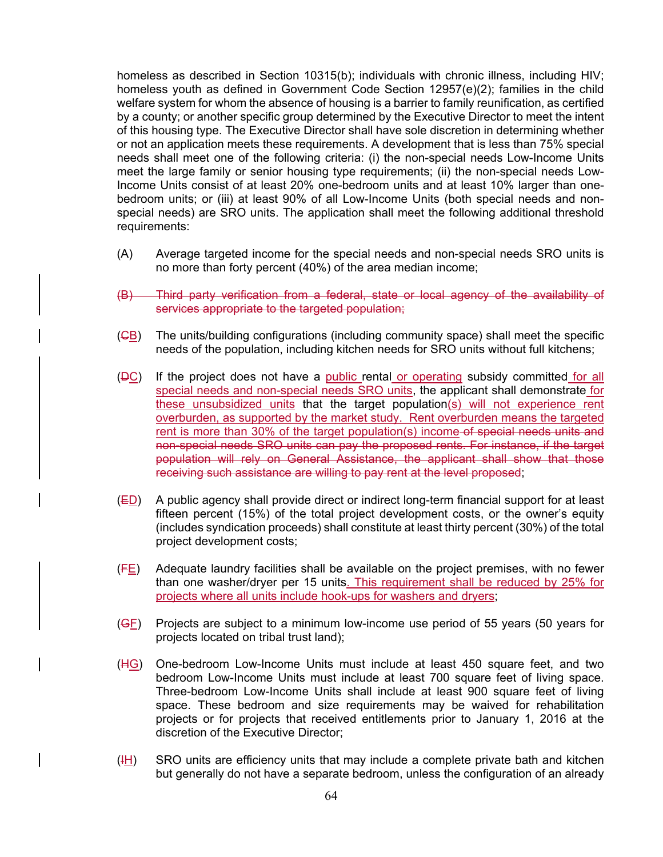homeless as described in Section 10315(b); individuals with chronic illness, including HIV; homeless youth as defined in Government Code Section 12957(e)(2); families in the child welfare system for whom the absence of housing is a barrier to family reunification, as certified by a county; or another specific group determined by the Executive Director to meet the intent of this housing type. The Executive Director shall have sole discretion in determining whether or not an application meets these requirements. A development that is less than 75% special needs shall meet one of the following criteria: (i) the non-special needs Low-Income Units meet the large family or senior housing type requirements; (ii) the non-special needs Low-Income Units consist of at least 20% one-bedroom units and at least 10% larger than onebedroom units; or (iii) at least 90% of all Low-Income Units (both special needs and nonspecial needs) are SRO units. The application shall meet the following additional threshold requirements:

- (A) Average targeted income for the special needs and non-special needs SRO units is no more than forty percent (40%) of the area median income;
- (B) Third party verification from a federal, state or local agency of the availability of services appropriate to the targeted population;
- (CB) The units/building configurations (including community space) shall meet the specific needs of the population, including kitchen needs for SRO units without full kitchens;
- ( $\overline{DC}$ ) If the project does not have a public rental or operating subsidy committed for all special needs and non-special needs SRO units, the applicant shall demonstrate for these unsubsidized units that the target population(s) will not experience rent overburden, as supported by the market study. Rent overburden means the targeted rent is more than 30% of the target population(s) income of special needs units and non-special needs SRO units can pay the proposed rents. For instance, if the target population will rely on General Assistance, the applicant shall show that those receiving such assistance are willing to pay rent at the level proposed;
- $(E<sub>D</sub>)$  A public agency shall provide direct or indirect long-term financial support for at least fifteen percent (15%) of the total project development costs, or the owner's equity (includes syndication proceeds) shall constitute at least thirty percent (30%) of the total project development costs;
- $(E_1)$  Adequate laundry facilities shall be available on the project premises, with no fewer than one washer/dryer per 15 units. This requirement shall be reduced by 25% for projects where all units include hook-ups for washers and dryers;
- $(\overline{\mathsf{GE}})$  Projects are subject to a minimum low-income use period of 55 years (50 years for projects located on tribal trust land);
- (HG) One-bedroom Low-Income Units must include at least 450 square feet, and two bedroom Low-Income Units must include at least 700 square feet of living space. Three-bedroom Low-Income Units shall include at least 900 square feet of living space. These bedroom and size requirements may be waived for rehabilitation projects or for projects that received entitlements prior to January 1, 2016 at the discretion of the Executive Director;
- $(H)$  SRO units are efficiency units that may include a complete private bath and kitchen but generally do not have a separate bedroom, unless the configuration of an already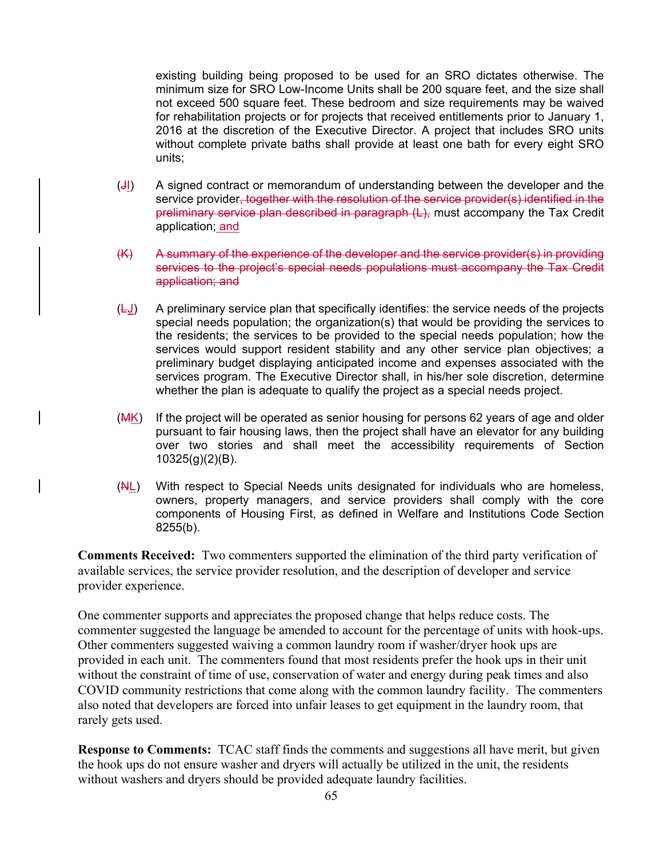existing building being proposed to be used for an SRO dictates otherwise. The minimum size for SRO Low-Income Units shall be 200 square feet, and the size shall not exceed 500 square feet. These bedroom and size requirements may be waived for rehabilitation projects or for projects that received entitlements prior to January 1, 2016 at the discretion of the Executive Director. A project that includes SRO units without complete private baths shall provide at least one bath for every eight SRO units;

- (JI) A signed contract or memorandum of understanding between the developer and the service provider, together with the resolution of the service provider(s) identified in the preliminary service plan described in paragraph (L), must accompany the Tax Credit application; and
- (K) A summary of the experience of the developer and the service provider(s) in providing services to the project's special needs populations must accompany the Tax Credit application; and
- $(\underline{\sqcup})$  A preliminary service plan that specifically identifies: the service needs of the projects special needs population; the organization(s) that would be providing the services to the residents; the services to be provided to the special needs population; how the services would support resident stability and any other service plan objectives; a preliminary budget displaying anticipated income and expenses associated with the services program. The Executive Director shall, in his/her sole discretion, determine whether the plan is adequate to qualify the project as a special needs project.
- (MK) If the project will be operated as senior housing for persons 62 years of age and older pursuant to fair housing laws, then the project shall have an elevator for any building over two stories and shall meet the accessibility requirements of Section 10325(g)(2)(B).
- $(H<sub>L</sub>)$  With respect to Special Needs units designated for individuals who are homeless, owners, property managers, and service providers shall comply with the core components of Housing First, as defined in Welfare and Institutions Code Section 8255(b).

**Comments Received:** Two commenters supported the elimination of the third party verification of available services, the service provider resolution, and the description of developer and service provider experience.

One commenter supports and appreciates the proposed change that helps reduce costs. The commenter suggested the language be amended to account for the percentage of units with hook-ups. Other commenters suggested waiving a common laundry room if washer/dryer hook ups are provided in each unit. The commenters found that most residents prefer the hook ups in their unit without the constraint of time of use, conservation of water and energy during peak times and also COVID community restrictions that come along with the common laundry facility. The commenters also noted that developers are forced into unfair leases to get equipment in the laundry room, that rarely gets used.

**Response to Comments:** TCAC staff finds the comments and suggestions all have merit, but given the hook ups do not ensure washer and dryers will actually be utilized in the unit, the residents without washers and dryers should be provided adequate laundry facilities.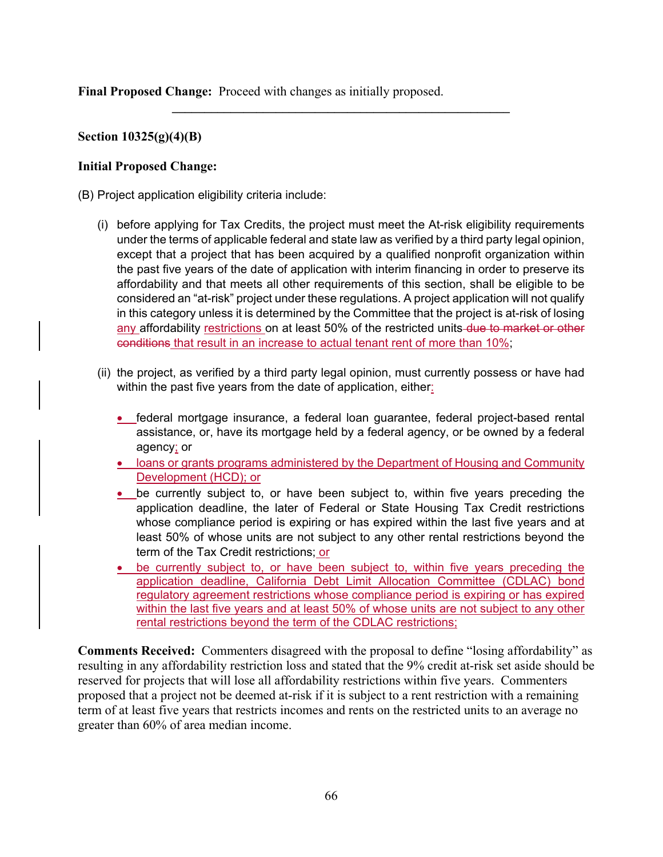**Final Proposed Change:** Proceed with changes as initially proposed.

## **Section 10325(g)(4)(B)**

## **Initial Proposed Change:**

(B) Project application eligibility criteria include:

(i) before applying for Tax Credits, the project must meet the At-risk eligibility requirements under the terms of applicable federal and state law as verified by a third party legal opinion, except that a project that has been acquired by a qualified nonprofit organization within the past five years of the date of application with interim financing in order to preserve its affordability and that meets all other requirements of this section, shall be eligible to be considered an "at-risk" project under these regulations. A project application will not qualify in this category unless it is determined by the Committee that the project is at-risk of losing any affordability restrictions on at least 50% of the restricted units-due to market or other conditions that result in an increase to actual tenant rent of more than 10%;

**\_\_\_\_\_\_\_\_\_\_\_\_\_\_\_\_\_\_\_\_\_\_\_\_\_\_\_\_\_\_\_\_\_\_\_\_\_\_\_\_\_\_\_\_\_\_\_\_\_\_\_\_** 

- (ii) the project, as verified by a third party legal opinion, must currently possess or have had within the past five years from the date of application, either:
	- federal mortgage insurance, a federal loan guarantee, federal project-based rental assistance, or, have its mortgage held by a federal agency, or be owned by a federal agency; or
	- loans or grants programs administered by the Department of Housing and Community Development (HCD); or
	- be currently subject to, or have been subject to, within five years preceding the application deadline, the later of Federal or State Housing Tax Credit restrictions whose compliance period is expiring or has expired within the last five years and at least 50% of whose units are not subject to any other rental restrictions beyond the term of the Tax Credit restrictions; or
	- be currently subject to, or have been subject to, within five years preceding the application deadline, California Debt Limit Allocation Committee (CDLAC) bond regulatory agreement restrictions whose compliance period is expiring or has expired within the last five years and at least 50% of whose units are not subject to any other rental restrictions beyond the term of the CDLAC restrictions;

**Comments Received:** Commenters disagreed with the proposal to define "losing affordability" as resulting in any affordability restriction loss and stated that the 9% credit at-risk set aside should be reserved for projects that will lose all affordability restrictions within five years. Commenters proposed that a project not be deemed at-risk if it is subject to a rent restriction with a remaining term of at least five years that restricts incomes and rents on the restricted units to an average no greater than 60% of area median income.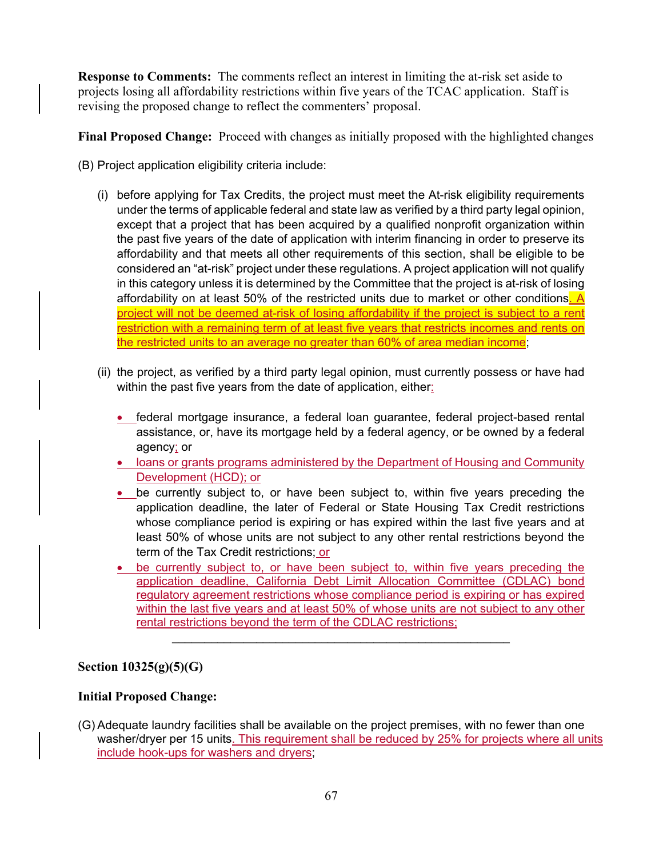**Response to Comments:** The comments reflect an interest in limiting the at-risk set aside to projects losing all affordability restrictions within five years of the TCAC application. Staff is revising the proposed change to reflect the commenters' proposal.

**Final Proposed Change:** Proceed with changes as initially proposed with the highlighted changes

- (B) Project application eligibility criteria include:
	- (i) before applying for Tax Credits, the project must meet the At-risk eligibility requirements under the terms of applicable federal and state law as verified by a third party legal opinion, except that a project that has been acquired by a qualified nonprofit organization within the past five years of the date of application with interim financing in order to preserve its affordability and that meets all other requirements of this section, shall be eligible to be considered an "at-risk" project under these regulations. A project application will not qualify in this category unless it is determined by the Committee that the project is at-risk of losing affordability on at least 50% of the restricted units due to market or other conditions. A project will not be deemed at-risk of losing affordability if the project is subject to a rent restriction with a remaining term of at least five years that restricts incomes and rents on the restricted units to an average no greater than 60% of area median income;
	- (ii) the project, as verified by a third party legal opinion, must currently possess or have had within the past five years from the date of application, either:
		- federal mortgage insurance, a federal loan guarantee, federal project-based rental assistance, or, have its mortgage held by a federal agency, or be owned by a federal agency; or
		- **loans or grants programs administered by the Department of Housing and Community** Development (HCD); or
		- **•** be currently subject to, or have been subject to, within five years preceding the application deadline, the later of Federal or State Housing Tax Credit restrictions whose compliance period is expiring or has expired within the last five years and at least 50% of whose units are not subject to any other rental restrictions beyond the term of the Tax Credit restrictions; or
		- be currently subject to, or have been subject to, within five years preceding the application deadline, California Debt Limit Allocation Committee (CDLAC) bond regulatory agreement restrictions whose compliance period is expiring or has expired within the last five years and at least 50% of whose units are not subject to any other rental restrictions beyond the term of the CDLAC restrictions;

 $\mathcal{L}_\mathcal{L} = \{ \mathcal{L}_\mathcal{L} = \{ \mathcal{L}_\mathcal{L} \}$ 

# **Section 10325(g)(5)(G)**

### **Initial Proposed Change:**

(G) Adequate laundry facilities shall be available on the project premises, with no fewer than one washer/dryer per 15 units. This requirement shall be reduced by 25% for projects where all units include hook-ups for washers and dryers;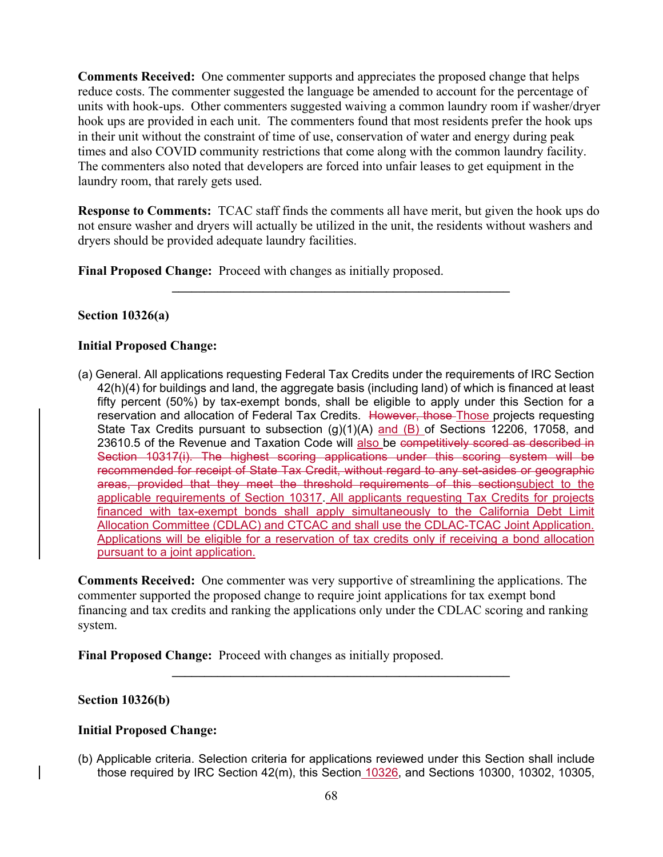**Comments Received:** One commenter supports and appreciates the proposed change that helps reduce costs. The commenter suggested the language be amended to account for the percentage of units with hook-ups. Other commenters suggested waiving a common laundry room if washer/dryer hook ups are provided in each unit. The commenters found that most residents prefer the hook ups in their unit without the constraint of time of use, conservation of water and energy during peak times and also COVID community restrictions that come along with the common laundry facility. The commenters also noted that developers are forced into unfair leases to get equipment in the laundry room, that rarely gets used.

**Response to Comments:** TCAC staff finds the comments all have merit, but given the hook ups do not ensure washer and dryers will actually be utilized in the unit, the residents without washers and dryers should be provided adequate laundry facilities.

 $\mathcal{L}_\mathcal{L} = \{ \mathcal{L}_\mathcal{L} = \{ \mathcal{L}_\mathcal{L} \}$ 

**Final Proposed Change:** Proceed with changes as initially proposed.

## **Section 10326(a)**

## **Initial Proposed Change:**

(a) General. All applications requesting Federal Tax Credits under the requirements of IRC Section 42(h)(4) for buildings and land, the aggregate basis (including land) of which is financed at least fifty percent (50%) by tax-exempt bonds, shall be eligible to apply under this Section for a reservation and allocation of Federal Tax Credits. However, those Those projects requesting State Tax Credits pursuant to subsection (g)(1)(A) and (B) of Sections 12206, 17058, and 23610.5 of the Revenue and Taxation Code will also be competitively scored as described in Section 10317(i). The highest scoring applications under this scoring system will be recommended for receipt of State Tax Credit, without regard to any set-asides or geographic areas, provided that they meet the threshold requirements of this sectionsubject to the applicable requirements of Section 10317. All applicants requesting Tax Credits for projects financed with tax-exempt bonds shall apply simultaneously to the California Debt Limit Allocation Committee (CDLAC) and CTCAC and shall use the CDLAC-TCAC Joint Application. Applications will be eligible for a reservation of tax credits only if receiving a bond allocation pursuant to a joint application.

**Comments Received:** One commenter was very supportive of streamlining the applications. The commenter supported the proposed change to require joint applications for tax exempt bond financing and tax credits and ranking the applications only under the CDLAC scoring and ranking system.

**\_\_\_\_\_\_\_\_\_\_\_\_\_\_\_\_\_\_\_\_\_\_\_\_\_\_\_\_\_\_\_\_\_\_\_\_\_\_\_\_\_\_\_\_\_\_\_\_\_\_\_\_** 

**Final Proposed Change:** Proceed with changes as initially proposed.

### **Section 10326(b)**

### **Initial Proposed Change:**

(b) Applicable criteria. Selection criteria for applications reviewed under this Section shall include those required by IRC Section 42(m), this Section 10326, and Sections 10300, 10302, 10305,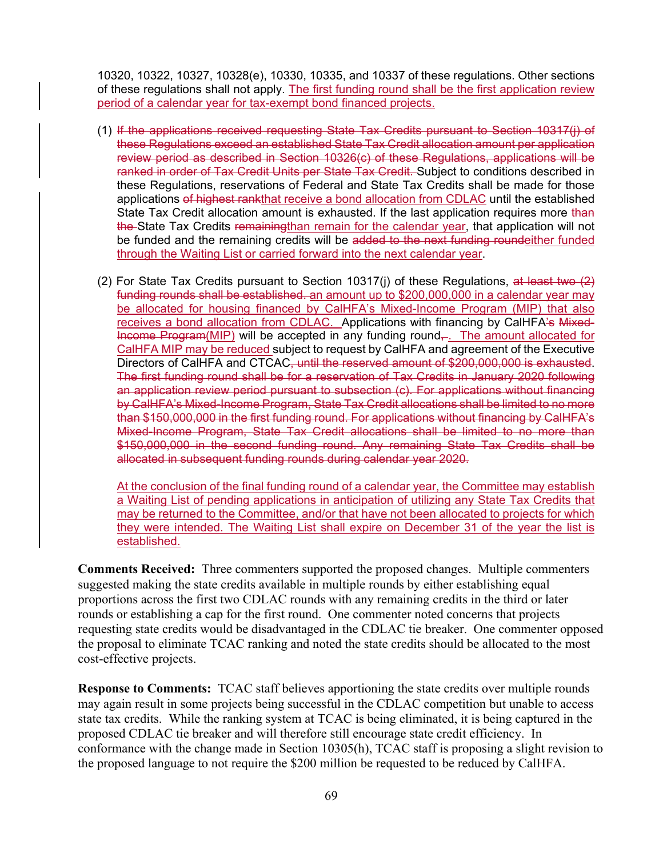10320, 10322, 10327, 10328(e), 10330, 10335, and 10337 of these regulations. Other sections of these regulations shall not apply. The first funding round shall be the first application review period of a calendar year for tax-exempt bond financed projects.

- (1) If the applications received requesting State Tax Credits pursuant to Section 10317(j) of these Regulations exceed an established State Tax Credit allocation amount per application review period as described in Section 10326(c) of these Regulations, applications will be ranked in order of Tax Credit Units per State Tax Credit. Subject to conditions described in these Regulations, reservations of Federal and State Tax Credits shall be made for those applications of highest rankthat receive a bond allocation from CDLAC until the established State Tax Credit allocation amount is exhausted. If the last application requires more than the State Tax Credits remainingthan remain for the calendar year, that application will not be funded and the remaining credits will be added to the next funding roundeither funded through the Waiting List or carried forward into the next calendar year.
- (2) For State Tax Credits pursuant to Section 10317(i) of these Regulations, at least two  $(2)$ funding rounds shall be established. an amount up to \$200,000,000 in a calendar year may be allocated for housing financed by CalHFA's Mixed-Income Program (MIP) that also receives a bond allocation from CDLAC. Applications with financing by CalHFA's Mixed-Income Program(MIP) will be accepted in any funding round—. The amount allocated for CalHFA MIP may be reduced subject to request by CalHFA and agreement of the Executive Directors of CalHFA and CTCAC, until the reserved amount of \$200,000,000 is exhausted. The first funding round shall be for a reservation of Tax Credits in January 2020 following an application review period pursuant to subsection (c). For applications without financing by CalHFA's Mixed-Income Program, State Tax Credit allocations shall be limited to no more than \$150,000,000 in the first funding round. For applications without financing by CalHFA's Mixed-Income Program, State Tax Credit allocations shall be limited to no more than \$150,000,000 in the second funding round. Any remaining State Tax Credits shall be allocated in subsequent funding rounds during calendar year 2020.

At the conclusion of the final funding round of a calendar year, the Committee may establish a Waiting List of pending applications in anticipation of utilizing any State Tax Credits that may be returned to the Committee, and/or that have not been allocated to projects for which they were intended. The Waiting List shall expire on December 31 of the year the list is established.

**Comments Received:** Three commenters supported the proposed changes. Multiple commenters suggested making the state credits available in multiple rounds by either establishing equal proportions across the first two CDLAC rounds with any remaining credits in the third or later rounds or establishing a cap for the first round. One commenter noted concerns that projects requesting state credits would be disadvantaged in the CDLAC tie breaker. One commenter opposed the proposal to eliminate TCAC ranking and noted the state credits should be allocated to the most cost-effective projects.

**Response to Comments:** TCAC staff believes apportioning the state credits over multiple rounds may again result in some projects being successful in the CDLAC competition but unable to access state tax credits. While the ranking system at TCAC is being eliminated, it is being captured in the proposed CDLAC tie breaker and will therefore still encourage state credit efficiency. In conformance with the change made in Section 10305(h), TCAC staff is proposing a slight revision to the proposed language to not require the \$200 million be requested to be reduced by CalHFA.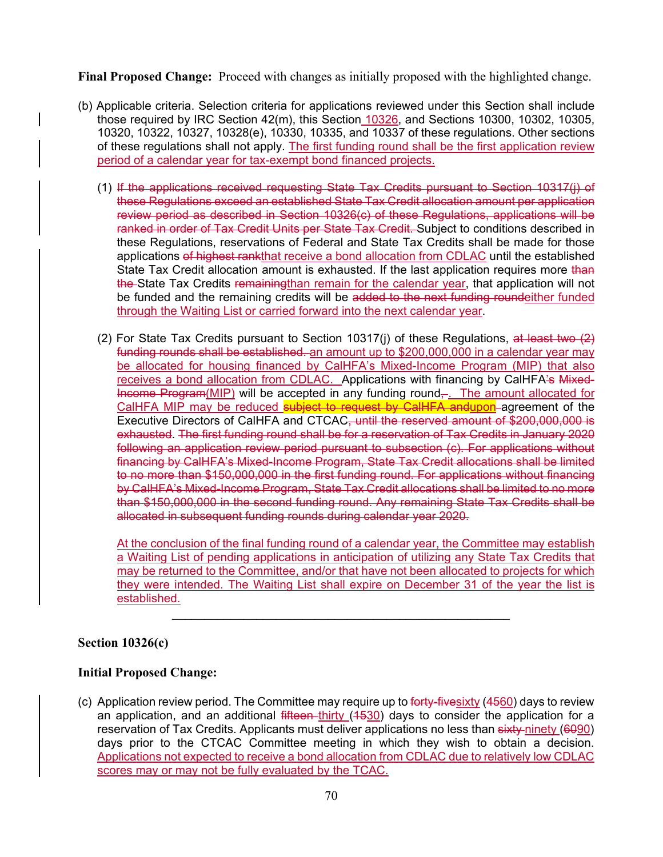**Final Proposed Change:** Proceed with changes as initially proposed with the highlighted change.

- (b) Applicable criteria. Selection criteria for applications reviewed under this Section shall include those required by IRC Section 42(m), this Section 10326, and Sections 10300, 10302, 10305, 10320, 10322, 10327, 10328(e), 10330, 10335, and 10337 of these regulations. Other sections of these regulations shall not apply. The first funding round shall be the first application review period of a calendar year for tax-exempt bond financed projects.
	- (1) If the applications received requesting State Tax Credits pursuant to Section 10317(j) of these Regulations exceed an established State Tax Credit allocation amount per application review period as described in Section 10326(c) of these Regulations, applications will be ranked in order of Tax Credit Units per State Tax Credit. Subject to conditions described in these Regulations, reservations of Federal and State Tax Credits shall be made for those applications of highest rankthat receive a bond allocation from CDLAC until the established State Tax Credit allocation amount is exhausted. If the last application requires more than the State Tax Credits remainingthan remain for the calendar year, that application will not be funded and the remaining credits will be added to the next funding roundeither funded through the Waiting List or carried forward into the next calendar year.
	- (2) For State Tax Credits pursuant to Section 10317(j) of these Regulations, at least two  $(2)$ funding rounds shall be established. an amount up to \$200,000,000 in a calendar year may be allocated for housing financed by CalHFA's Mixed-Income Program (MIP) that also receives a bond allocation from CDLAC. Applications with financing by CalHFA's Mixed-Income Program(MIP) will be accepted in any funding round<sub></sub>. The amount allocated for CalHFA MIP may be reduced subject to request by CalHFA andupon-agreement of the Executive Directors of CalHFA and CTCAC, until the reserved amount of \$200,000,000 is exhausted. The first funding round shall be for a reservation of Tax Credits in January 2020 following an application review period pursuant to subsection (c). For applications without financing by CalHFA's Mixed-Income Program, State Tax Credit allocations shall be limited to no more than \$150,000,000 in the first funding round. For applications without financing by CalHFA's Mixed-Income Program, State Tax Credit allocations shall be limited to no more than \$150,000,000 in the second funding round. Any remaining State Tax Credits shall be allocated in subsequent funding rounds during calendar year 2020.

At the conclusion of the final funding round of a calendar year, the Committee may establish a Waiting List of pending applications in anticipation of utilizing any State Tax Credits that may be returned to the Committee, and/or that have not been allocated to projects for which they were intended. The Waiting List shall expire on December 31 of the year the list is established.

**\_\_\_\_\_\_\_\_\_\_\_\_\_\_\_\_\_\_\_\_\_\_\_\_\_\_\_\_\_\_\_\_\_\_\_\_\_\_\_\_\_\_\_\_\_\_\_\_\_\_\_\_** 

# **Section 10326(c)**

# **Initial Proposed Change:**

(c) Application review period. The Committee may require up to forty-fivesixty (4560) days to review an application, and an additional fifteen thirty (4530) days to consider the application for a reservation of Tax Credits. Applicants must deliver applications no less than sixty-ninety (6090) days prior to the CTCAC Committee meeting in which they wish to obtain a decision. Applications not expected to receive a bond allocation from CDLAC due to relatively low CDLAC scores may or may not be fully evaluated by the TCAC.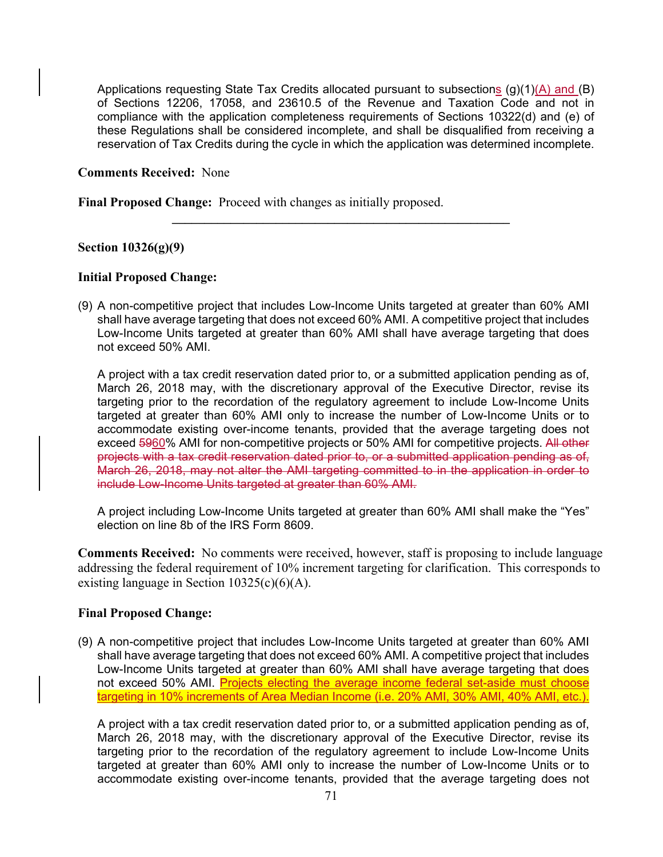Applications requesting State Tax Credits allocated pursuant to subsections  $(g)(1)(A)$  and  $(B)$ of Sections 12206, 17058, and 23610.5 of the Revenue and Taxation Code and not in compliance with the application completeness requirements of Sections 10322(d) and (e) of these Regulations shall be considered incomplete, and shall be disqualified from receiving a reservation of Tax Credits during the cycle in which the application was determined incomplete.

**\_\_\_\_\_\_\_\_\_\_\_\_\_\_\_\_\_\_\_\_\_\_\_\_\_\_\_\_\_\_\_\_\_\_\_\_\_\_\_\_\_\_\_\_\_\_\_\_\_\_\_\_** 

#### **Comments Received:** None

**Final Proposed Change:** Proceed with changes as initially proposed.

#### **Section 10326(g)(9)**

#### **Initial Proposed Change:**

(9) A non-competitive project that includes Low-Income Units targeted at greater than 60% AMI shall have average targeting that does not exceed 60% AMI. A competitive project that includes Low-Income Units targeted at greater than 60% AMI shall have average targeting that does not exceed 50% AMI.

A project with a tax credit reservation dated prior to, or a submitted application pending as of, March 26, 2018 may, with the discretionary approval of the Executive Director, revise its targeting prior to the recordation of the regulatory agreement to include Low-Income Units targeted at greater than 60% AMI only to increase the number of Low-Income Units or to accommodate existing over-income tenants, provided that the average targeting does not exceed 5960% AMI for non-competitive projects or 50% AMI for competitive projects. All other projects with a tax credit reservation dated prior to, or a submitted application pending as of, March 26, 2018, may not alter the AMI targeting committed to in the application in order to include Low-Income Units targeted at greater than 60% AMI.

A project including Low-Income Units targeted at greater than 60% AMI shall make the "Yes" election on line 8b of the IRS Form 8609.

**Comments Received:** No comments were received, however, staff is proposing to include language addressing the federal requirement of 10% increment targeting for clarification. This corresponds to existing language in Section 10325(c)(6)(A).

#### **Final Proposed Change:**

(9) A non-competitive project that includes Low-Income Units targeted at greater than 60% AMI shall have average targeting that does not exceed 60% AMI. A competitive project that includes Low-Income Units targeted at greater than 60% AMI shall have average targeting that does not exceed 50% AMI. Projects electing the average income federal set-aside must choose targeting in 10% increments of Area Median Income (i.e. 20% AMI, 30% AMI, 40% AMI, etc.).

A project with a tax credit reservation dated prior to, or a submitted application pending as of, March 26, 2018 may, with the discretionary approval of the Executive Director, revise its targeting prior to the recordation of the regulatory agreement to include Low-Income Units targeted at greater than 60% AMI only to increase the number of Low-Income Units or to accommodate existing over-income tenants, provided that the average targeting does not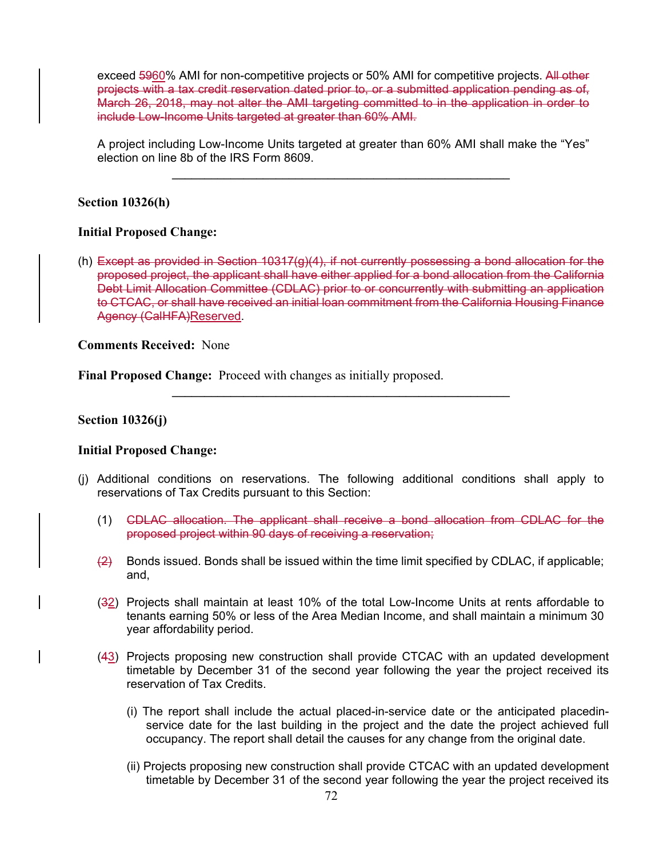exceed 5960% AMI for non-competitive projects or 50% AMI for competitive projects. All other projects with a tax credit reservation dated prior to, or a submitted application pending as of, March 26, 2018, may not alter the AMI targeting committed to in the application in order to include Low-Income Units targeted at greater than 60% AMI.

A project including Low-Income Units targeted at greater than 60% AMI shall make the "Yes" election on line 8b of the IRS Form 8609.

 $\mathcal{L} = \{ \mathcal{L} \mid \mathcal{L} \in \mathcal{L} \}$ 

### **Section 10326(h)**

### **Initial Proposed Change:**

(h) Except as provided in Section 10317(g)(4), if not currently possessing a bond allocation for the proposed project, the applicant shall have either applied for a bond allocation from the California Debt Limit Allocation Committee (CDLAC) prior to or concurrently with submitting an application to CTCAC, or shall have received an initial loan commitment from the California Housing Finance Agency (CalHFA)Reserved.

**Comments Received:** None

**Final Proposed Change:** Proceed with changes as initially proposed.

### **Section 10326(j)**

### **Initial Proposed Change:**

(j) Additional conditions on reservations. The following additional conditions shall apply to reservations of Tax Credits pursuant to this Section:

- (1) CDLAC allocation. The applicant shall receive a bond allocation from CDLAC for the proposed project within 90 days of receiving a reservation;
- $\left( \frac{2}{2} \right)$  Bonds issued. Bonds shall be issued within the time limit specified by CDLAC, if applicable; and,
- (32) Projects shall maintain at least 10% of the total Low-Income Units at rents affordable to tenants earning 50% or less of the Area Median Income, and shall maintain a minimum 30 year affordability period.
- (43) Projects proposing new construction shall provide CTCAC with an updated development timetable by December 31 of the second year following the year the project received its reservation of Tax Credits.
	- (i) The report shall include the actual placed-in-service date or the anticipated placedinservice date for the last building in the project and the date the project achieved full occupancy. The report shall detail the causes for any change from the original date.
	- (ii) Projects proposing new construction shall provide CTCAC with an updated development timetable by December 31 of the second year following the year the project received its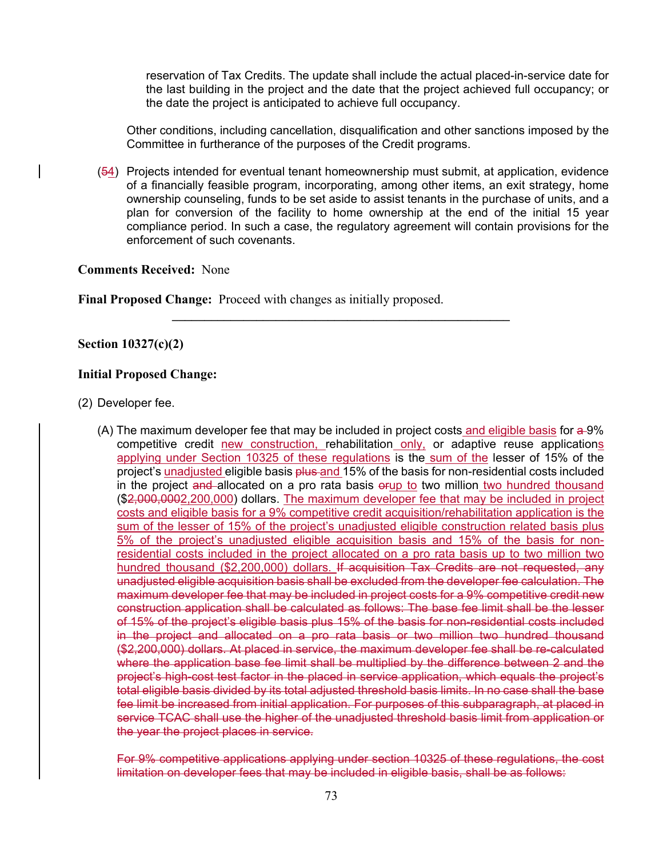reservation of Tax Credits. The update shall include the actual placed-in-service date for the last building in the project and the date that the project achieved full occupancy; or the date the project is anticipated to achieve full occupancy.

Other conditions, including cancellation, disqualification and other sanctions imposed by the Committee in furtherance of the purposes of the Credit programs.

(54) Projects intended for eventual tenant homeownership must submit, at application, evidence of a financially feasible program, incorporating, among other items, an exit strategy, home ownership counseling, funds to be set aside to assist tenants in the purchase of units, and a plan for conversion of the facility to home ownership at the end of the initial 15 year compliance period. In such a case, the regulatory agreement will contain provisions for the enforcement of such covenants.

**\_\_\_\_\_\_\_\_\_\_\_\_\_\_\_\_\_\_\_\_\_\_\_\_\_\_\_\_\_\_\_\_\_\_\_\_\_\_\_\_\_\_\_\_\_\_\_\_\_\_\_\_** 

#### **Comments Received:** None

**Final Proposed Change:** Proceed with changes as initially proposed.

#### **Section 10327(c)(2)**

#### **Initial Proposed Change:**

(2) Developer fee.

(A) The maximum developer fee that may be included in project costs and eligible basis for  $\triangleq 9\%$ competitive credit new construction, rehabilitation only, or adaptive reuse applications applying under Section 10325 of these regulations is the sum of the lesser of 15% of the project's unadjusted eligible basis plus and 15% of the basis for non-residential costs included in the project and allocated on a pro rata basis orup to two million two hundred thousand (\$2,000,0002,200,000) dollars. The maximum developer fee that may be included in project costs and eligible basis for a 9% competitive credit acquisition/rehabilitation application is the sum of the lesser of 15% of the project's unadjusted eligible construction related basis plus 5% of the project's unadjusted eligible acquisition basis and 15% of the basis for nonresidential costs included in the project allocated on a pro rata basis up to two million two hundred thousand (\$2,200,000) dollars. If acquisition Tax Credits are not requested, any unadjusted eligible acquisition basis shall be excluded from the developer fee calculation. The maximum developer fee that may be included in project costs for a 9% competitive credit new construction application shall be calculated as follows: The base fee limit shall be the lesser of 15% of the project's eligible basis plus 15% of the basis for non-residential costs included in the project and allocated on a pro rata basis or two million two hundred thousand (\$2,200,000) dollars. At placed in service, the maximum developer fee shall be re-calculated where the application base fee limit shall be multiplied by the difference between 2 and the project's high-cost test factor in the placed in service application, which equals the project's total eligible basis divided by its total adjusted threshold basis limits. In no case shall the base fee limit be increased from initial application. For purposes of this subparagraph, at placed in service TCAC shall use the higher of the unadjusted threshold basis limit from application or the year the project places in service.

For 9% competitive applications applying under section 10325 of these regulations, the cost limitation on developer fees that may be included in eligible basis, shall be as follows: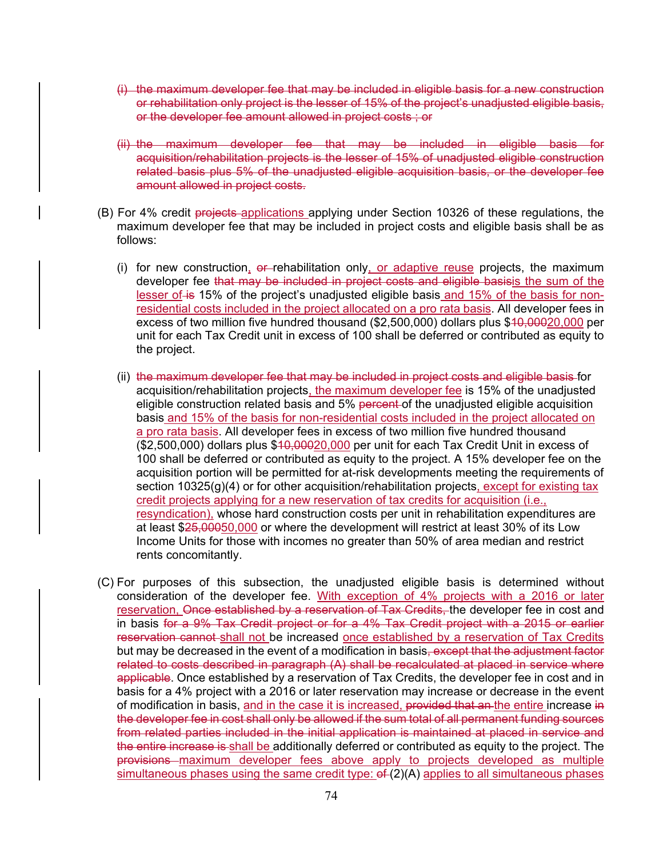- (i) the maximum developer fee that may be included in eligible basis for a new construction or rehabilitation only project is the lesser of 15% of the project's unadjusted eligible basis, or the developer fee amount allowed in project costs ; or
- (ii) the maximum developer fee that may be included in eligible basis for acquisition/rehabilitation projects is the lesser of 15% of unadjusted eligible construction related basis plus 5% of the unadjusted eligible acquisition basis, or the developer fee amount allowed in project costs.
- (B) For 4% credit projects applications applying under Section 10326 of these regulations, the maximum developer fee that may be included in project costs and eligible basis shall be as follows:
	- (i) for new construction,  $e^+e^-$  rehabilitation only, or adaptive reuse projects, the maximum developer fee that may be included in project costs and eligible basisis the sum of the lesser of is 15% of the project's unadjusted eligible basis and 15% of the basis for nonresidential costs included in the project allocated on a pro rata basis. All developer fees in excess of two million five hundred thousand (\$2,500,000) dollars plus \$40,00020,000 per unit for each Tax Credit unit in excess of 100 shall be deferred or contributed as equity to the project.
	- (ii) the maximum developer fee that may be included in project costs and eligible basis for acquisition/rehabilitation projects, the maximum developer fee is 15% of the unadjusted eligible construction related basis and 5% percent of the unadjusted eligible acquisition basis and 15% of the basis for non-residential costs included in the project allocated on a pro rata basis. All developer fees in excess of two million five hundred thousand (\$2,500,000) dollars plus \$10,00020,000 per unit for each Tax Credit Unit in excess of 100 shall be deferred or contributed as equity to the project. A 15% developer fee on the acquisition portion will be permitted for at-risk developments meeting the requirements of section 10325(g)(4) or for other acquisition/rehabilitation projects, except for existing tax credit projects applying for a new reservation of tax credits for acquisition (i.e., resyndication), whose hard construction costs per unit in rehabilitation expenditures are at least \$25,00050,000 or where the development will restrict at least 30% of its Low Income Units for those with incomes no greater than 50% of area median and restrict rents concomitantly.
- (C) For purposes of this subsection, the unadjusted eligible basis is determined without consideration of the developer fee. With exception of 4% projects with a 2016 or later reservation, Once established by a reservation of Tax Credits, the developer fee in cost and in basis for a 9% Tax Credit project or for a 4% Tax Credit project with a 2015 or earlier reservation cannot shall not be increased once established by a reservation of Tax Credits but may be decreased in the event of a modification in basis<del>, except that the adjustment factor</del> related to costs described in paragraph (A) shall be recalculated at placed in service where applicable. Once established by a reservation of Tax Credits, the developer fee in cost and in basis for a 4% project with a 2016 or later reservation may increase or decrease in the event of modification in basis, and in the case it is increased, provided that an the entire increase in the developer fee in cost shall only be allowed if the sum total of all permanent funding sources from related parties included in the initial application is maintained at placed in service and the entire increase is shall be additionally deferred or contributed as equity to the project. The provisions maximum developer fees above apply to projects developed as multiple simultaneous phases using the same credit type:  $ef(2)(A)$  applies to all simultaneous phases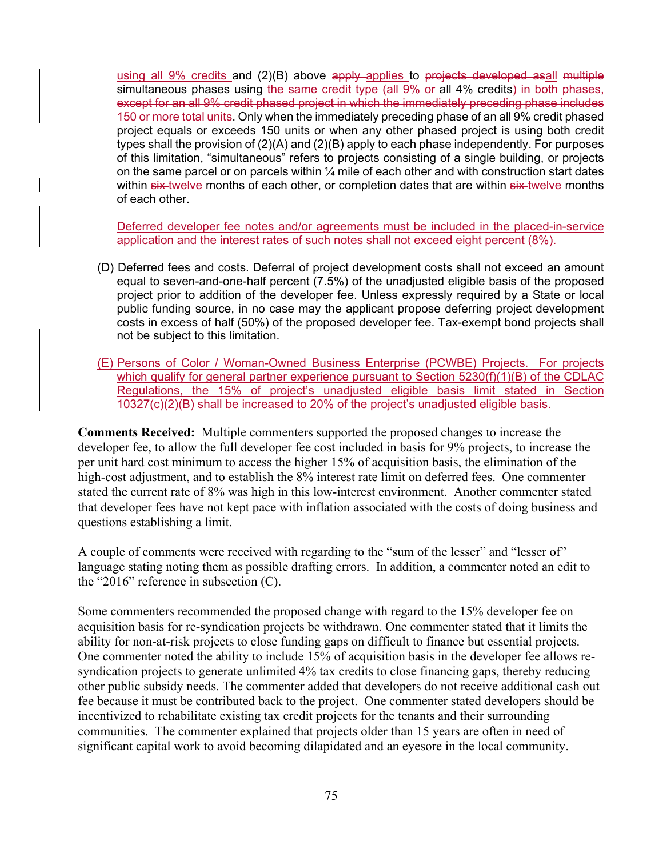using all  $9\%$  credits and  $(2)(B)$  above apply applies to projects developed asall multiple simultaneous phases using the same credit type (all 9% or all 4% credits) in both phases, except for an all 9% credit phased project in which the immediately preceding phase includes 150 or more total units. Only when the immediately preceding phase of an all 9% credit phased project equals or exceeds 150 units or when any other phased project is using both credit types shall the provision of (2)(A) and (2)(B) apply to each phase independently. For purposes of this limitation, "simultaneous" refers to projects consisting of a single building, or projects on the same parcel or on parcels within  $\frac{1}{4}$  mile of each other and with construction start dates within six twelve months of each other, or completion dates that are within six twelve months of each other.

Deferred developer fee notes and/or agreements must be included in the placed-in-service application and the interest rates of such notes shall not exceed eight percent (8%).

- (D) Deferred fees and costs. Deferral of project development costs shall not exceed an amount equal to seven-and-one-half percent (7.5%) of the unadjusted eligible basis of the proposed project prior to addition of the developer fee. Unless expressly required by a State or local public funding source, in no case may the applicant propose deferring project development costs in excess of half (50%) of the proposed developer fee. Tax-exempt bond projects shall not be subject to this limitation.
- (E) Persons of Color / Woman-Owned Business Enterprise (PCWBE) Projects. For projects which qualify for general partner experience pursuant to Section 5230(f)(1)(B) of the CDLAC Regulations, the 15% of project's unadjusted eligible basis limit stated in Section  $10327(c)(2)(B)$  shall be increased to 20% of the project's unadjusted eligible basis.

**Comments Received:** Multiple commenters supported the proposed changes to increase the developer fee, to allow the full developer fee cost included in basis for 9% projects, to increase the per unit hard cost minimum to access the higher 15% of acquisition basis, the elimination of the high-cost adjustment, and to establish the 8% interest rate limit on deferred fees. One commenter stated the current rate of 8% was high in this low-interest environment. Another commenter stated that developer fees have not kept pace with inflation associated with the costs of doing business and questions establishing a limit.

A couple of comments were received with regarding to the "sum of the lesser" and "lesser of" language stating noting them as possible drafting errors. In addition, a commenter noted an edit to the "2016" reference in subsection (C).

Some commenters recommended the proposed change with regard to the 15% developer fee on acquisition basis for re-syndication projects be withdrawn. One commenter stated that it limits the ability for non-at-risk projects to close funding gaps on difficult to finance but essential projects. One commenter noted the ability to include 15% of acquisition basis in the developer fee allows resyndication projects to generate unlimited 4% tax credits to close financing gaps, thereby reducing other public subsidy needs. The commenter added that developers do not receive additional cash out fee because it must be contributed back to the project. One commenter stated developers should be incentivized to rehabilitate existing tax credit projects for the tenants and their surrounding communities. The commenter explained that projects older than 15 years are often in need of significant capital work to avoid becoming dilapidated and an eyesore in the local community.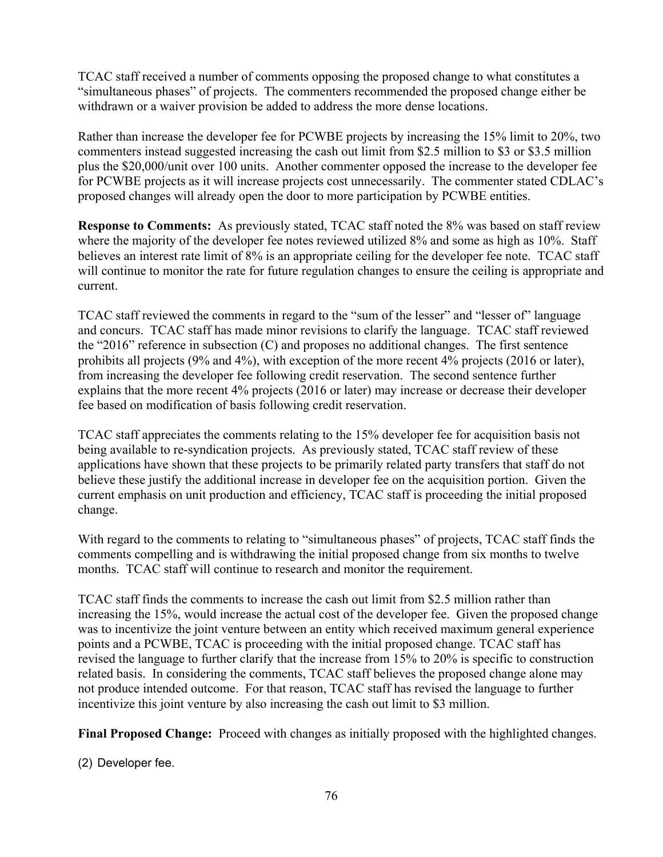TCAC staff received a number of comments opposing the proposed change to what constitutes a "simultaneous phases" of projects. The commenters recommended the proposed change either be withdrawn or a waiver provision be added to address the more dense locations.

Rather than increase the developer fee for PCWBE projects by increasing the 15% limit to 20%, two commenters instead suggested increasing the cash out limit from \$2.5 million to \$3 or \$3.5 million plus the \$20,000/unit over 100 units. Another commenter opposed the increase to the developer fee for PCWBE projects as it will increase projects cost unnecessarily. The commenter stated CDLAC's proposed changes will already open the door to more participation by PCWBE entities.

**Response to Comments:** As previously stated, TCAC staff noted the 8% was based on staff review where the majority of the developer fee notes reviewed utilized 8% and some as high as 10%. Staff believes an interest rate limit of 8% is an appropriate ceiling for the developer fee note. TCAC staff will continue to monitor the rate for future regulation changes to ensure the ceiling is appropriate and current.

TCAC staff reviewed the comments in regard to the "sum of the lesser" and "lesser of" language and concurs. TCAC staff has made minor revisions to clarify the language. TCAC staff reviewed the "2016" reference in subsection (C) and proposes no additional changes. The first sentence prohibits all projects (9% and 4%), with exception of the more recent 4% projects (2016 or later), from increasing the developer fee following credit reservation. The second sentence further explains that the more recent 4% projects (2016 or later) may increase or decrease their developer fee based on modification of basis following credit reservation.

TCAC staff appreciates the comments relating to the 15% developer fee for acquisition basis not being available to re-syndication projects. As previously stated, TCAC staff review of these applications have shown that these projects to be primarily related party transfers that staff do not believe these justify the additional increase in developer fee on the acquisition portion. Given the current emphasis on unit production and efficiency, TCAC staff is proceeding the initial proposed change.

With regard to the comments to relating to "simultaneous phases" of projects, TCAC staff finds the comments compelling and is withdrawing the initial proposed change from six months to twelve months. TCAC staff will continue to research and monitor the requirement.

TCAC staff finds the comments to increase the cash out limit from \$2.5 million rather than increasing the 15%, would increase the actual cost of the developer fee. Given the proposed change was to incentivize the joint venture between an entity which received maximum general experience points and a PCWBE, TCAC is proceeding with the initial proposed change. TCAC staff has revised the language to further clarify that the increase from 15% to 20% is specific to construction related basis. In considering the comments, TCAC staff believes the proposed change alone may not produce intended outcome. For that reason, TCAC staff has revised the language to further incentivize this joint venture by also increasing the cash out limit to \$3 million.

**Final Proposed Change:** Proceed with changes as initially proposed with the highlighted changes.

(2) Developer fee.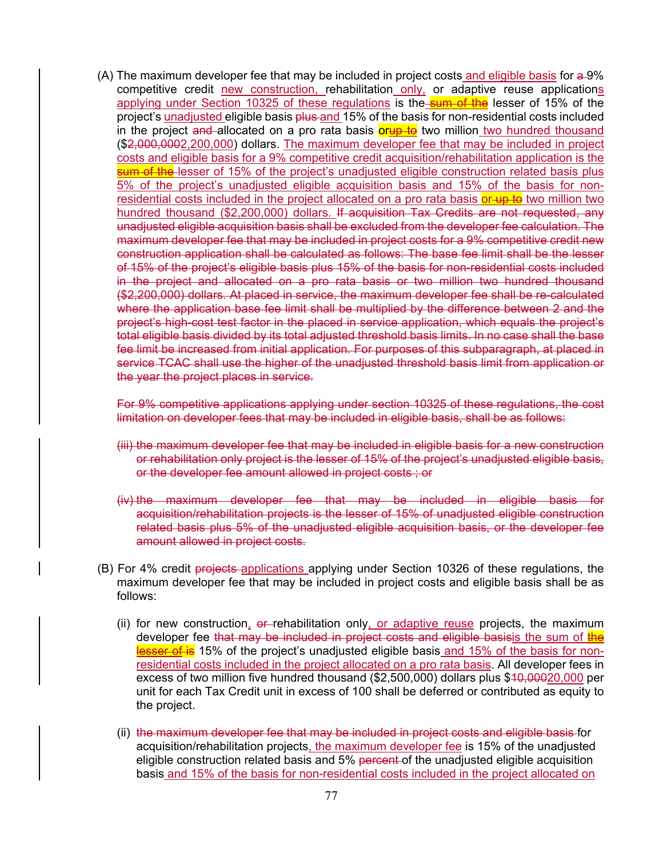$(A)$  The maximum developer fee that may be included in project costs and eligible basis for  $a$ -9% competitive credit new construction, rehabilitation only, or adaptive reuse applications applying under Section 10325 of these regulations is the sum of the lesser of 15% of the project's unadjusted eligible basis plus and 15% of the basis for non-residential costs included in the project and allocated on a pro rata basis **orup to** two million two hundred thousand (\$2,000,0002,200,000) dollars. The maximum developer fee that may be included in project costs and eligible basis for a 9% competitive credit acquisition/rehabilitation application is the sum of the lesser of 15% of the project's unadjusted eligible construction related basis plus 5% of the project's unadjusted eligible acquisition basis and 15% of the basis for nonresidential costs included in the project allocated on a pro rata basis or up to two million two hundred thousand (\$2,200,000) dollars. If acquisition Tax Credits are not requested, any unadjusted eligible acquisition basis shall be excluded from the developer fee calculation. The maximum developer fee that may be included in project costs for a 9% competitive credit new construction application shall be calculated as follows: The base fee limit shall be the lesser of 15% of the project's eligible basis plus 15% of the basis for non-residential costs included in the project and allocated on a pro rata basis or two million two hundred thousand (\$2,200,000) dollars. At placed in service, the maximum developer fee shall be re-calculated where the application base fee limit shall be multiplied by the difference between 2 and the project's high-cost test factor in the placed in service application, which equals the project's total eligible basis divided by its total adjusted threshold basis limits. In no case shall the base fee limit be increased from initial application. For purposes of this subparagraph, at placed in service TCAC shall use the higher of the unadjusted threshold basis limit from application or the year the project places in service.

For 9% competitive applications applying under section 10325 of these regulations, the cost limitation on developer fees that may be included in eligible basis, shall be as follows:

- (iii) the maximum developer fee that may be included in eligible basis for a new construction or rehabilitation only project is the lesser of 15% of the project's unadjusted eligible basis, or the developer fee amount allowed in project costs ; or
- (iv) the maximum developer fee that may be included in eligible basis for acquisition/rehabilitation projects is the lesser of 15% of unadjusted eligible construction related basis plus 5% of the unadjusted eligible acquisition basis, or the developer fee amount allowed in project costs.
- (B) For 4% credit projects applications applying under Section 10326 of these regulations, the maximum developer fee that may be included in project costs and eligible basis shall be as follows:
	- (ii) for new construction, or-rehabilitation only, or adaptive reuse projects, the maximum developer fee that may be included in project costs and eligible basisis the sum of the lesser of is 15% of the project's unadjusted eligible basis and 15% of the basis for nonresidential costs included in the project allocated on a pro rata basis. All developer fees in excess of two million five hundred thousand (\$2,500,000) dollars plus \$40,00020,000 per unit for each Tax Credit unit in excess of 100 shall be deferred or contributed as equity to the project.
	- (ii) the maximum developer fee that may be included in project costs and eligible basis for acquisition/rehabilitation projects, the maximum developer fee is 15% of the unadjusted eligible construction related basis and 5% percent of the unadjusted eligible acquisition basis and 15% of the basis for non-residential costs included in the project allocated on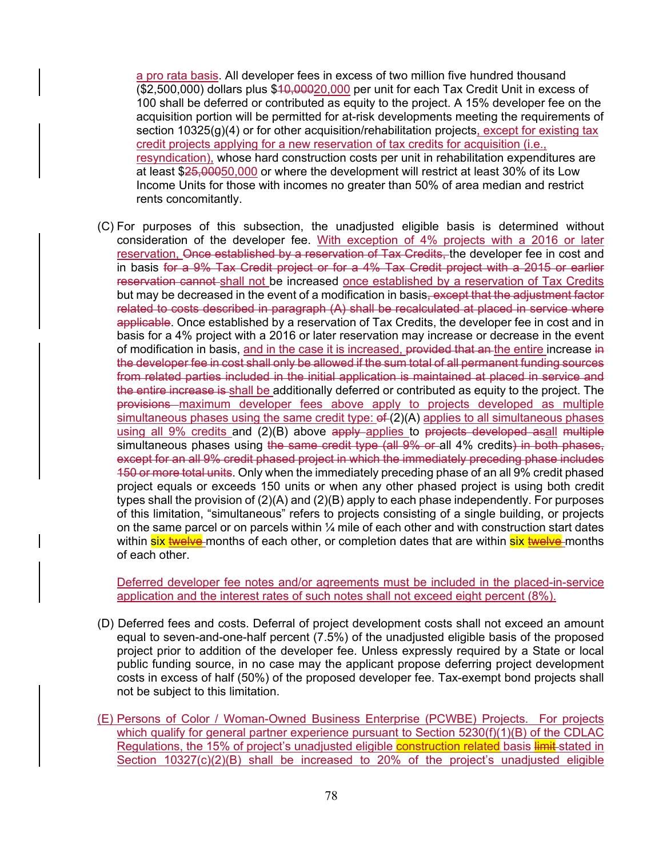a pro rata basis. All developer fees in excess of two million five hundred thousand  $($2,500,000)$  dollars plus  $$10,00020,000$  per unit for each Tax Credit Unit in excess of 100 shall be deferred or contributed as equity to the project. A 15% developer fee on the acquisition portion will be permitted for at-risk developments meeting the requirements of section 10325(g)(4) or for other acquisition/rehabilitation projects, except for existing tax credit projects applying for a new reservation of tax credits for acquisition (i.e., resyndication), whose hard construction costs per unit in rehabilitation expenditures are at least \$25,00050,000 or where the development will restrict at least 30% of its Low Income Units for those with incomes no greater than 50% of area median and restrict rents concomitantly.

(C) For purposes of this subsection, the unadjusted eligible basis is determined without consideration of the developer fee. With exception of 4% projects with a 2016 or later reservation, Once established by a reservation of Tax Credits, the developer fee in cost and in basis for a 9% Tax Credit project or for a 4% Tax Credit project with a 2015 or earlier reservation cannot shall not be increased once established by a reservation of Tax Credits but may be decreased in the event of a modification in basis<del>, except that the adjustment factor</del> related to costs described in paragraph (A) shall be recalculated at placed in service where applicable. Once established by a reservation of Tax Credits, the developer fee in cost and in basis for a 4% project with a 2016 or later reservation may increase or decrease in the event of modification in basis, and in the case it is increased, provided that an the entire increase in the developer fee in cost shall only be allowed if the sum total of all permanent funding sources from related parties included in the initial application is maintained at placed in service and the entire increase is shall be additionally deferred or contributed as equity to the project. The provisions maximum developer fees above apply to projects developed as multiple simultaneous phases using the same credit type:  $ef(2)(A)$  applies to all simultaneous phases using all 9% credits and (2)(B) above apply applies to projects developed asall multiple simultaneous phases using the same credit type (all 9% or all 4% credits) in both phases, except for an all 9% credit phased project in which the immediately preceding phase includes 150 or more total units. Only when the immediately preceding phase of an all 9% credit phased project equals or exceeds 150 units or when any other phased project is using both credit types shall the provision of (2)(A) and (2)(B) apply to each phase independently. For purposes of this limitation, "simultaneous" refers to projects consisting of a single building, or projects on the same parcel or on parcels within  $\frac{1}{4}$  mile of each other and with construction start dates within <mark>six <del>twelve</del> months of each other, or completion dates that are within six twelve</mark> months of each other.

Deferred developer fee notes and/or agreements must be included in the placed-in-service application and the interest rates of such notes shall not exceed eight percent (8%).

- (D) Deferred fees and costs. Deferral of project development costs shall not exceed an amount equal to seven-and-one-half percent (7.5%) of the unadjusted eligible basis of the proposed project prior to addition of the developer fee. Unless expressly required by a State or local public funding source, in no case may the applicant propose deferring project development costs in excess of half (50%) of the proposed developer fee. Tax-exempt bond projects shall not be subject to this limitation.
- (E) Persons of Color / Woman-Owned Business Enterprise (PCWBE) Projects. For projects which qualify for general partner experience pursuant to Section 5230(f)(1)(B) of the CDLAC Regulations, the 15% of project's unadjusted eligible construction related basis limit-stated in Section 10327(c)(2)(B) shall be increased to 20% of the project's unadjusted eligible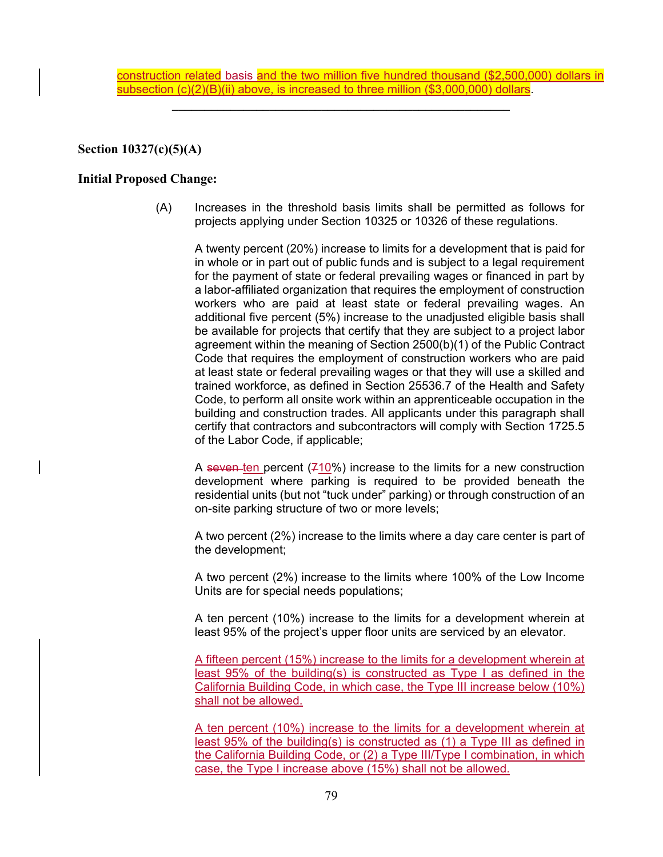construction related basis and the two million five hundred thousand (\$2,500,000) dollars in subsection (c)(2)(B)(ii) above, is increased to three million (\$3,000,000) dollars.

**\_\_\_\_\_\_\_\_\_\_\_\_\_\_\_\_\_\_\_\_\_\_\_\_\_\_\_\_\_\_\_\_\_\_\_\_\_\_\_\_\_\_\_\_\_\_\_\_\_\_\_\_** 

**Section 10327(c)(5)(A)** 

### **Initial Proposed Change:**

(A) Increases in the threshold basis limits shall be permitted as follows for projects applying under Section 10325 or 10326 of these regulations.

A twenty percent (20%) increase to limits for a development that is paid for in whole or in part out of public funds and is subject to a legal requirement for the payment of state or federal prevailing wages or financed in part by a labor-affiliated organization that requires the employment of construction workers who are paid at least state or federal prevailing wages. An additional five percent (5%) increase to the unadjusted eligible basis shall be available for projects that certify that they are subject to a project labor agreement within the meaning of Section 2500(b)(1) of the Public Contract Code that requires the employment of construction workers who are paid at least state or federal prevailing wages or that they will use a skilled and trained workforce, as defined in Section 25536.7 of the Health and Safety Code, to perform all onsite work within an apprenticeable occupation in the building and construction trades. All applicants under this paragraph shall certify that contractors and subcontractors will comply with Section 1725.5 of the Labor Code, if applicable;

A seven ten percent  $(710%)$  increase to the limits for a new construction development where parking is required to be provided beneath the residential units (but not "tuck under" parking) or through construction of an on-site parking structure of two or more levels;

A two percent (2%) increase to the limits where a day care center is part of the development;

A two percent (2%) increase to the limits where 100% of the Low Income Units are for special needs populations;

A ten percent (10%) increase to the limits for a development wherein at least 95% of the project's upper floor units are serviced by an elevator.

A fifteen percent (15%) increase to the limits for a development wherein at least 95% of the building(s) is constructed as Type I as defined in the California Building Code, in which case, the Type III increase below (10%) shall not be allowed.

A ten percent (10%) increase to the limits for a development wherein at least 95% of the building(s) is constructed as (1) a Type III as defined in the California Building Code, or (2) a Type III/Type I combination, in which case, the Type I increase above (15%) shall not be allowed.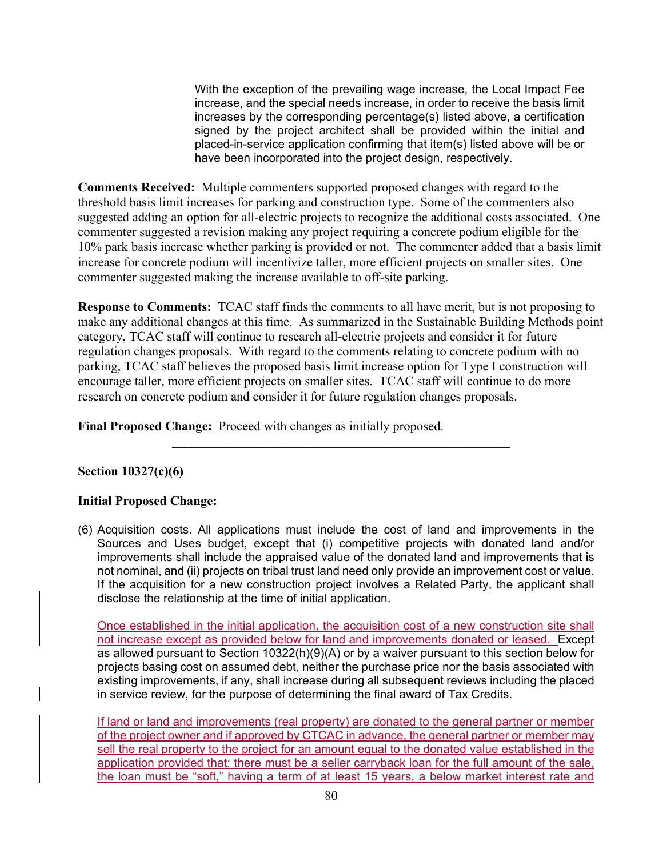With the exception of the prevailing wage increase, the Local Impact Fee increase, and the special needs increase, in order to receive the basis limit increases by the corresponding percentage(s) listed above, a certification signed by the project architect shall be provided within the initial and placed-in-service application confirming that item(s) listed above will be or have been incorporated into the project design, respectively.

**Comments Received:** Multiple commenters supported proposed changes with regard to the threshold basis limit increases for parking and construction type. Some of the commenters also suggested adding an option for all-electric projects to recognize the additional costs associated. One commenter suggested a revision making any project requiring a concrete podium eligible for the 10% park basis increase whether parking is provided or not. The commenter added that a basis limit increase for concrete podium will incentivize taller, more efficient projects on smaller sites. One commenter suggested making the increase available to off-site parking.

**Response to Comments:** TCAC staff finds the comments to all have merit, but is not proposing to make any additional changes at this time. As summarized in the Sustainable Building Methods point category, TCAC staff will continue to research all-electric projects and consider it for future regulation changes proposals. With regard to the comments relating to concrete podium with no parking, TCAC staff believes the proposed basis limit increase option for Type I construction will encourage taller, more efficient projects on smaller sites. TCAC staff will continue to do more research on concrete podium and consider it for future regulation changes proposals.

**\_\_\_\_\_\_\_\_\_\_\_\_\_\_\_\_\_\_\_\_\_\_\_\_\_\_\_\_\_\_\_\_\_\_\_\_\_\_\_\_\_\_\_\_\_\_\_\_\_\_\_\_** 

**Final Proposed Change:** Proceed with changes as initially proposed.

# **Section 10327(c)(6)**

## **Initial Proposed Change:**

(6) Acquisition costs. All applications must include the cost of land and improvements in the Sources and Uses budget, except that (i) competitive projects with donated land and/or improvements shall include the appraised value of the donated land and improvements that is not nominal, and (ii) projects on tribal trust land need only provide an improvement cost or value. If the acquisition for a new construction project involves a Related Party, the applicant shall disclose the relationship at the time of initial application.

Once established in the initial application, the acquisition cost of a new construction site shall not increase except as provided below for land and improvements donated or leased. Except as allowed pursuant to Section 10322(h)(9)(A) or by a waiver pursuant to this section below for projects basing cost on assumed debt, neither the purchase price nor the basis associated with existing improvements, if any, shall increase during all subsequent reviews including the placed in service review, for the purpose of determining the final award of Tax Credits.

If land or land and improvements (real property) are donated to the general partner or member of the project owner and if approved by CTCAC in advance, the general partner or member may sell the real property to the project for an amount equal to the donated value established in the application provided that: there must be a seller carryback loan for the full amount of the sale, the loan must be "soft," having a term of at least 15 years, a below market interest rate and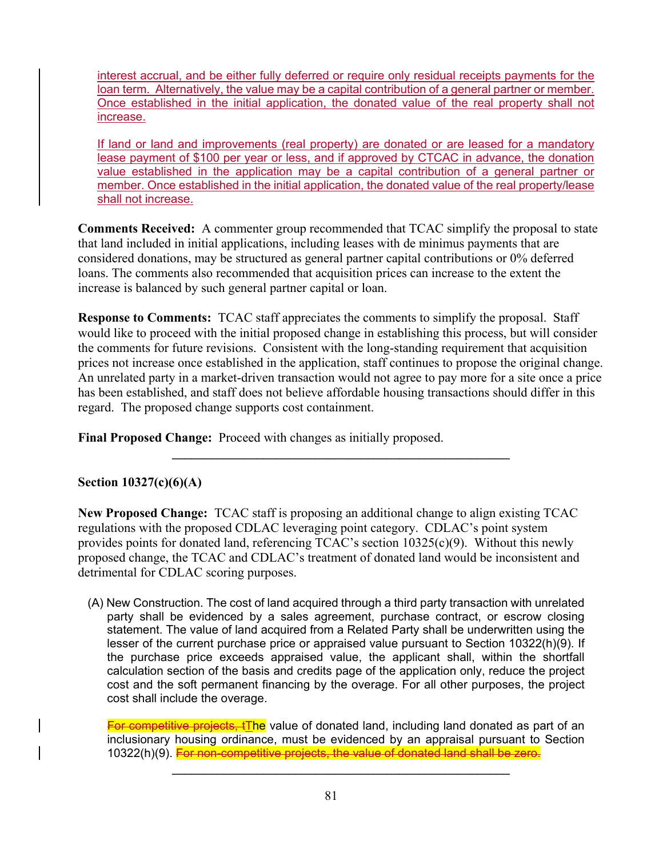interest accrual, and be either fully deferred or require only residual receipts payments for the loan term. Alternatively, the value may be a capital contribution of a general partner or member. Once established in the initial application, the donated value of the real property shall not increase.

If land or land and improvements (real property) are donated or are leased for a mandatory lease payment of \$100 per year or less, and if approved by CTCAC in advance, the donation value established in the application may be a capital contribution of a general partner or member. Once established in the initial application, the donated value of the real property/lease shall not increase.

**Comments Received:** A commenter group recommended that TCAC simplify the proposal to state that land included in initial applications, including leases with de minimus payments that are considered donations, may be structured as general partner capital contributions or 0% deferred loans. The comments also recommended that acquisition prices can increase to the extent the increase is balanced by such general partner capital or loan.

**Response to Comments:** TCAC staff appreciates the comments to simplify the proposal. Staff would like to proceed with the initial proposed change in establishing this process, but will consider the comments for future revisions. Consistent with the long-standing requirement that acquisition prices not increase once established in the application, staff continues to propose the original change. An unrelated party in a market-driven transaction would not agree to pay more for a site once a price has been established, and staff does not believe affordable housing transactions should differ in this regard. The proposed change supports cost containment.

 $\mathcal{L} = \{ \mathcal{L} \mid \mathcal{L} \in \mathcal{L} \}$ 

**Final Proposed Change:** Proceed with changes as initially proposed.

# **Section 10327(c)(6)(A)**

**New Proposed Change:** TCAC staff is proposing an additional change to align existing TCAC regulations with the proposed CDLAC leveraging point category. CDLAC's point system provides points for donated land, referencing  $TCAC$ 's section  $10325(c)(9)$ . Without this newly proposed change, the TCAC and CDLAC's treatment of donated land would be inconsistent and detrimental for CDLAC scoring purposes.

(A) New Construction. The cost of land acquired through a third party transaction with unrelated party shall be evidenced by a sales agreement, purchase contract, or escrow closing statement. The value of land acquired from a Related Party shall be underwritten using the lesser of the current purchase price or appraised value pursuant to Section 10322(h)(9). If the purchase price exceeds appraised value, the applicant shall, within the shortfall calculation section of the basis and credits page of the application only, reduce the project cost and the soft permanent financing by the overage. For all other purposes, the project cost shall include the overage.

**For competitive projects, tThe** value of donated land, including land donated as part of an inclusionary housing ordinance, must be evidenced by an appraisal pursuant to Section 10322(h)(9). For non-competitive projects, the value of donated land shall be zero.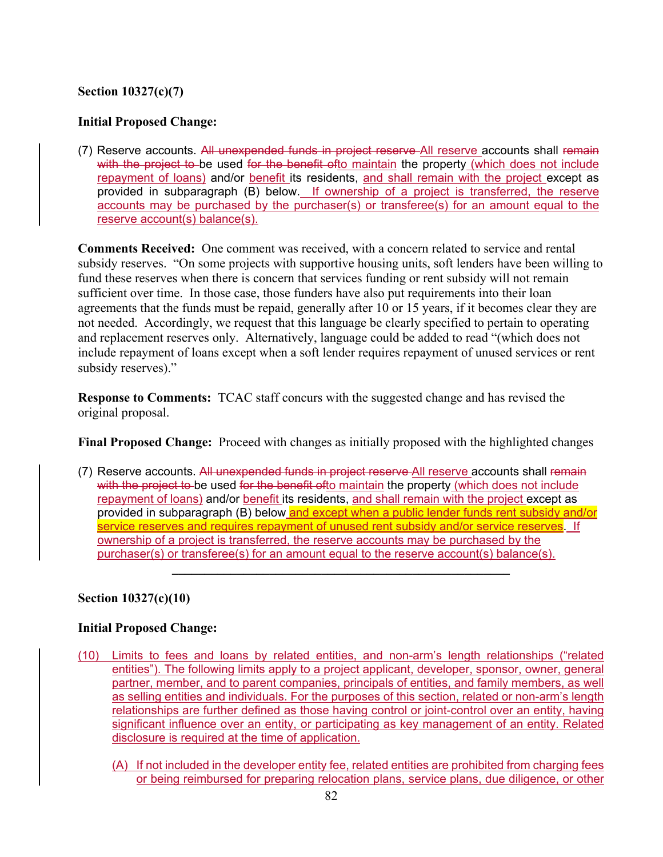# **Section 10327(c)(7)**

# **Initial Proposed Change:**

(7) Reserve accounts. All unexpended funds in project reserve All reserve accounts shall remain with the project to be used for the benefit ofto maintain the property (which does not include repayment of loans) and/or benefit its residents, and shall remain with the project except as provided in subparagraph (B) below. If ownership of a project is transferred, the reserve accounts may be purchased by the purchaser(s) or transferee(s) for an amount equal to the reserve account(s) balance(s).

**Comments Received:** One comment was received, with a concern related to service and rental subsidy reserves. "On some projects with supportive housing units, soft lenders have been willing to fund these reserves when there is concern that services funding or rent subsidy will not remain sufficient over time. In those case, those funders have also put requirements into their loan agreements that the funds must be repaid, generally after 10 or 15 years, if it becomes clear they are not needed. Accordingly, we request that this language be clearly specified to pertain to operating and replacement reserves only. Alternatively, language could be added to read "(which does not include repayment of loans except when a soft lender requires repayment of unused services or rent subsidy reserves)."

**Response to Comments:** TCAC staff concurs with the suggested change and has revised the original proposal.

**Final Proposed Change:** Proceed with changes as initially proposed with the highlighted changes

(7) Reserve accounts. All unexpended funds in project reserve All reserve accounts shall remain with the project to be used for the benefit ofto maintain the property (which does not include repayment of loans) and/or benefit its residents, and shall remain with the project except as provided in subparagraph (B) below and except when a public lender funds rent subsidy and/or service reserves and requires repayment of unused rent subsidy and/or service reserves. If ownership of a project is transferred, the reserve accounts may be purchased by the purchaser(s) or transferee(s) for an amount equal to the reserve account(s) balance(s).

 $\mathcal{L} = \{ \mathcal{L} \mid \mathcal{L} \in \mathcal{L} \}$ 

## **Section 10327(c)(10)**

## **Initial Proposed Change:**

- (10) Limits to fees and loans by related entities, and non-arm's length relationships ("related entities"). The following limits apply to a project applicant, developer, sponsor, owner, general partner, member, and to parent companies, principals of entities, and family members, as well as selling entities and individuals. For the purposes of this section, related or non-arm's length relationships are further defined as those having control or joint-control over an entity, having significant influence over an entity, or participating as key management of an entity. Related disclosure is required at the time of application.
	- (A) If not included in the developer entity fee, related entities are prohibited from charging fees or being reimbursed for preparing relocation plans, service plans, due diligence, or other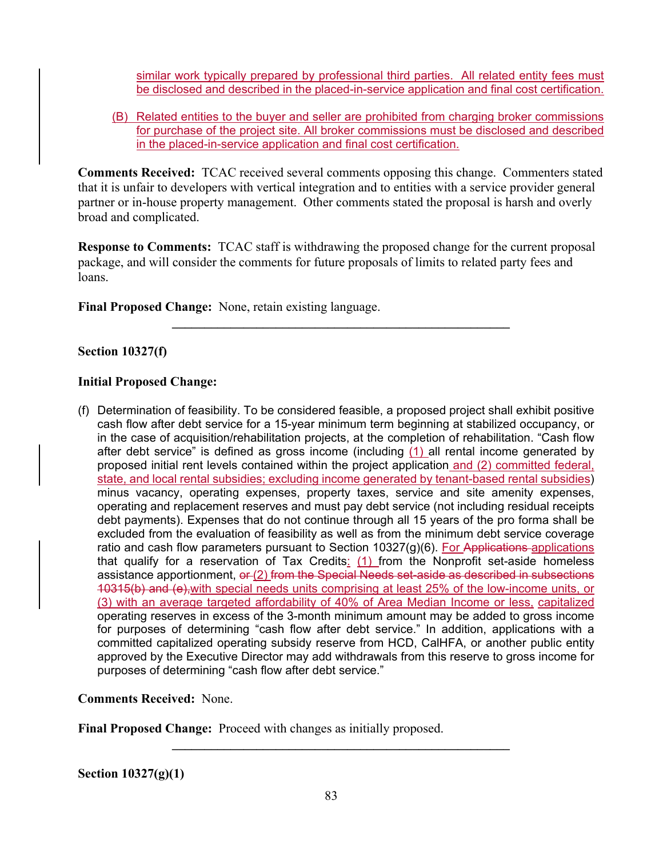similar work typically prepared by professional third parties. All related entity fees must be disclosed and described in the placed-in-service application and final cost certification.

(B) Related entities to the buyer and seller are prohibited from charging broker commissions for purchase of the project site. All broker commissions must be disclosed and described in the placed-in-service application and final cost certification.

**Comments Received:** TCAC received several comments opposing this change. Commenters stated that it is unfair to developers with vertical integration and to entities with a service provider general partner or in-house property management. Other comments stated the proposal is harsh and overly broad and complicated.

**Response to Comments:** TCAC staff is withdrawing the proposed change for the current proposal package, and will consider the comments for future proposals of limits to related party fees and loans.

 $\mathcal{L} = \{ \mathcal{L} \mid \mathcal{L} \in \mathcal{L} \}$ 

**Final Proposed Change:** None, retain existing language.

## **Section 10327(f)**

## **Initial Proposed Change:**

(f) Determination of feasibility. To be considered feasible, a proposed project shall exhibit positive cash flow after debt service for a 15-year minimum term beginning at stabilized occupancy, or in the case of acquisition/rehabilitation projects, at the completion of rehabilitation. "Cash flow after debt service" is defined as gross income (including  $(1)$  all rental income generated by proposed initial rent levels contained within the project application and (2) committed federal, state, and local rental subsidies; excluding income generated by tenant-based rental subsidies) minus vacancy, operating expenses, property taxes, service and site amenity expenses, operating and replacement reserves and must pay debt service (not including residual receipts debt payments). Expenses that do not continue through all 15 years of the pro forma shall be excluded from the evaluation of feasibility as well as from the minimum debt service coverage ratio and cash flow parameters pursuant to Section  $10327(g)(6)$ . For Applications-applications that qualify for a reservation of Tax Credits:  $(1)$  from the Nonprofit set-aside homeless assistance apportionment, or (2) from the Special Needs set-aside as described in subsections 10315(b) and (e),with special needs units comprising at least 25% of the low-income units, or (3) with an average targeted affordability of 40% of Area Median Income or less, capitalized operating reserves in excess of the 3-month minimum amount may be added to gross income for purposes of determining "cash flow after debt service." In addition, applications with a committed capitalized operating subsidy reserve from HCD, CalHFA, or another public entity approved by the Executive Director may add withdrawals from this reserve to gross income for purposes of determining "cash flow after debt service."

## **Comments Received:** None.

**Final Proposed Change:** Proceed with changes as initially proposed.

**Section 10327(g)(1)**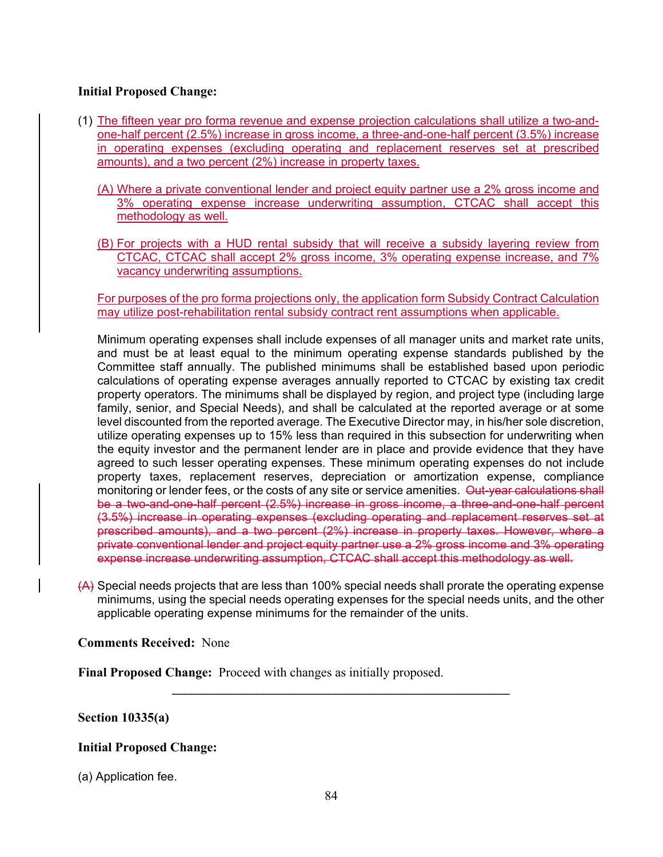## **Initial Proposed Change:**

- (1) The fifteen year pro forma revenue and expense projection calculations shall utilize a two-andone-half percent (2.5%) increase in gross income, a three-and-one-half percent (3.5%) increase in operating expenses (excluding operating and replacement reserves set at prescribed amounts), and a two percent (2%) increase in property taxes.
	- (A) Where a private conventional lender and project equity partner use a 2% gross income and 3% operating expense increase underwriting assumption, CTCAC shall accept this methodology as well.
	- (B) For projects with a HUD rental subsidy that will receive a subsidy layering review from CTCAC, CTCAC shall accept 2% gross income, 3% operating expense increase, and 7% vacancy underwriting assumptions.

For purposes of the pro forma projections only, the application form Subsidy Contract Calculation may utilize post-rehabilitation rental subsidy contract rent assumptions when applicable.

Minimum operating expenses shall include expenses of all manager units and market rate units, and must be at least equal to the minimum operating expense standards published by the Committee staff annually. The published minimums shall be established based upon periodic calculations of operating expense averages annually reported to CTCAC by existing tax credit property operators. The minimums shall be displayed by region, and project type (including large family, senior, and Special Needs), and shall be calculated at the reported average or at some level discounted from the reported average. The Executive Director may, in his/her sole discretion, utilize operating expenses up to 15% less than required in this subsection for underwriting when the equity investor and the permanent lender are in place and provide evidence that they have agreed to such lesser operating expenses. These minimum operating expenses do not include property taxes, replacement reserves, depreciation or amortization expense, compliance monitoring or lender fees, or the costs of any site or service amenities. Out-year calculations shall be a two-and-one-half percent (2.5%) increase in gross income, a three-and-one-half percent (3.5%) increase in operating expenses (excluding operating and replacement reserves set at prescribed amounts), and a two percent (2%) increase in property taxes. However, where a private conventional lender and project equity partner use a 2% gross income and 3% operating expense increase underwriting assumption, CTCAC shall accept this methodology as well.

(A) Special needs projects that are less than 100% special needs shall prorate the operating expense minimums, using the special needs operating expenses for the special needs units, and the other applicable operating expense minimums for the remainder of the units.

**\_\_\_\_\_\_\_\_\_\_\_\_\_\_\_\_\_\_\_\_\_\_\_\_\_\_\_\_\_\_\_\_\_\_\_\_\_\_\_\_\_\_\_\_\_\_\_\_\_\_\_\_** 

**Comments Received:** None

**Final Proposed Change:** Proceed with changes as initially proposed.

## **Section 10335(a)**

## **Initial Proposed Change:**

(a) Application fee.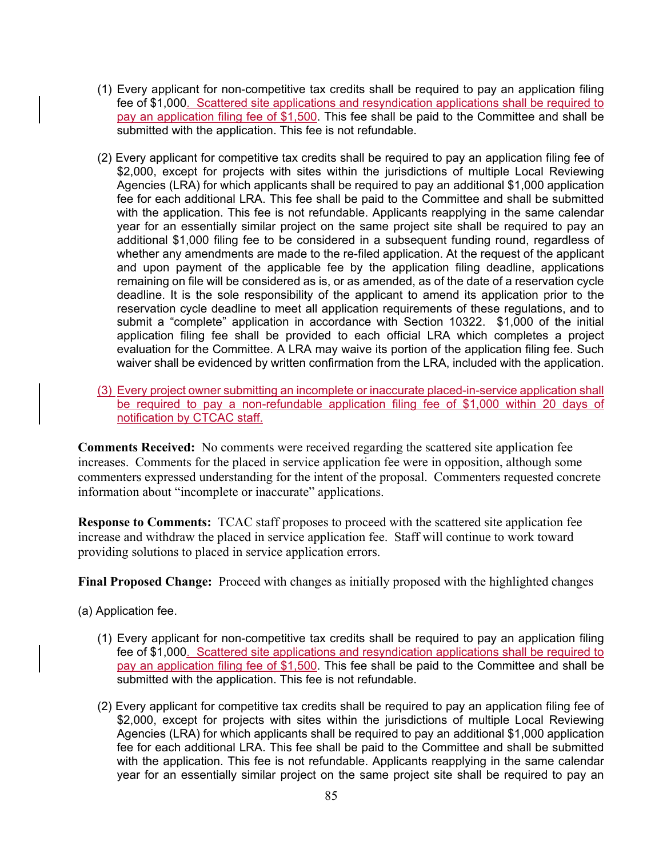- (1) Every applicant for non-competitive tax credits shall be required to pay an application filing fee of \$1,000. Scattered site applications and resyndication applications shall be required to pay an application filing fee of \$1,500. This fee shall be paid to the Committee and shall be submitted with the application. This fee is not refundable.
- (2) Every applicant for competitive tax credits shall be required to pay an application filing fee of \$2,000, except for projects with sites within the jurisdictions of multiple Local Reviewing Agencies (LRA) for which applicants shall be required to pay an additional \$1,000 application fee for each additional LRA. This fee shall be paid to the Committee and shall be submitted with the application. This fee is not refundable. Applicants reapplying in the same calendar year for an essentially similar project on the same project site shall be required to pay an additional \$1,000 filing fee to be considered in a subsequent funding round, regardless of whether any amendments are made to the re-filed application. At the request of the applicant and upon payment of the applicable fee by the application filing deadline, applications remaining on file will be considered as is, or as amended, as of the date of a reservation cycle deadline. It is the sole responsibility of the applicant to amend its application prior to the reservation cycle deadline to meet all application requirements of these regulations, and to submit a "complete" application in accordance with Section 10322. \$1,000 of the initial application filing fee shall be provided to each official LRA which completes a project evaluation for the Committee. A LRA may waive its portion of the application filing fee. Such waiver shall be evidenced by written confirmation from the LRA, included with the application.
- (3) Every project owner submitting an incomplete or inaccurate placed-in-service application shall be required to pay a non-refundable application filing fee of \$1,000 within 20 days of notification by CTCAC staff.

**Comments Received:** No comments were received regarding the scattered site application fee increases. Comments for the placed in service application fee were in opposition, although some commenters expressed understanding for the intent of the proposal. Commenters requested concrete information about "incomplete or inaccurate" applications.

**Response to Comments:** TCAC staff proposes to proceed with the scattered site application fee increase and withdraw the placed in service application fee. Staff will continue to work toward providing solutions to placed in service application errors.

**Final Proposed Change:** Proceed with changes as initially proposed with the highlighted changes

(a) Application fee.

- (1) Every applicant for non-competitive tax credits shall be required to pay an application filing fee of \$1,000. Scattered site applications and resyndication applications shall be required to pay an application filing fee of \$1,500. This fee shall be paid to the Committee and shall be submitted with the application. This fee is not refundable.
- (2) Every applicant for competitive tax credits shall be required to pay an application filing fee of \$2,000, except for projects with sites within the jurisdictions of multiple Local Reviewing Agencies (LRA) for which applicants shall be required to pay an additional \$1,000 application fee for each additional LRA. This fee shall be paid to the Committee and shall be submitted with the application. This fee is not refundable. Applicants reapplying in the same calendar year for an essentially similar project on the same project site shall be required to pay an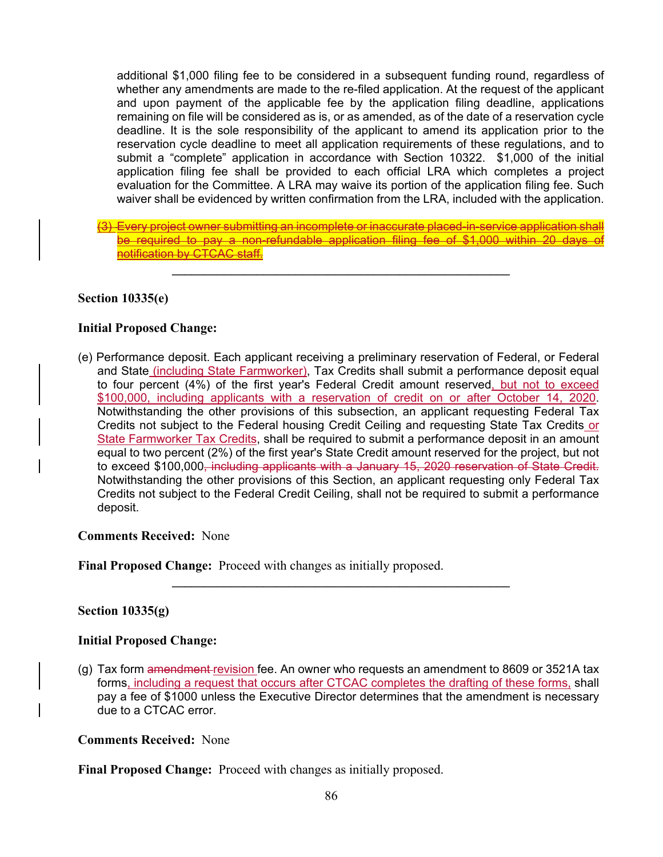additional \$1,000 filing fee to be considered in a subsequent funding round, regardless of whether any amendments are made to the re-filed application. At the request of the applicant and upon payment of the applicable fee by the application filing deadline, applications remaining on file will be considered as is, or as amended, as of the date of a reservation cycle deadline. It is the sole responsibility of the applicant to amend its application prior to the reservation cycle deadline to meet all application requirements of these regulations, and to submit a "complete" application in accordance with Section 10322. \$1,000 of the initial application filing fee shall be provided to each official LRA which completes a project evaluation for the Committee. A LRA may waive its portion of the application filing fee. Such waiver shall be evidenced by written confirmation from the LRA, included with the application.

(3) Every project owner submitting an incomplete or inaccurate placed-in-service application shall be required to pay a non-refundable application filing fee of \$1,000 within 20 days of notification by CTCAC staff.

 $\mathcal{L} = \{ \mathcal{L} \mid \mathcal{L} \in \mathcal{L} \}$ 

### **Section 10335(e)**

### **Initial Proposed Change:**

(e) Performance deposit. Each applicant receiving a preliminary reservation of Federal, or Federal and State (including State Farmworker), Tax Credits shall submit a performance deposit equal to four percent (4%) of the first year's Federal Credit amount reserved, but not to exceed \$100,000, including applicants with a reservation of credit on or after October 14, 2020. Notwithstanding the other provisions of this subsection, an applicant requesting Federal Tax Credits not subject to the Federal housing Credit Ceiling and requesting State Tax Credits or State Farmworker Tax Credits, shall be required to submit a performance deposit in an amount equal to two percent (2%) of the first year's State Credit amount reserved for the project, but not to exceed \$100,000<del>, including applicants with a January 15, 2020 reservation of State Credit.</del> Notwithstanding the other provisions of this Section, an applicant requesting only Federal Tax Credits not subject to the Federal Credit Ceiling, shall not be required to submit a performance deposit.

### **Comments Received:** None

**Final Proposed Change:** Proceed with changes as initially proposed.

## **Section 10335(g)**

### **Initial Proposed Change:**

(g) Tax form amendment revision fee. An owner who requests an amendment to 8609 or 3521A tax forms, including a request that occurs after CTCAC completes the drafting of these forms, shall pay a fee of \$1000 unless the Executive Director determines that the amendment is necessary due to a CTCAC error.

**\_\_\_\_\_\_\_\_\_\_\_\_\_\_\_\_\_\_\_\_\_\_\_\_\_\_\_\_\_\_\_\_\_\_\_\_\_\_\_\_\_\_\_\_\_\_\_\_\_\_\_\_** 

### **Comments Received:** None

**Final Proposed Change:** Proceed with changes as initially proposed.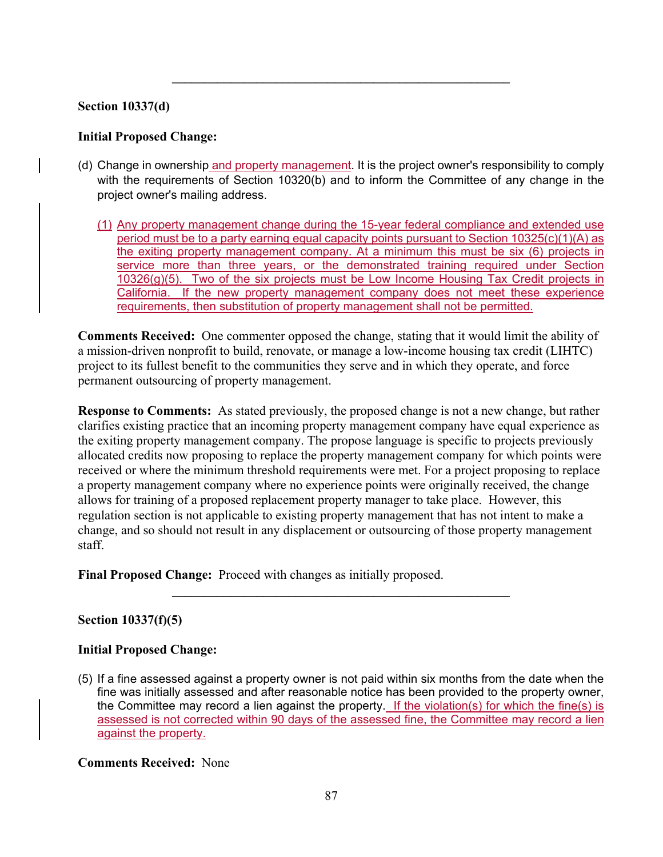## **Section 10337(d)**

## **Initial Proposed Change:**

(d) Change in ownership and property management. It is the project owner's responsibility to comply with the requirements of Section 10320(b) and to inform the Committee of any change in the project owner's mailing address.

 $\mathcal{L}_\mathcal{L} = \{ \mathcal{L}_\mathcal{L} = \{ \mathcal{L}_\mathcal{L} \}$ 

(1) Any property management change during the 15-year federal compliance and extended use period must be to a party earning equal capacity points pursuant to Section 10325(c)(1)(A) as the exiting property management company. At a minimum this must be six (6) projects in service more than three years, or the demonstrated training required under Section 10326(g)(5). Two of the six projects must be Low Income Housing Tax Credit projects in California. If the new property management company does not meet these experience requirements, then substitution of property management shall not be permitted.

**Comments Received:** One commenter opposed the change, stating that it would limit the ability of a mission-driven nonprofit to build, renovate, or manage a low-income housing tax credit (LIHTC) project to its fullest benefit to the communities they serve and in which they operate, and force permanent outsourcing of property management.

**Response to Comments:** As stated previously, the proposed change is not a new change, but rather clarifies existing practice that an incoming property management company have equal experience as the exiting property management company. The propose language is specific to projects previously allocated credits now proposing to replace the property management company for which points were received or where the minimum threshold requirements were met. For a project proposing to replace a property management company where no experience points were originally received, the change allows for training of a proposed replacement property manager to take place. However, this regulation section is not applicable to existing property management that has not intent to make a change, and so should not result in any displacement or outsourcing of those property management staff.

**Final Proposed Change:** Proceed with changes as initially proposed.

**Section 10337(f)(5)** 

## **Initial Proposed Change:**

(5) If a fine assessed against a property owner is not paid within six months from the date when the fine was initially assessed and after reasonable notice has been provided to the property owner, the Committee may record a lien against the property. If the violation(s) for which the fine(s) is assessed is not corrected within 90 days of the assessed fine, the Committee may record a lien against the property.

**\_\_\_\_\_\_\_\_\_\_\_\_\_\_\_\_\_\_\_\_\_\_\_\_\_\_\_\_\_\_\_\_\_\_\_\_\_\_\_\_\_\_\_\_\_\_\_\_\_\_\_\_** 

**Comments Received:** None